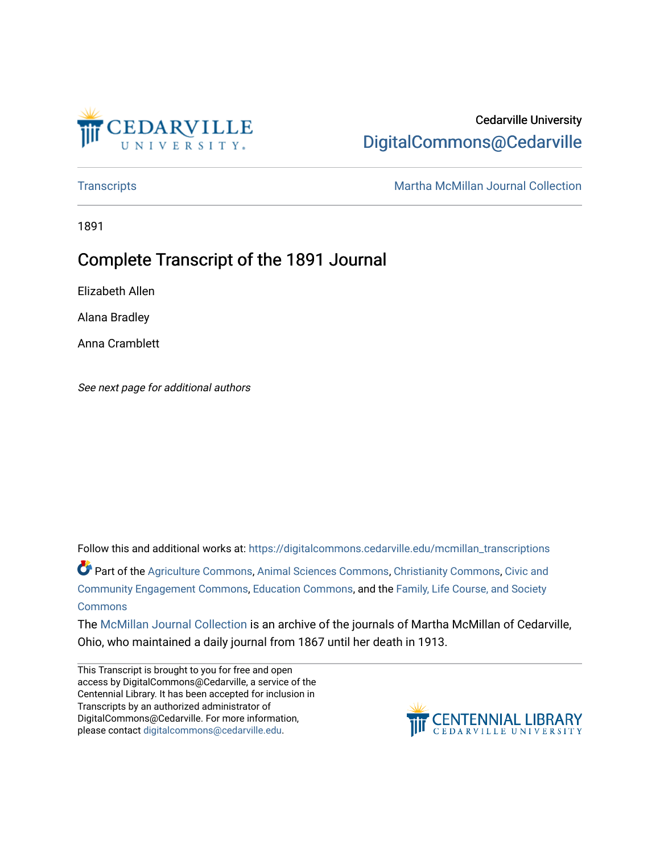

# Cedarville University [DigitalCommons@Cedarville](https://digitalcommons.cedarville.edu/)

[Transcripts](https://digitalcommons.cedarville.edu/mcmillan_transcriptions) **Martha McMillan Journal Collection** 

1891

# Complete Transcript of the 1891 Journal

Elizabeth Allen

Alana Bradley

Anna Cramblett

See next page for additional authors

Follow this and additional works at: [https://digitalcommons.cedarville.edu/mcmillan\\_transcriptions](https://digitalcommons.cedarville.edu/mcmillan_transcriptions?utm_source=digitalcommons.cedarville.edu%2Fmcmillan_transcriptions%2F29&utm_medium=PDF&utm_campaign=PDFCoverPages)

Part of the [Agriculture Commons](http://network.bepress.com/hgg/discipline/1076?utm_source=digitalcommons.cedarville.edu%2Fmcmillan_transcriptions%2F29&utm_medium=PDF&utm_campaign=PDFCoverPages), [Animal Sciences Commons](http://network.bepress.com/hgg/discipline/76?utm_source=digitalcommons.cedarville.edu%2Fmcmillan_transcriptions%2F29&utm_medium=PDF&utm_campaign=PDFCoverPages), [Christianity Commons](http://network.bepress.com/hgg/discipline/1181?utm_source=digitalcommons.cedarville.edu%2Fmcmillan_transcriptions%2F29&utm_medium=PDF&utm_campaign=PDFCoverPages), [Civic and](http://network.bepress.com/hgg/discipline/1028?utm_source=digitalcommons.cedarville.edu%2Fmcmillan_transcriptions%2F29&utm_medium=PDF&utm_campaign=PDFCoverPages) [Community Engagement Commons](http://network.bepress.com/hgg/discipline/1028?utm_source=digitalcommons.cedarville.edu%2Fmcmillan_transcriptions%2F29&utm_medium=PDF&utm_campaign=PDFCoverPages), [Education Commons,](http://network.bepress.com/hgg/discipline/784?utm_source=digitalcommons.cedarville.edu%2Fmcmillan_transcriptions%2F29&utm_medium=PDF&utm_campaign=PDFCoverPages) and the [Family, Life Course, and Society](http://network.bepress.com/hgg/discipline/419?utm_source=digitalcommons.cedarville.edu%2Fmcmillan_transcriptions%2F29&utm_medium=PDF&utm_campaign=PDFCoverPages) **[Commons](http://network.bepress.com/hgg/discipline/419?utm_source=digitalcommons.cedarville.edu%2Fmcmillan_transcriptions%2F29&utm_medium=PDF&utm_campaign=PDFCoverPages)** 

The [McMillan Journal Collection](http://digitalcommons.cedarville.edu/mcmillan_journal_collection/) is an archive of the journals of Martha McMillan of Cedarville, Ohio, who maintained a daily journal from 1867 until her death in 1913.

This Transcript is brought to you for free and open access by DigitalCommons@Cedarville, a service of the Centennial Library. It has been accepted for inclusion in Transcripts by an authorized administrator of DigitalCommons@Cedarville. For more information, please contact [digitalcommons@cedarville.edu](mailto:digitalcommons@cedarville.edu).

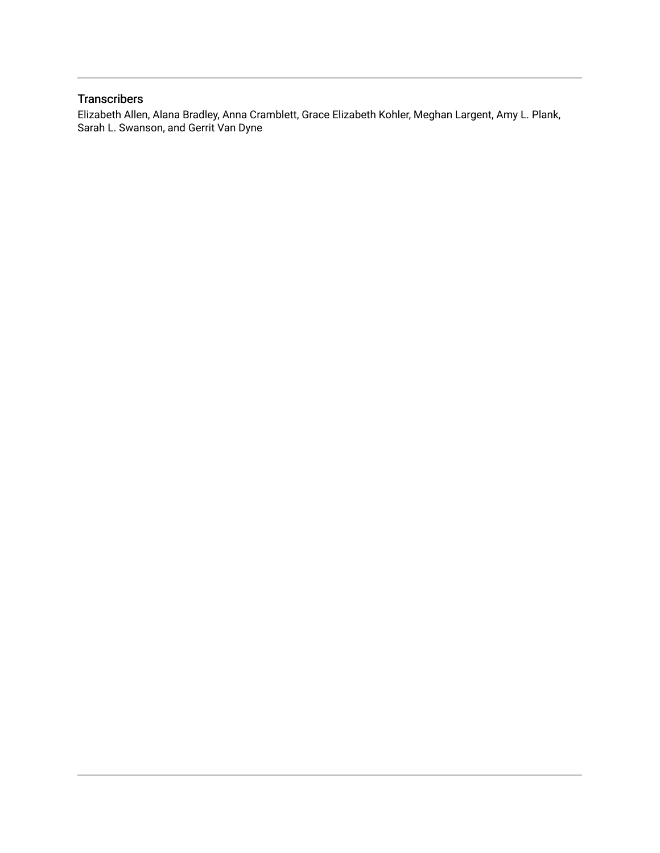# **Transcribers**

Elizabeth Allen, Alana Bradley, Anna Cramblett, Grace Elizabeth Kohler, Meghan Largent, Amy L. Plank, Sarah L. Swanson, and Gerrit Van Dyne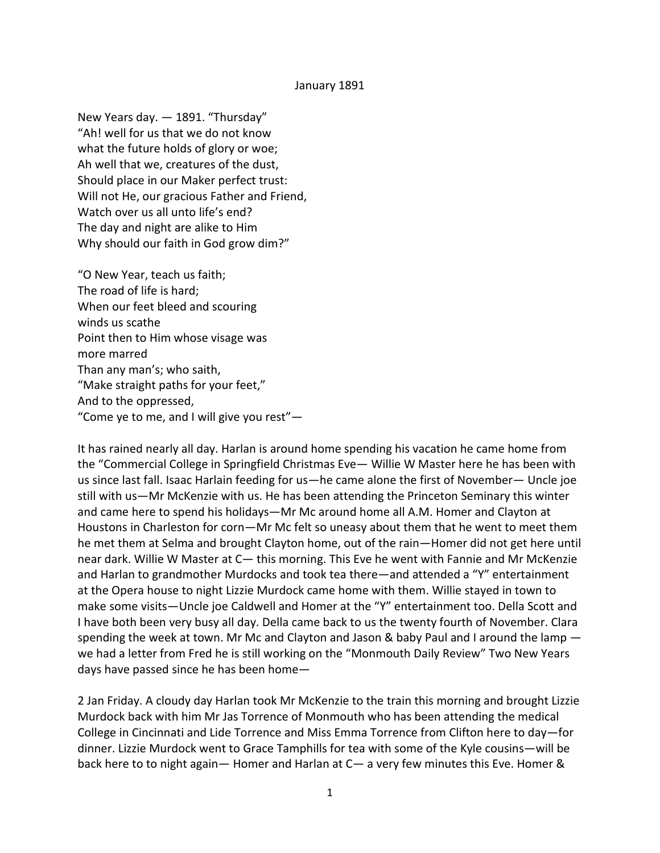#### January 1891

New Years day. — 1891. "Thursday" "Ah! well for us that we do not know what the future holds of glory or woe; Ah well that we, creatures of the dust, Should place in our Maker perfect trust: Will not He, our gracious Father and Friend, Watch over us all unto life's end? The day and night are alike to Him Why should our faith in God grow dim?"

"O New Year, teach us faith; The road of life is hard; When our feet bleed and scouring winds us scathe Point then to Him whose visage was more marred Than any man's; who saith, "Make straight paths for your feet," And to the oppressed, "Come ye to me, and I will give you rest" $-$ 

It has rained nearly all day. Harlan is around home spending his vacation he came home from the "Commercial College in Springfield Christmas Eve— Willie W Master here he has been with us since last fall. Isaac Harlain feeding for us—he came alone the first of November— Uncle joe still with us—Mr McKenzie with us. He has been attending the Princeton Seminary this winter and came here to spend his holidays—Mr Mc around home all A.M. Homer and Clayton at Houstons in Charleston for corn—Mr Mc felt so uneasy about them that he went to meet them he met them at Selma and brought Clayton home, out of the rain—Homer did not get here until near dark. Willie W Master at C— this morning. This Eve he went with Fannie and Mr McKenzie and Harlan to grandmother Murdocks and took tea there—and attended a "Y" entertainment at the Opera house to night Lizzie Murdock came home with them. Willie stayed in town to make some visits—Uncle joe Caldwell and Homer at the "Y" entertainment too. Della Scott and I have both been very busy all day. Della came back to us the twenty fourth of November. Clara spending the week at town. Mr Mc and Clayton and Jason & baby Paul and I around the lamp we had a letter from Fred he is still working on the "Monmouth Daily Review" Two New Years days have passed since he has been home—

2 Jan Friday. A cloudy day Harlan took Mr McKenzie to the train this morning and brought Lizzie Murdock back with him Mr Jas Torrence of Monmouth who has been attending the medical College in Cincinnati and Lide Torrence and Miss Emma Torrence from Clifton here to day—for dinner. Lizzie Murdock went to Grace Tamphills for tea with some of the Kyle cousins—will be back here to to night again— Homer and Harlan at C— a very few minutes this Eve. Homer &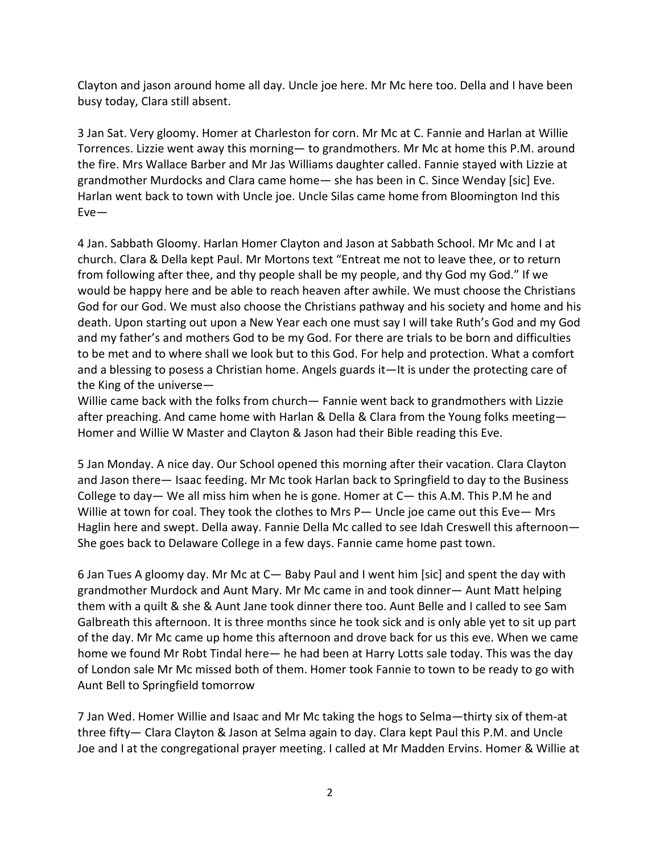Clayton and jason around home all day. Uncle joe here. Mr Mc here too. Della and I have been busy today, Clara still absent.

3 Jan Sat. Very gloomy. Homer at Charleston for corn. Mr Mc at C. Fannie and Harlan at Willie Torrences. Lizzie went away this morning— to grandmothers. Mr Mc at home this P.M. around the fire. Mrs Wallace Barber and Mr Jas Williams daughter called. Fannie stayed with Lizzie at grandmother Murdocks and Clara came home— she has been in C. Since Wenday [sic] Eve. Harlan went back to town with Uncle joe. Uncle Silas came home from Bloomington Ind this Eve—

4 Jan. Sabbath Gloomy. Harlan Homer Clayton and Jason at Sabbath School. Mr Mc and I at church. Clara & Della kept Paul. Mr Mortons text "Entreat me not to leave thee, or to return from following after thee, and thy people shall be my people, and thy God my God." If we would be happy here and be able to reach heaven after awhile. We must choose the Christians God for our God. We must also choose the Christians pathway and his society and home and his death. Upon starting out upon a New Year each one must say I will take Ruth's God and my God and my father's and mothers God to be my God. For there are trials to be born and difficulties to be met and to where shall we look but to this God. For help and protection. What a comfort and a blessing to posess a Christian home. Angels guards it—It is under the protecting care of the King of the universe—

Willie came back with the folks from church— Fannie went back to grandmothers with Lizzie after preaching. And came home with Harlan & Della & Clara from the Young folks meeting— Homer and Willie W Master and Clayton & Jason had their Bible reading this Eve.

5 Jan Monday. A nice day. Our School opened this morning after their vacation. Clara Clayton and Jason there— Isaac feeding. Mr Mc took Harlan back to Springfield to day to the Business College to day— We all miss him when he is gone. Homer at  $C-$  this A.M. This P.M he and Willie at town for coal. They took the clothes to Mrs P— Uncle joe came out this Eve— Mrs Haglin here and swept. Della away. Fannie Della Mc called to see Idah Creswell this afternoon— She goes back to Delaware College in a few days. Fannie came home past town.

6 Jan Tues A gloomy day. Mr Mc at C— Baby Paul and I went him [sic] and spent the day with grandmother Murdock and Aunt Mary. Mr Mc came in and took dinner— Aunt Matt helping them with a quilt & she & Aunt Jane took dinner there too. Aunt Belle and I called to see Sam Galbreath this afternoon. It is three months since he took sick and is only able yet to sit up part of the day. Mr Mc came up home this afternoon and drove back for us this eve. When we came home we found Mr Robt Tindal here— he had been at Harry Lotts sale today. This was the day of London sale Mr Mc missed both of them. Homer took Fannie to town to be ready to go with Aunt Bell to Springfield tomorrow

7 Jan Wed. Homer Willie and Isaac and Mr Mc taking the hogs to Selma—thirty six of them-at three fifty— Clara Clayton & Jason at Selma again to day. Clara kept Paul this P.M. and Uncle Joe and I at the congregational prayer meeting. I called at Mr Madden Ervins. Homer & Willie at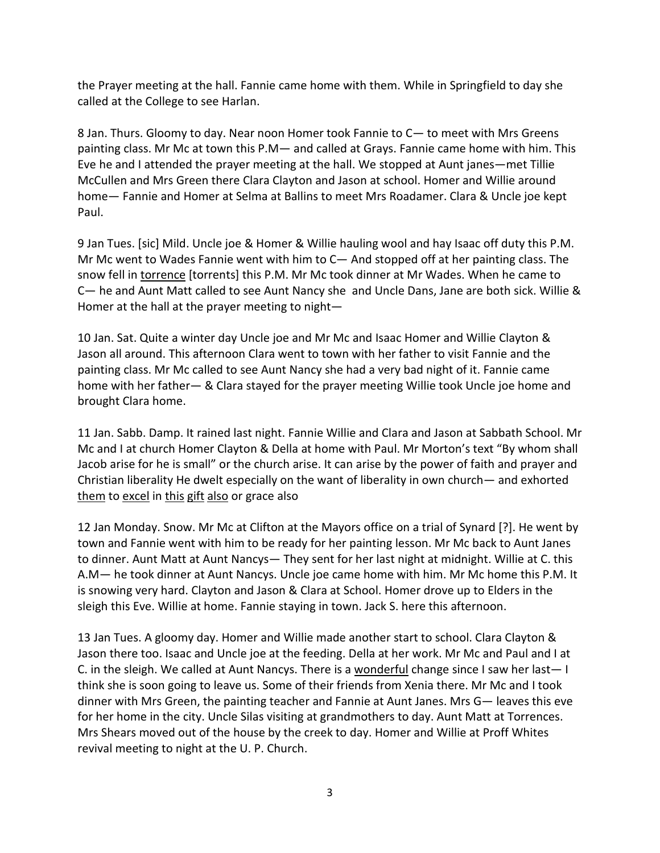the Prayer meeting at the hall. Fannie came home with them. While in Springfield to day she called at the College to see Harlan.

8 Jan. Thurs. Gloomy to day. Near noon Homer took Fannie to C— to meet with Mrs Greens painting class. Mr Mc at town this P.M— and called at Grays. Fannie came home with him. This Eve he and I attended the prayer meeting at the hall. We stopped at Aunt janes—met Tillie McCullen and Mrs Green there Clara Clayton and Jason at school. Homer and Willie around home— Fannie and Homer at Selma at Ballins to meet Mrs Roadamer. Clara & Uncle joe kept Paul.

9 Jan Tues. [sic] Mild. Uncle joe & Homer & Willie hauling wool and hay Isaac off duty this P.M. Mr Mc went to Wades Fannie went with him to C— And stopped off at her painting class. The snow fell in torrence [torrents] this P.M. Mr Mc took dinner at Mr Wades. When he came to C— he and Aunt Matt called to see Aunt Nancy she and Uncle Dans, Jane are both sick. Willie & Homer at the hall at the prayer meeting to night—

10 Jan. Sat. Quite a winter day Uncle joe and Mr Mc and Isaac Homer and Willie Clayton & Jason all around. This afternoon Clara went to town with her father to visit Fannie and the painting class. Mr Mc called to see Aunt Nancy she had a very bad night of it. Fannie came home with her father— & Clara stayed for the prayer meeting Willie took Uncle joe home and brought Clara home.

11 Jan. Sabb. Damp. It rained last night. Fannie Willie and Clara and Jason at Sabbath School. Mr Mc and I at church Homer Clayton & Della at home with Paul. Mr Morton's text "By whom shall Jacob arise for he is small" or the church arise. It can arise by the power of faith and prayer and Christian liberality He dwelt especially on the want of liberality in own church— and exhorted them to excel in this gift also or grace also

12 Jan Monday. Snow. Mr Mc at Clifton at the Mayors office on a trial of Synard [?]. He went by town and Fannie went with him to be ready for her painting lesson. Mr Mc back to Aunt Janes to dinner. Aunt Matt at Aunt Nancys— They sent for her last night at midnight. Willie at C. this A.M— he took dinner at Aunt Nancys. Uncle joe came home with him. Mr Mc home this P.M. It is snowing very hard. Clayton and Jason & Clara at School. Homer drove up to Elders in the sleigh this Eve. Willie at home. Fannie staying in town. Jack S. here this afternoon.

13 Jan Tues. A gloomy day. Homer and Willie made another start to school. Clara Clayton & Jason there too. Isaac and Uncle joe at the feeding. Della at her work. Mr Mc and Paul and I at C. in the sleigh. We called at Aunt Nancys. There is a wonderful change since I saw her last— I think she is soon going to leave us. Some of their friends from Xenia there. Mr Mc and I took dinner with Mrs Green, the painting teacher and Fannie at Aunt Janes. Mrs G— leaves this eve for her home in the city. Uncle Silas visiting at grandmothers to day. Aunt Matt at Torrences. Mrs Shears moved out of the house by the creek to day. Homer and Willie at Proff Whites revival meeting to night at the U. P. Church.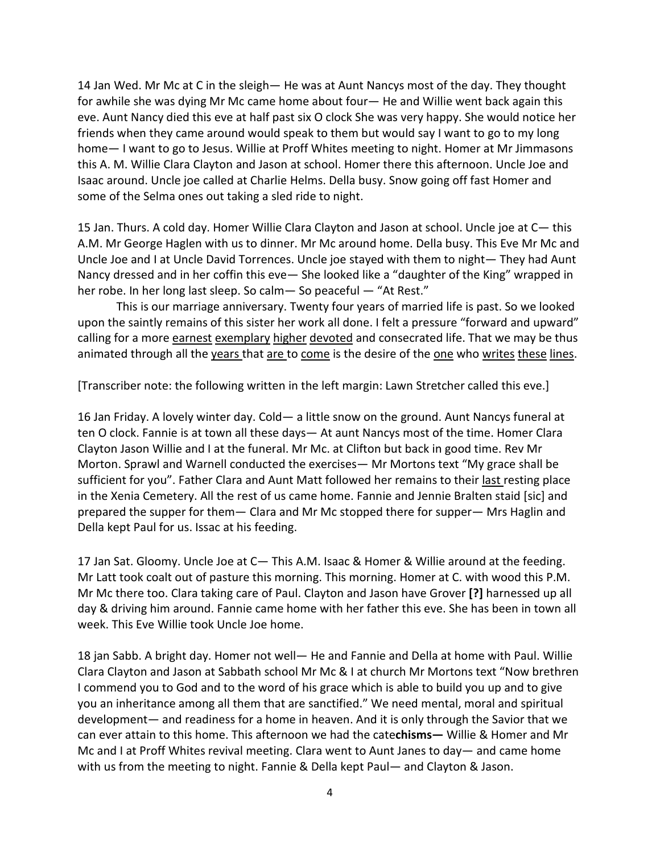14 Jan Wed. Mr Mc at C in the sleigh— He was at Aunt Nancys most of the day. They thought for awhile she was dying Mr Mc came home about four— He and Willie went back again this eve. Aunt Nancy died this eve at half past six O clock She was very happy. She would notice her friends when they came around would speak to them but would say I want to go to my long home— I want to go to Jesus. Willie at Proff Whites meeting to night. Homer at Mr Jimmasons this A. M. Willie Clara Clayton and Jason at school. Homer there this afternoon. Uncle Joe and Isaac around. Uncle joe called at Charlie Helms. Della busy. Snow going off fast Homer and some of the Selma ones out taking a sled ride to night.

15 Jan. Thurs. A cold day. Homer Willie Clara Clayton and Jason at school. Uncle joe at C— this A.M. Mr George Haglen with us to dinner. Mr Mc around home. Della busy. This Eve Mr Mc and Uncle Joe and I at Uncle David Torrences. Uncle joe stayed with them to night— They had Aunt Nancy dressed and in her coffin this eve— She looked like a "daughter of the King" wrapped in her robe. In her long last sleep. So calm— So peaceful — "At Rest."

This is our marriage anniversary. Twenty four years of married life is past. So we looked upon the saintly remains of this sister her work all done. I felt a pressure "forward and upward" calling for a more earnest exemplary higher devoted and consecrated life. That we may be thus animated through all the years that are to come is the desire of the one who writes these lines.

[Transcriber note: the following written in the left margin: Lawn Stretcher called this eve.]

16 Jan Friday. A lovely winter day. Cold— a little snow on the ground. Aunt Nancys funeral at ten O clock. Fannie is at town all these days— At aunt Nancys most of the time. Homer Clara Clayton Jason Willie and I at the funeral. Mr Mc. at Clifton but back in good time. Rev Mr Morton. Sprawl and Warnell conducted the exercises— Mr Mortons text "My grace shall be sufficient for you". Father Clara and Aunt Matt followed her remains to their last resting place in the Xenia Cemetery. All the rest of us came home. Fannie and Jennie Bralten staid [sic] and prepared the supper for them— Clara and Mr Mc stopped there for supper— Mrs Haglin and Della kept Paul for us. Issac at his feeding.

17 Jan Sat. Gloomy. Uncle Joe at C— This A.M. Isaac & Homer & Willie around at the feeding. Mr Latt took coalt out of pasture this morning. This morning. Homer at C. with wood this P.M. Mr Mc there too. Clara taking care of Paul. Clayton and Jason have Grover **[?]** harnessed up all day & driving him around. Fannie came home with her father this eve. She has been in town all week. This Eve Willie took Uncle Joe home.

18 jan Sabb. A bright day. Homer not well— He and Fannie and Della at home with Paul. Willie Clara Clayton and Jason at Sabbath school Mr Mc & I at church Mr Mortons text "Now brethren I commend you to God and to the word of his grace which is able to build you up and to give you an inheritance among all them that are sanctified." We need mental, moral and spiritual development— and readiness for a home in heaven. And it is only through the Savior that we can ever attain to this home. This afternoon we had the cate**chisms—** Willie & Homer and Mr Mc and I at Proff Whites revival meeting. Clara went to Aunt Janes to day— and came home with us from the meeting to night. Fannie & Della kept Paul— and Clayton & Jason.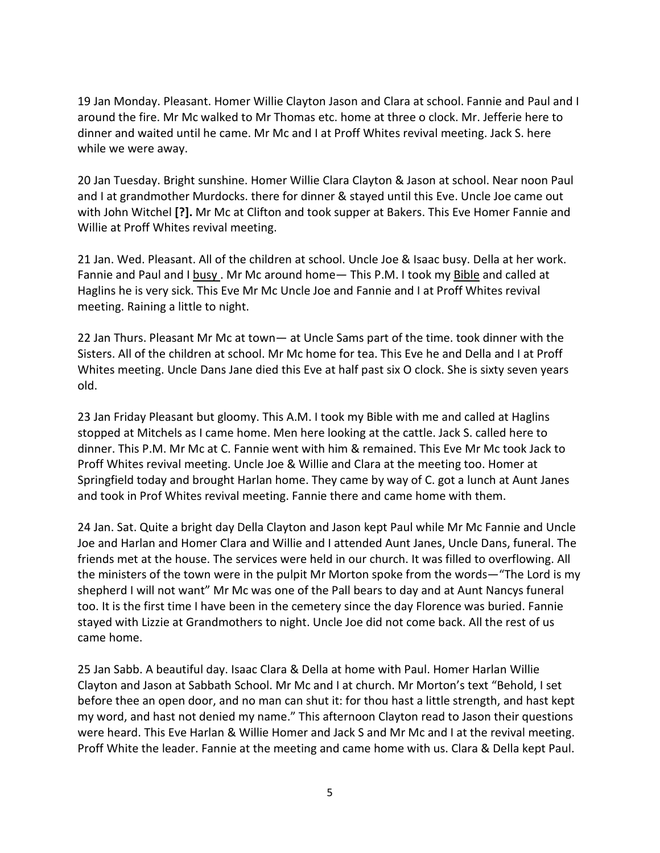19 Jan Monday. Pleasant. Homer Willie Clayton Jason and Clara at school. Fannie and Paul and I around the fire. Mr Mc walked to Mr Thomas etc. home at three o clock. Mr. Jefferie here to dinner and waited until he came. Mr Mc and I at Proff Whites revival meeting. Jack S. here while we were away.

20 Jan Tuesday. Bright sunshine. Homer Willie Clara Clayton & Jason at school. Near noon Paul and I at grandmother Murdocks. there for dinner & stayed until this Eve. Uncle Joe came out with John Witchel **[?].** Mr Mc at Clifton and took supper at Bakers. This Eve Homer Fannie and Willie at Proff Whites revival meeting.

21 Jan. Wed. Pleasant. All of the children at school. Uncle Joe & Isaac busy. Della at her work. Fannie and Paul and I busy . Mr Mc around home— This P.M. I took my Bible and called at Haglins he is very sick. This Eve Mr Mc Uncle Joe and Fannie and I at Proff Whites revival meeting. Raining a little to night.

22 Jan Thurs. Pleasant Mr Mc at town— at Uncle Sams part of the time. took dinner with the Sisters. All of the children at school. Mr Mc home for tea. This Eve he and Della and I at Proff Whites meeting. Uncle Dans Jane died this Eve at half past six O clock. She is sixty seven years old.

23 Jan Friday Pleasant but gloomy. This A.M. I took my Bible with me and called at Haglins stopped at Mitchels as I came home. Men here looking at the cattle. Jack S. called here to dinner. This P.M. Mr Mc at C. Fannie went with him & remained. This Eve Mr Mc took Jack to Proff Whites revival meeting. Uncle Joe & Willie and Clara at the meeting too. Homer at Springfield today and brought Harlan home. They came by way of C. got a lunch at Aunt Janes and took in Prof Whites revival meeting. Fannie there and came home with them.

24 Jan. Sat. Quite a bright day Della Clayton and Jason kept Paul while Mr Mc Fannie and Uncle Joe and Harlan and Homer Clara and Willie and I attended Aunt Janes, Uncle Dans, funeral. The friends met at the house. The services were held in our church. It was filled to overflowing. All the ministers of the town were in the pulpit Mr Morton spoke from the words—"The Lord is my shepherd I will not want" Mr Mc was one of the Pall bears to day and at Aunt Nancys funeral too. It is the first time I have been in the cemetery since the day Florence was buried. Fannie stayed with Lizzie at Grandmothers to night. Uncle Joe did not come back. All the rest of us came home.

25 Jan Sabb. A beautiful day. Isaac Clara & Della at home with Paul. Homer Harlan Willie Clayton and Jason at Sabbath School. Mr Mc and I at church. Mr Morton's text "Behold, I set before thee an open door, and no man can shut it: for thou hast a little strength, and hast kept my word, and hast not denied my name." This afternoon Clayton read to Jason their questions were heard. This Eve Harlan & Willie Homer and Jack S and Mr Mc and I at the revival meeting. Proff White the leader. Fannie at the meeting and came home with us. Clara & Della kept Paul.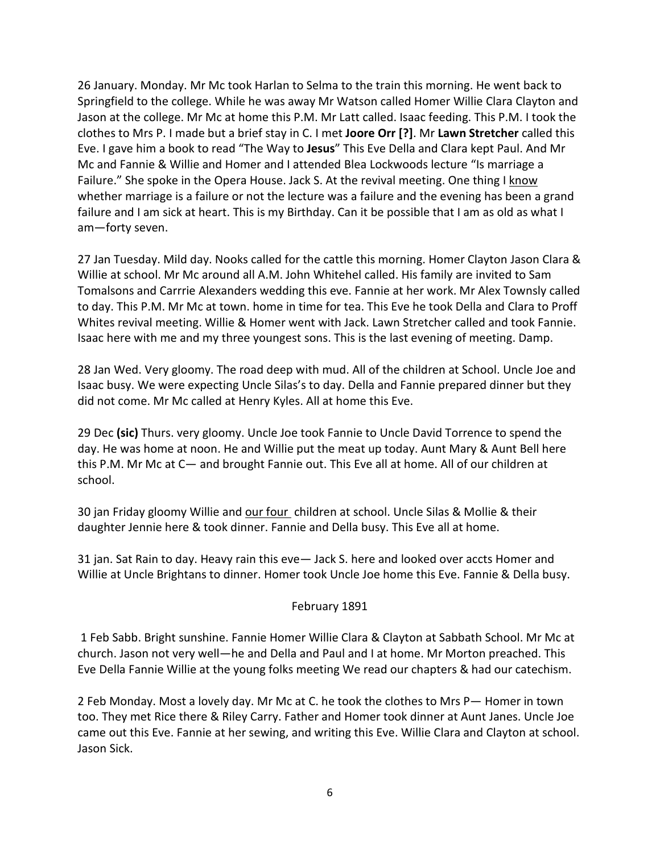26 January. Monday. Mr Mc took Harlan to Selma to the train this morning. He went back to Springfield to the college. While he was away Mr Watson called Homer Willie Clara Clayton and Jason at the college. Mr Mc at home this P.M. Mr Latt called. Isaac feeding. This P.M. I took the clothes to Mrs P. I made but a brief stay in C. I met **Joore Orr [?]**. Mr **Lawn Stretcher** called this Eve. I gave him a book to read "The Way to **Jesus**" This Eve Della and Clara kept Paul. And Mr Mc and Fannie & Willie and Homer and I attended Blea Lockwoods lecture "Is marriage a Failure." She spoke in the Opera House. Jack S. At the revival meeting. One thing I know whether marriage is a failure or not the lecture was a failure and the evening has been a grand failure and I am sick at heart. This is my Birthday. Can it be possible that I am as old as what I am—forty seven.

27 Jan Tuesday. Mild day. Nooks called for the cattle this morning. Homer Clayton Jason Clara & Willie at school. Mr Mc around all A.M. John Whitehel called. His family are invited to Sam Tomalsons and Carrrie Alexanders wedding this eve. Fannie at her work. Mr Alex Townsly called to day. This P.M. Mr Mc at town. home in time for tea. This Eve he took Della and Clara to Proff Whites revival meeting. Willie & Homer went with Jack. Lawn Stretcher called and took Fannie. Isaac here with me and my three youngest sons. This is the last evening of meeting. Damp.

28 Jan Wed. Very gloomy. The road deep with mud. All of the children at School. Uncle Joe and Isaac busy. We were expecting Uncle Silas's to day. Della and Fannie prepared dinner but they did not come. Mr Mc called at Henry Kyles. All at home this Eve.

29 Dec **(sic)** Thurs. very gloomy. Uncle Joe took Fannie to Uncle David Torrence to spend the day. He was home at noon. He and Willie put the meat up today. Aunt Mary & Aunt Bell here this P.M. Mr Mc at C— and brought Fannie out. This Eve all at home. All of our children at school.

30 jan Friday gloomy Willie and our four children at school. Uncle Silas & Mollie & their daughter Jennie here & took dinner. Fannie and Della busy. This Eve all at home.

31 jan. Sat Rain to day. Heavy rain this eve— Jack S. here and looked over accts Homer and Willie at Uncle Brightans to dinner. Homer took Uncle Joe home this Eve. Fannie & Della busy.

# February 1891

1 Feb Sabb. Bright sunshine. Fannie Homer Willie Clara & Clayton at Sabbath School. Mr Mc at church. Jason not very well—he and Della and Paul and I at home. Mr Morton preached. This Eve Della Fannie Willie at the young folks meeting We read our chapters & had our catechism.

2 Feb Monday. Most a lovely day. Mr Mc at C. he took the clothes to Mrs P— Homer in town too. They met Rice there & Riley Carry. Father and Homer took dinner at Aunt Janes. Uncle Joe came out this Eve. Fannie at her sewing, and writing this Eve. Willie Clara and Clayton at school. Jason Sick.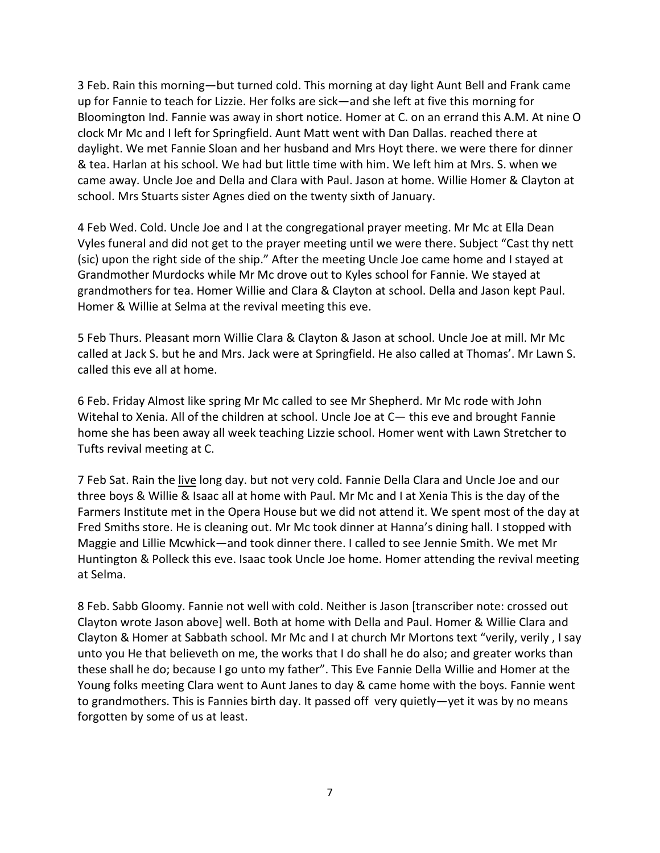3 Feb. Rain this morning—but turned cold. This morning at day light Aunt Bell and Frank came up for Fannie to teach for Lizzie. Her folks are sick—and she left at five this morning for Bloomington Ind. Fannie was away in short notice. Homer at C. on an errand this A.M. At nine O clock Mr Mc and I left for Springfield. Aunt Matt went with Dan Dallas. reached there at daylight. We met Fannie Sloan and her husband and Mrs Hoyt there. we were there for dinner & tea. Harlan at his school. We had but little time with him. We left him at Mrs. S. when we came away. Uncle Joe and Della and Clara with Paul. Jason at home. Willie Homer & Clayton at school. Mrs Stuarts sister Agnes died on the twenty sixth of January.

4 Feb Wed. Cold. Uncle Joe and I at the congregational prayer meeting. Mr Mc at Ella Dean Vyles funeral and did not get to the prayer meeting until we were there. Subject "Cast thy nett (sic) upon the right side of the ship." After the meeting Uncle Joe came home and I stayed at Grandmother Murdocks while Mr Mc drove out to Kyles school for Fannie. We stayed at grandmothers for tea. Homer Willie and Clara & Clayton at school. Della and Jason kept Paul. Homer & Willie at Selma at the revival meeting this eve.

5 Feb Thurs. Pleasant morn Willie Clara & Clayton & Jason at school. Uncle Joe at mill. Mr Mc called at Jack S. but he and Mrs. Jack were at Springfield. He also called at Thomas'. Mr Lawn S. called this eve all at home.

6 Feb. Friday Almost like spring Mr Mc called to see Mr Shepherd. Mr Mc rode with John Witehal to Xenia. All of the children at school. Uncle Joe at C— this eve and brought Fannie home she has been away all week teaching Lizzie school. Homer went with Lawn Stretcher to Tufts revival meeting at C.

7 Feb Sat. Rain the live long day. but not very cold. Fannie Della Clara and Uncle Joe and our three boys & Willie & Isaac all at home with Paul. Mr Mc and I at Xenia This is the day of the Farmers Institute met in the Opera House but we did not attend it. We spent most of the day at Fred Smiths store. He is cleaning out. Mr Mc took dinner at Hanna's dining hall. I stopped with Maggie and Lillie Mcwhick—and took dinner there. I called to see Jennie Smith. We met Mr Huntington & Polleck this eve. Isaac took Uncle Joe home. Homer attending the revival meeting at Selma.

8 Feb. Sabb Gloomy. Fannie not well with cold. Neither is Jason [transcriber note: crossed out Clayton wrote Jason above] well. Both at home with Della and Paul. Homer & Willie Clara and Clayton & Homer at Sabbath school. Mr Mc and I at church Mr Mortons text "verily, verily , I say unto you He that believeth on me, the works that I do shall he do also; and greater works than these shall he do; because I go unto my father". This Eve Fannie Della Willie and Homer at the Young folks meeting Clara went to Aunt Janes to day & came home with the boys. Fannie went to grandmothers. This is Fannies birth day. It passed off very quietly—yet it was by no means forgotten by some of us at least.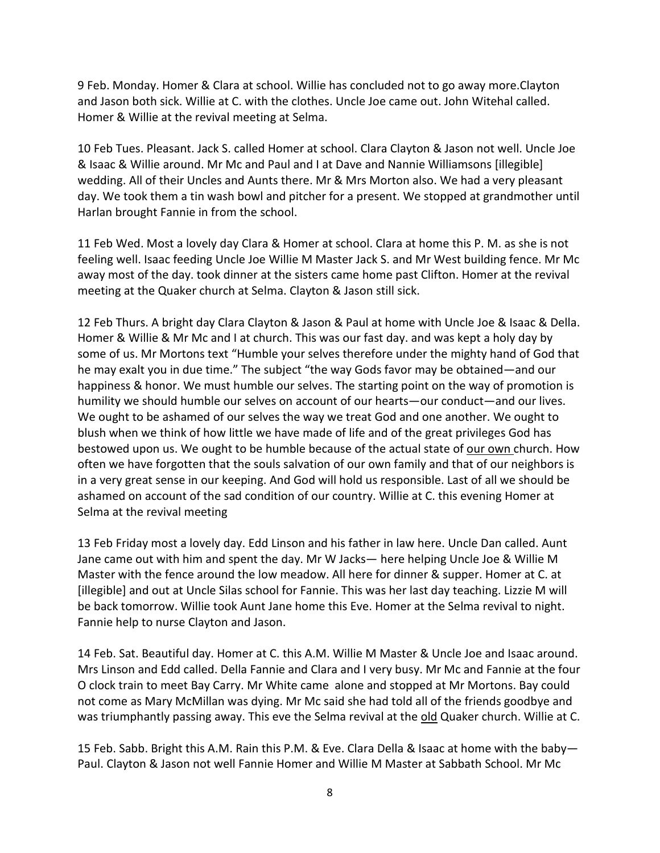9 Feb. Monday. Homer & Clara at school. Willie has concluded not to go away more.Clayton and Jason both sick. Willie at C. with the clothes. Uncle Joe came out. John Witehal called. Homer & Willie at the revival meeting at Selma.

10 Feb Tues. Pleasant. Jack S. called Homer at school. Clara Clayton & Jason not well. Uncle Joe & Isaac & Willie around. Mr Mc and Paul and I at Dave and Nannie Williamsons [illegible] wedding. All of their Uncles and Aunts there. Mr & Mrs Morton also. We had a very pleasant day. We took them a tin wash bowl and pitcher for a present. We stopped at grandmother until Harlan brought Fannie in from the school.

11 Feb Wed. Most a lovely day Clara & Homer at school. Clara at home this P. M. as she is not feeling well. Isaac feeding Uncle Joe Willie M Master Jack S. and Mr West building fence. Mr Mc away most of the day. took dinner at the sisters came home past Clifton. Homer at the revival meeting at the Quaker church at Selma. Clayton & Jason still sick.

12 Feb Thurs. A bright day Clara Clayton & Jason & Paul at home with Uncle Joe & Isaac & Della. Homer & Willie & Mr Mc and I at church. This was our fast day. and was kept a holy day by some of us. Mr Mortons text "Humble your selves therefore under the mighty hand of God that he may exalt you in due time." The subject "the way Gods favor may be obtained—and our happiness & honor. We must humble our selves. The starting point on the way of promotion is humility we should humble our selves on account of our hearts—our conduct—and our lives. We ought to be ashamed of our selves the way we treat God and one another. We ought to blush when we think of how little we have made of life and of the great privileges God has bestowed upon us. We ought to be humble because of the actual state of our own church. How often we have forgotten that the souls salvation of our own family and that of our neighbors is in a very great sense in our keeping. And God will hold us responsible. Last of all we should be ashamed on account of the sad condition of our country. Willie at C. this evening Homer at Selma at the revival meeting

13 Feb Friday most a lovely day. Edd Linson and his father in law here. Uncle Dan called. Aunt Jane came out with him and spent the day. Mr W Jacks— here helping Uncle Joe & Willie M Master with the fence around the low meadow. All here for dinner & supper. Homer at C. at [illegible] and out at Uncle Silas school for Fannie. This was her last day teaching. Lizzie M will be back tomorrow. Willie took Aunt Jane home this Eve. Homer at the Selma revival to night. Fannie help to nurse Clayton and Jason.

14 Feb. Sat. Beautiful day. Homer at C. this A.M. Willie M Master & Uncle Joe and Isaac around. Mrs Linson and Edd called. Della Fannie and Clara and I very busy. Mr Mc and Fannie at the four O clock train to meet Bay Carry. Mr White came alone and stopped at Mr Mortons. Bay could not come as Mary McMillan was dying. Mr Mc said she had told all of the friends goodbye and was triumphantly passing away. This eve the Selma revival at the old Quaker church. Willie at C.

15 Feb. Sabb. Bright this A.M. Rain this P.M. & Eve. Clara Della & Isaac at home with the baby— Paul. Clayton & Jason not well Fannie Homer and Willie M Master at Sabbath School. Mr Mc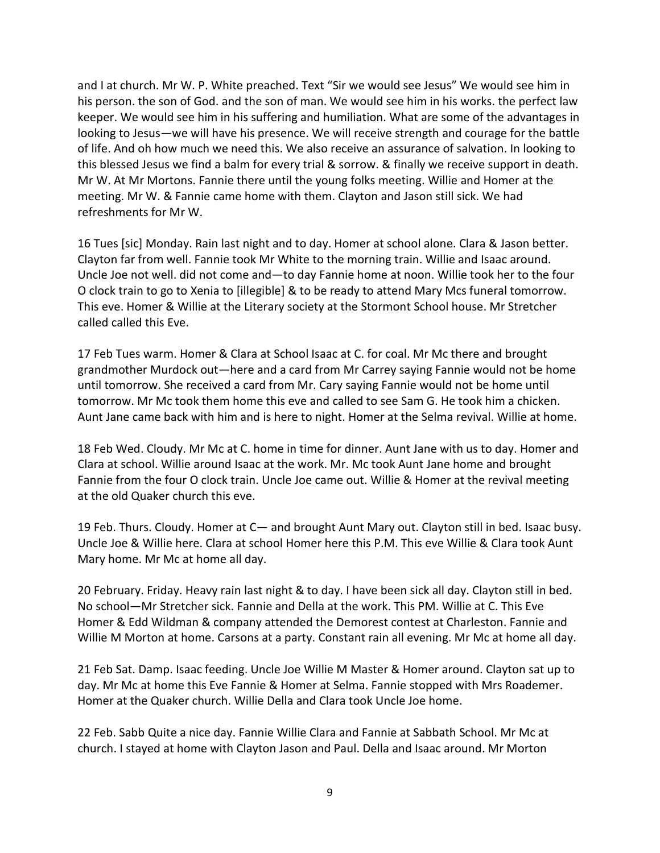and I at church. Mr W. P. White preached. Text "Sir we would see Jesus" We would see him in his person. the son of God. and the son of man. We would see him in his works. the perfect law keeper. We would see him in his suffering and humiliation. What are some of the advantages in looking to Jesus—we will have his presence. We will receive strength and courage for the battle of life. And oh how much we need this. We also receive an assurance of salvation. In looking to this blessed Jesus we find a balm for every trial & sorrow. & finally we receive support in death. Mr W. At Mr Mortons. Fannie there until the young folks meeting. Willie and Homer at the meeting. Mr W. & Fannie came home with them. Clayton and Jason still sick. We had refreshments for Mr W.

16 Tues [sic] Monday. Rain last night and to day. Homer at school alone. Clara & Jason better. Clayton far from well. Fannie took Mr White to the morning train. Willie and Isaac around. Uncle Joe not well. did not come and—to day Fannie home at noon. Willie took her to the four O clock train to go to Xenia to [illegible] & to be ready to attend Mary Mcs funeral tomorrow. This eve. Homer & Willie at the Literary society at the Stormont School house. Mr Stretcher called called this Eve.

17 Feb Tues warm. Homer & Clara at School Isaac at C. for coal. Mr Mc there and brought grandmother Murdock out—here and a card from Mr Carrey saying Fannie would not be home until tomorrow. She received a card from Mr. Cary saying Fannie would not be home until tomorrow. Mr Mc took them home this eve and called to see Sam G. He took him a chicken. Aunt Jane came back with him and is here to night. Homer at the Selma revival. Willie at home.

18 Feb Wed. Cloudy. Mr Mc at C. home in time for dinner. Aunt Jane with us to day. Homer and Clara at school. Willie around Isaac at the work. Mr. Mc took Aunt Jane home and brought Fannie from the four O clock train. Uncle Joe came out. Willie & Homer at the revival meeting at the old Quaker church this eve.

19 Feb. Thurs. Cloudy. Homer at C— and brought Aunt Mary out. Clayton still in bed. Isaac busy. Uncle Joe & Willie here. Clara at school Homer here this P.M. This eve Willie & Clara took Aunt Mary home. Mr Mc at home all day.

20 February. Friday. Heavy rain last night & to day. I have been sick all day. Clayton still in bed. No school—Mr Stretcher sick. Fannie and Della at the work. This PM. Willie at C. This Eve Homer & Edd Wildman & company attended the Demorest contest at Charleston. Fannie and Willie M Morton at home. Carsons at a party. Constant rain all evening. Mr Mc at home all day.

21 Feb Sat. Damp. Isaac feeding. Uncle Joe Willie M Master & Homer around. Clayton sat up to day. Mr Mc at home this Eve Fannie & Homer at Selma. Fannie stopped with Mrs Roademer. Homer at the Quaker church. Willie Della and Clara took Uncle Joe home.

22 Feb. Sabb Quite a nice day. Fannie Willie Clara and Fannie at Sabbath School. Mr Mc at church. I stayed at home with Clayton Jason and Paul. Della and Isaac around. Mr Morton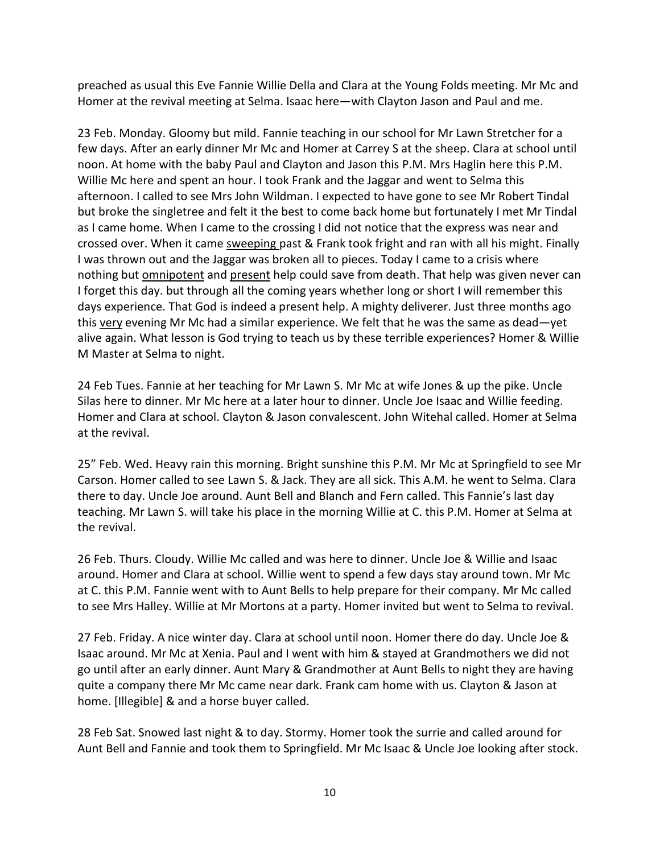preached as usual this Eve Fannie Willie Della and Clara at the Young Folds meeting. Mr Mc and Homer at the revival meeting at Selma. Isaac here—with Clayton Jason and Paul and me.

23 Feb. Monday. Gloomy but mild. Fannie teaching in our school for Mr Lawn Stretcher for a few days. After an early dinner Mr Mc and Homer at Carrey S at the sheep. Clara at school until noon. At home with the baby Paul and Clayton and Jason this P.M. Mrs Haglin here this P.M. Willie Mc here and spent an hour. I took Frank and the Jaggar and went to Selma this afternoon. I called to see Mrs John Wildman. I expected to have gone to see Mr Robert Tindal but broke the singletree and felt it the best to come back home but fortunately I met Mr Tindal as I came home. When I came to the crossing I did not notice that the express was near and crossed over. When it came sweeping past & Frank took fright and ran with all his might. Finally I was thrown out and the Jaggar was broken all to pieces. Today I came to a crisis where nothing but omnipotent and present help could save from death. That help was given never can I forget this day. but through all the coming years whether long or short I will remember this days experience. That God is indeed a present help. A mighty deliverer. Just three months ago this very evening Mr Mc had a similar experience. We felt that he was the same as dead—yet alive again. What lesson is God trying to teach us by these terrible experiences? Homer & Willie M Master at Selma to night.

24 Feb Tues. Fannie at her teaching for Mr Lawn S. Mr Mc at wife Jones & up the pike. Uncle Silas here to dinner. Mr Mc here at a later hour to dinner. Uncle Joe Isaac and Willie feeding. Homer and Clara at school. Clayton & Jason convalescent. John Witehal called. Homer at Selma at the revival.

25" Feb. Wed. Heavy rain this morning. Bright sunshine this P.M. Mr Mc at Springfield to see Mr Carson. Homer called to see Lawn S. & Jack. They are all sick. This A.M. he went to Selma. Clara there to day. Uncle Joe around. Aunt Bell and Blanch and Fern called. This Fannie's last day teaching. Mr Lawn S. will take his place in the morning Willie at C. this P.M. Homer at Selma at the revival.

26 Feb. Thurs. Cloudy. Willie Mc called and was here to dinner. Uncle Joe & Willie and Isaac around. Homer and Clara at school. Willie went to spend a few days stay around town. Mr Mc at C. this P.M. Fannie went with to Aunt Bells to help prepare for their company. Mr Mc called to see Mrs Halley. Willie at Mr Mortons at a party. Homer invited but went to Selma to revival.

27 Feb. Friday. A nice winter day. Clara at school until noon. Homer there do day. Uncle Joe & Isaac around. Mr Mc at Xenia. Paul and I went with him & stayed at Grandmothers we did not go until after an early dinner. Aunt Mary & Grandmother at Aunt Bells to night they are having quite a company there Mr Mc came near dark. Frank cam home with us. Clayton & Jason at home. [Illegible] & and a horse buyer called.

28 Feb Sat. Snowed last night & to day. Stormy. Homer took the surrie and called around for Aunt Bell and Fannie and took them to Springfield. Mr Mc Isaac & Uncle Joe looking after stock.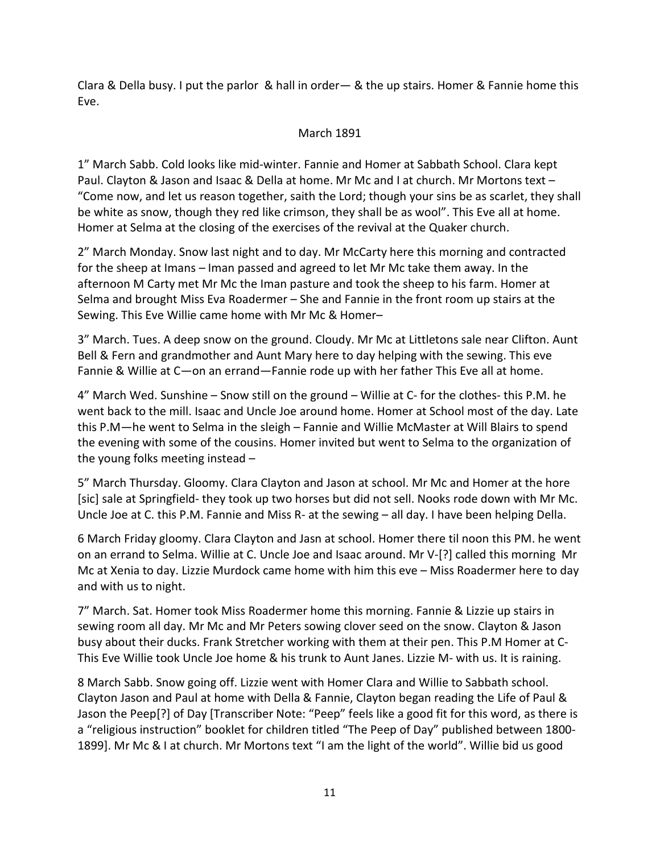Clara & Della busy. I put the parlor & hall in order— & the up stairs. Homer & Fannie home this Eve.

## March 1891

1" March Sabb. Cold looks like mid-winter. Fannie and Homer at Sabbath School. Clara kept Paul. Clayton & Jason and Isaac & Della at home. Mr Mc and I at church. Mr Mortons text – "Come now, and let us reason together, saith the Lord; though your sins be as scarlet, they shall be white as snow, though they red like crimson, they shall be as wool". This Eve all at home. Homer at Selma at the closing of the exercises of the revival at the Quaker church.

2" March Monday. Snow last night and to day. Mr McCarty here this morning and contracted for the sheep at Imans – Iman passed and agreed to let Mr Mc take them away. In the afternoon M Carty met Mr Mc the Iman pasture and took the sheep to his farm. Homer at Selma and brought Miss Eva Roadermer – She and Fannie in the front room up stairs at the Sewing. This Eve Willie came home with Mr Mc & Homer–

3" March. Tues. A deep snow on the ground. Cloudy. Mr Mc at Littletons sale near Clifton. Aunt Bell & Fern and grandmother and Aunt Mary here to day helping with the sewing. This eve Fannie & Willie at C—on an errand—Fannie rode up with her father This Eve all at home.

4" March Wed. Sunshine – Snow still on the ground – Willie at C- for the clothes- this P.M. he went back to the mill. Isaac and Uncle Joe around home. Homer at School most of the day. Late this P.M—he went to Selma in the sleigh – Fannie and Willie McMaster at Will Blairs to spend the evening with some of the cousins. Homer invited but went to Selma to the organization of the young folks meeting instead –

5" March Thursday. Gloomy. Clara Clayton and Jason at school. Mr Mc and Homer at the hore [sic] sale at Springfield- they took up two horses but did not sell. Nooks rode down with Mr Mc. Uncle Joe at C. this P.M. Fannie and Miss R- at the sewing – all day. I have been helping Della.

6 March Friday gloomy. Clara Clayton and Jasn at school. Homer there til noon this PM. he went on an errand to Selma. Willie at C. Uncle Joe and Isaac around. Mr V-[?] called this morning Mr Mc at Xenia to day. Lizzie Murdock came home with him this eve – Miss Roadermer here to day and with us to night.

7" March. Sat. Homer took Miss Roadermer home this morning. Fannie & Lizzie up stairs in sewing room all day. Mr Mc and Mr Peters sowing clover seed on the snow. Clayton & Jason busy about their ducks. Frank Stretcher working with them at their pen. This P.M Homer at C-This Eve Willie took Uncle Joe home & his trunk to Aunt Janes. Lizzie M- with us. It is raining.

8 March Sabb. Snow going off. Lizzie went with Homer Clara and Willie to Sabbath school. Clayton Jason and Paul at home with Della & Fannie, Clayton began reading the Life of Paul & Jason the Peep[?] of Day [Transcriber Note: "Peep" feels like a good fit for this word, as there is a "religious instruction" booklet for children titled "The Peep of Day" published between 1800- 1899]. Mr Mc & I at church. Mr Mortons text "I am the light of the world". Willie bid us good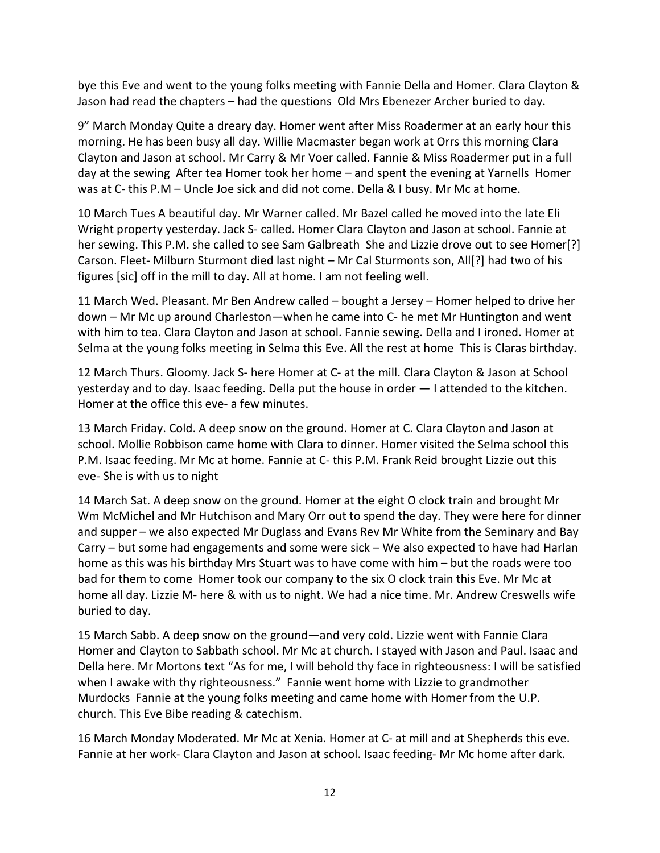bye this Eve and went to the young folks meeting with Fannie Della and Homer. Clara Clayton & Jason had read the chapters – had the questions Old Mrs Ebenezer Archer buried to day.

9" March Monday Quite a dreary day. Homer went after Miss Roadermer at an early hour this morning. He has been busy all day. Willie Macmaster began work at Orrs this morning Clara Clayton and Jason at school. Mr Carry & Mr Voer called. Fannie & Miss Roadermer put in a full day at the sewing After tea Homer took her home – and spent the evening at Yarnells Homer was at C- this P.M – Uncle Joe sick and did not come. Della & I busy. Mr Mc at home.

10 March Tues A beautiful day. Mr Warner called. Mr Bazel called he moved into the late Eli Wright property yesterday. Jack S- called. Homer Clara Clayton and Jason at school. Fannie at her sewing. This P.M. she called to see Sam Galbreath She and Lizzie drove out to see Homer[?] Carson. Fleet- Milburn Sturmont died last night – Mr Cal Sturmonts son, All[?] had two of his figures [sic] off in the mill to day. All at home. I am not feeling well.

11 March Wed. Pleasant. Mr Ben Andrew called – bought a Jersey – Homer helped to drive her down – Mr Mc up around Charleston—when he came into C- he met Mr Huntington and went with him to tea. Clara Clayton and Jason at school. Fannie sewing. Della and I ironed. Homer at Selma at the young folks meeting in Selma this Eve. All the rest at home This is Claras birthday.

12 March Thurs. Gloomy. Jack S- here Homer at C- at the mill. Clara Clayton & Jason at School yesterday and to day. Isaac feeding. Della put the house in order — I attended to the kitchen. Homer at the office this eve- a few minutes.

13 March Friday. Cold. A deep snow on the ground. Homer at C. Clara Clayton and Jason at school. Mollie Robbison came home with Clara to dinner. Homer visited the Selma school this P.M. Isaac feeding. Mr Mc at home. Fannie at C- this P.M. Frank Reid brought Lizzie out this eve- She is with us to night

14 March Sat. A deep snow on the ground. Homer at the eight O clock train and brought Mr Wm McMichel and Mr Hutchison and Mary Orr out to spend the day. They were here for dinner and supper – we also expected Mr Duglass and Evans Rev Mr White from the Seminary and Bay Carry – but some had engagements and some were sick – We also expected to have had Harlan home as this was his birthday Mrs Stuart was to have come with him – but the roads were too bad for them to come Homer took our company to the six O clock train this Eve. Mr Mc at home all day. Lizzie M- here & with us to night. We had a nice time. Mr. Andrew Creswells wife buried to day.

15 March Sabb. A deep snow on the ground—and very cold. Lizzie went with Fannie Clara Homer and Clayton to Sabbath school. Mr Mc at church. I stayed with Jason and Paul. Isaac and Della here. Mr Mortons text "As for me, I will behold thy face in righteousness: I will be satisfied when I awake with thy righteousness." Fannie went home with Lizzie to grandmother Murdocks Fannie at the young folks meeting and came home with Homer from the U.P. church. This Eve Bibe reading & catechism.

16 March Monday Moderated. Mr Mc at Xenia. Homer at C- at mill and at Shepherds this eve. Fannie at her work- Clara Clayton and Jason at school. Isaac feeding- Mr Mc home after dark.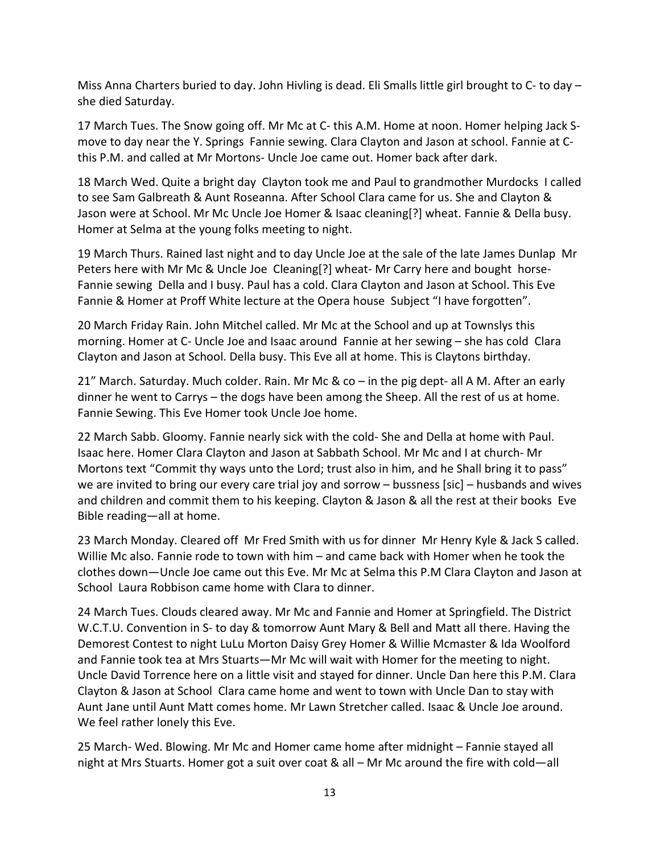Miss Anna Charters buried to day. John Hivling is dead. Eli Smalls little girl brought to C- to day – she died Saturday.

17 March Tues. The Snow going off. Mr Mc at C- this A.M. Home at noon. Homer helping Jack Smove to day near the Y. Springs Fannie sewing. Clara Clayton and Jason at school. Fannie at Cthis P.M. and called at Mr Mortons- Uncle Joe came out. Homer back after dark.

18 March Wed. Quite a bright day Clayton took me and Paul to grandmother Murdocks I called to see Sam Galbreath & Aunt Roseanna. After School Clara came for us. She and Clayton & Jason were at School. Mr Mc Uncle Joe Homer & Isaac cleaning[?] wheat. Fannie & Della busy. Homer at Selma at the young folks meeting to night.

19 March Thurs. Rained last night and to day Uncle Joe at the sale of the late James Dunlap Mr Peters here with Mr Mc & Uncle Joe Cleaning[?] wheat- Mr Carry here and bought horse-Fannie sewing Della and I busy. Paul has a cold. Clara Clayton and Jason at School. This Eve Fannie & Homer at Proff White lecture at the Opera house Subject "I have forgotten".

20 March Friday Rain. John Mitchel called. Mr Mc at the School and up at Townslys this morning. Homer at C- Uncle Joe and Isaac around Fannie at her sewing – she has cold Clara Clayton and Jason at School. Della busy. This Eve all at home. This is Claytons birthday.

21" March. Saturday. Much colder. Rain. Mr Mc & co – in the pig dept- all A M. After an early dinner he went to Carrys – the dogs have been among the Sheep. All the rest of us at home. Fannie Sewing. This Eve Homer took Uncle Joe home.

22 March Sabb. Gloomy. Fannie nearly sick with the cold- She and Della at home with Paul. Isaac here. Homer Clara Clayton and Jason at Sabbath School. Mr Mc and I at church- Mr Mortons text "Commit thy ways unto the Lord; trust also in him, and he Shall bring it to pass" we are invited to bring our every care trial joy and sorrow – bussness [sic] – husbands and wives and children and commit them to his keeping. Clayton & Jason & all the rest at their books Eve Bible reading—all at home.

23 March Monday. Cleared off Mr Fred Smith with us for dinner Mr Henry Kyle & Jack S called. Willie Mc also. Fannie rode to town with him – and came back with Homer when he took the clothes down—Uncle Joe came out this Eve. Mr Mc at Selma this P.M Clara Clayton and Jason at School Laura Robbison came home with Clara to dinner.

24 March Tues. Clouds cleared away. Mr Mc and Fannie and Homer at Springfield. The District W.C.T.U. Convention in S- to day & tomorrow Aunt Mary & Bell and Matt all there. Having the Demorest Contest to night LuLu Morton Daisy Grey Homer & Willie Mcmaster & Ida Woolford and Fannie took tea at Mrs Stuarts—Mr Mc will wait with Homer for the meeting to night. Uncle David Torrence here on a little visit and stayed for dinner. Uncle Dan here this P.M. Clara Clayton & Jason at School Clara came home and went to town with Uncle Dan to stay with Aunt Jane until Aunt Matt comes home. Mr Lawn Stretcher called. Isaac & Uncle Joe around. We feel rather lonely this Eve.

25 March- Wed. Blowing. Mr Mc and Homer came home after midnight – Fannie stayed all night at Mrs Stuarts. Homer got a suit over coat & all – Mr Mc around the fire with cold—all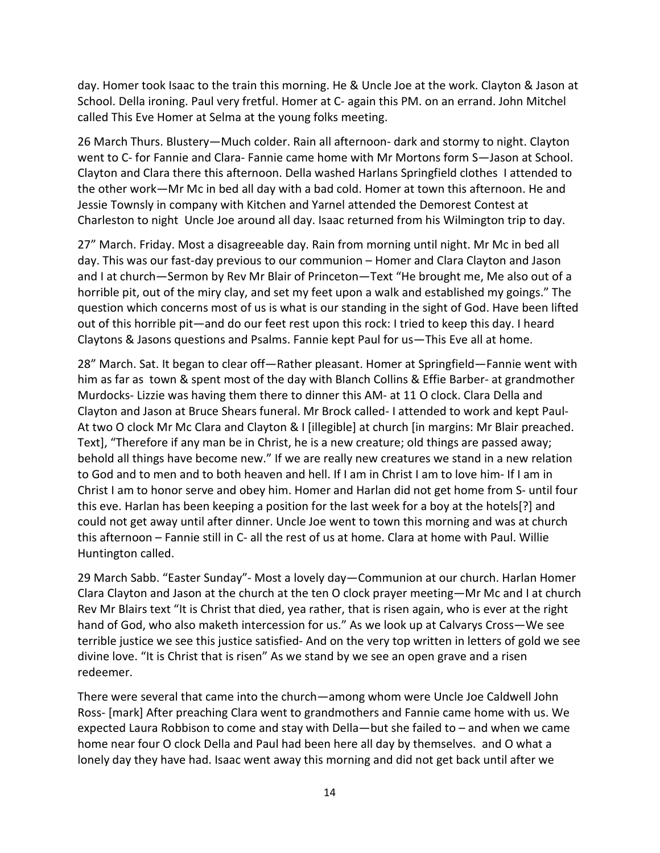day. Homer took Isaac to the train this morning. He & Uncle Joe at the work. Clayton & Jason at School. Della ironing. Paul very fretful. Homer at C- again this PM. on an errand. John Mitchel called This Eve Homer at Selma at the young folks meeting.

26 March Thurs. Blustery—Much colder. Rain all afternoon- dark and stormy to night. Clayton went to C- for Fannie and Clara- Fannie came home with Mr Mortons form S—Jason at School. Clayton and Clara there this afternoon. Della washed Harlans Springfield clothes I attended to the other work—Mr Mc in bed all day with a bad cold. Homer at town this afternoon. He and Jessie Townsly in company with Kitchen and Yarnel attended the Demorest Contest at Charleston to night Uncle Joe around all day. Isaac returned from his Wilmington trip to day.

27" March. Friday. Most a disagreeable day. Rain from morning until night. Mr Mc in bed all day. This was our fast-day previous to our communion – Homer and Clara Clayton and Jason and I at church—Sermon by Rev Mr Blair of Princeton—Text "He brought me, Me also out of a horrible pit, out of the miry clay, and set my feet upon a walk and established my goings." The question which concerns most of us is what is our standing in the sight of God. Have been lifted out of this horrible pit—and do our feet rest upon this rock: I tried to keep this day. I heard Claytons & Jasons questions and Psalms. Fannie kept Paul for us—This Eve all at home.

28" March. Sat. It began to clear off—Rather pleasant. Homer at Springfield—Fannie went with him as far as town & spent most of the day with Blanch Collins & Effie Barber- at grandmother Murdocks- Lizzie was having them there to dinner this AM- at 11 O clock. Clara Della and Clayton and Jason at Bruce Shears funeral. Mr Brock called- I attended to work and kept Paul-At two O clock Mr Mc Clara and Clayton & I [illegible] at church [in margins: Mr Blair preached. Text], "Therefore if any man be in Christ, he is a new creature; old things are passed away; behold all things have become new." If we are really new creatures we stand in a new relation to God and to men and to both heaven and hell. If I am in Christ I am to love him- If I am in Christ I am to honor serve and obey him. Homer and Harlan did not get home from S- until four this eve. Harlan has been keeping a position for the last week for a boy at the hotels[?] and could not get away until after dinner. Uncle Joe went to town this morning and was at church this afternoon – Fannie still in C- all the rest of us at home. Clara at home with Paul. Willie Huntington called.

29 March Sabb. "Easter Sunday"- Most a lovely day—Communion at our church. Harlan Homer Clara Clayton and Jason at the church at the ten O clock prayer meeting—Mr Mc and I at church Rev Mr Blairs text "It is Christ that died, yea rather, that is risen again, who is ever at the right hand of God, who also maketh intercession for us." As we look up at Calvarys Cross—We see terrible justice we see this justice satisfied- And on the very top written in letters of gold we see divine love. "It is Christ that is risen" As we stand by we see an open grave and a risen redeemer.

There were several that came into the church—among whom were Uncle Joe Caldwell John Ross- [mark] After preaching Clara went to grandmothers and Fannie came home with us. We expected Laura Robbison to come and stay with Della—but she failed to – and when we came home near four O clock Della and Paul had been here all day by themselves. and O what a lonely day they have had. Isaac went away this morning and did not get back until after we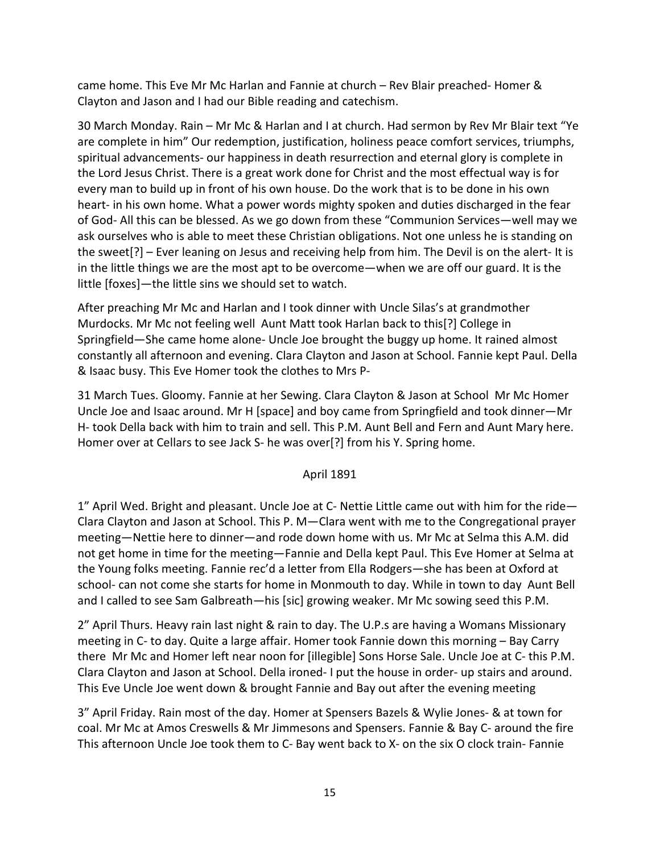came home. This Eve Mr Mc Harlan and Fannie at church – Rev Blair preached- Homer & Clayton and Jason and I had our Bible reading and catechism.

30 March Monday. Rain – Mr Mc & Harlan and I at church. Had sermon by Rev Mr Blair text "Ye are complete in him" Our redemption, justification, holiness peace comfort services, triumphs, spiritual advancements- our happiness in death resurrection and eternal glory is complete in the Lord Jesus Christ. There is a great work done for Christ and the most effectual way is for every man to build up in front of his own house. Do the work that is to be done in his own heart- in his own home. What a power words mighty spoken and duties discharged in the fear of God- All this can be blessed. As we go down from these "Communion Services—well may we ask ourselves who is able to meet these Christian obligations. Not one unless he is standing on the sweet[?] – Ever leaning on Jesus and receiving help from him. The Devil is on the alert- It is in the little things we are the most apt to be overcome—when we are off our guard. It is the little [foxes]—the little sins we should set to watch.

After preaching Mr Mc and Harlan and I took dinner with Uncle Silas's at grandmother Murdocks. Mr Mc not feeling well Aunt Matt took Harlan back to this[?] College in Springfield—She came home alone- Uncle Joe brought the buggy up home. It rained almost constantly all afternoon and evening. Clara Clayton and Jason at School. Fannie kept Paul. Della & Isaac busy. This Eve Homer took the clothes to Mrs P-

31 March Tues. Gloomy. Fannie at her Sewing. Clara Clayton & Jason at School Mr Mc Homer Uncle Joe and Isaac around. Mr H [space] and boy came from Springfield and took dinner—Mr H- took Della back with him to train and sell. This P.M. Aunt Bell and Fern and Aunt Mary here. Homer over at Cellars to see Jack S- he was over[?] from his Y. Spring home.

# April 1891

1" April Wed. Bright and pleasant. Uncle Joe at C- Nettie Little came out with him for the ride— Clara Clayton and Jason at School. This P. M—Clara went with me to the Congregational prayer meeting—Nettie here to dinner—and rode down home with us. Mr Mc at Selma this A.M. did not get home in time for the meeting—Fannie and Della kept Paul. This Eve Homer at Selma at the Young folks meeting. Fannie rec'd a letter from Ella Rodgers—she has been at Oxford at school- can not come she starts for home in Monmouth to day. While in town to day Aunt Bell and I called to see Sam Galbreath—his [sic] growing weaker. Mr Mc sowing seed this P.M.

2" April Thurs. Heavy rain last night & rain to day. The U.P.s are having a Womans Missionary meeting in C- to day. Quite a large affair. Homer took Fannie down this morning – Bay Carry there Mr Mc and Homer left near noon for [illegible] Sons Horse Sale. Uncle Joe at C- this P.M. Clara Clayton and Jason at School. Della ironed- I put the house in order- up stairs and around. This Eve Uncle Joe went down & brought Fannie and Bay out after the evening meeting

3" April Friday. Rain most of the day. Homer at Spensers Bazels & Wylie Jones- & at town for coal. Mr Mc at Amos Creswells & Mr Jimmesons and Spensers. Fannie & Bay C- around the fire This afternoon Uncle Joe took them to C- Bay went back to X- on the six O clock train- Fannie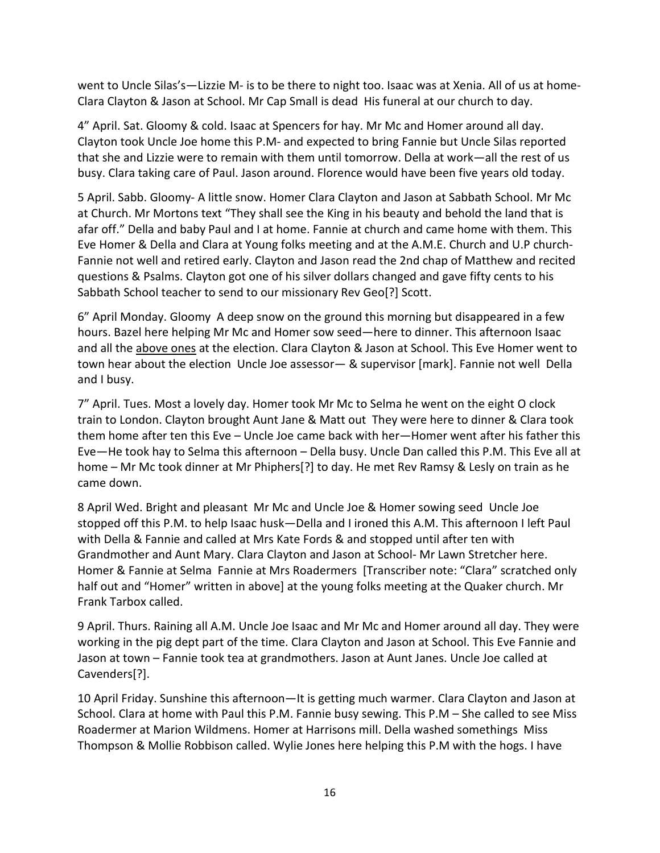went to Uncle Silas's—Lizzie M- is to be there to night too. Isaac was at Xenia. All of us at home-Clara Clayton & Jason at School. Mr Cap Small is dead His funeral at our church to day.

4" April. Sat. Gloomy & cold. Isaac at Spencers for hay. Mr Mc and Homer around all day. Clayton took Uncle Joe home this P.M- and expected to bring Fannie but Uncle Silas reported that she and Lizzie were to remain with them until tomorrow. Della at work—all the rest of us busy. Clara taking care of Paul. Jason around. Florence would have been five years old today.

5 April. Sabb. Gloomy- A little snow. Homer Clara Clayton and Jason at Sabbath School. Mr Mc at Church. Mr Mortons text "They shall see the King in his beauty and behold the land that is afar off." Della and baby Paul and I at home. Fannie at church and came home with them. This Eve Homer & Della and Clara at Young folks meeting and at the A.M.E. Church and U.P church-Fannie not well and retired early. Clayton and Jason read the 2nd chap of Matthew and recited questions & Psalms. Clayton got one of his silver dollars changed and gave fifty cents to his Sabbath School teacher to send to our missionary Rev Geo[?] Scott.

6" April Monday. Gloomy A deep snow on the ground this morning but disappeared in a few hours. Bazel here helping Mr Mc and Homer sow seed—here to dinner. This afternoon Isaac and all the above ones at the election. Clara Clayton & Jason at School. This Eve Homer went to town hear about the election Uncle Joe assessor— & supervisor [mark]. Fannie not well Della and I busy.

7" April. Tues. Most a lovely day. Homer took Mr Mc to Selma he went on the eight O clock train to London. Clayton brought Aunt Jane & Matt out They were here to dinner & Clara took them home after ten this Eve – Uncle Joe came back with her—Homer went after his father this Eve—He took hay to Selma this afternoon – Della busy. Uncle Dan called this P.M. This Eve all at home – Mr Mc took dinner at Mr Phiphers[?] to day. He met Rev Ramsy & Lesly on train as he came down.

8 April Wed. Bright and pleasant Mr Mc and Uncle Joe & Homer sowing seed Uncle Joe stopped off this P.M. to help Isaac husk—Della and I ironed this A.M. This afternoon I left Paul with Della & Fannie and called at Mrs Kate Fords & and stopped until after ten with Grandmother and Aunt Mary. Clara Clayton and Jason at School- Mr Lawn Stretcher here. Homer & Fannie at Selma Fannie at Mrs Roadermers [Transcriber note: "Clara" scratched only half out and "Homer" written in above] at the young folks meeting at the Quaker church. Mr Frank Tarbox called.

9 April. Thurs. Raining all A.M. Uncle Joe Isaac and Mr Mc and Homer around all day. They were working in the pig dept part of the time. Clara Clayton and Jason at School. This Eve Fannie and Jason at town – Fannie took tea at grandmothers. Jason at Aunt Janes. Uncle Joe called at Cavenders[?].

10 April Friday. Sunshine this afternoon—It is getting much warmer. Clara Clayton and Jason at School. Clara at home with Paul this P.M. Fannie busy sewing. This P.M – She called to see Miss Roadermer at Marion Wildmens. Homer at Harrisons mill. Della washed somethings Miss Thompson & Mollie Robbison called. Wylie Jones here helping this P.M with the hogs. I have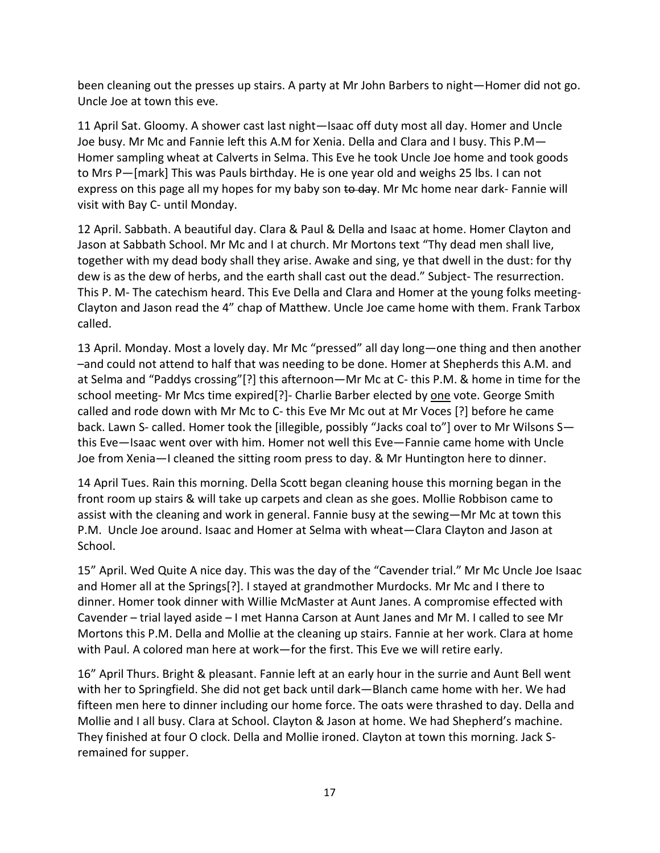been cleaning out the presses up stairs. A party at Mr John Barbers to night—Homer did not go. Uncle Joe at town this eve.

11 April Sat. Gloomy. A shower cast last night—Isaac off duty most all day. Homer and Uncle Joe busy. Mr Mc and Fannie left this A.M for Xenia. Della and Clara and I busy. This P.M— Homer sampling wheat at Calverts in Selma. This Eve he took Uncle Joe home and took goods to Mrs P—[mark] This was Pauls birthday. He is one year old and weighs 25 lbs. I can not express on this page all my hopes for my baby son to day. Mr Mc home near dark- Fannie will visit with Bay C- until Monday.

12 April. Sabbath. A beautiful day. Clara & Paul & Della and Isaac at home. Homer Clayton and Jason at Sabbath School. Mr Mc and I at church. Mr Mortons text "Thy dead men shall live, together with my dead body shall they arise. Awake and sing, ye that dwell in the dust: for thy dew is as the dew of herbs, and the earth shall cast out the dead." Subject- The resurrection. This P. M- The catechism heard. This Eve Della and Clara and Homer at the young folks meeting-Clayton and Jason read the 4" chap of Matthew. Uncle Joe came home with them. Frank Tarbox called.

13 April. Monday. Most a lovely day. Mr Mc "pressed" all day long—one thing and then another –and could not attend to half that was needing to be done. Homer at Shepherds this A.M. and at Selma and "Paddys crossing"[?] this afternoon—Mr Mc at C- this P.M. & home in time for the school meeting- Mr Mcs time expired[?]- Charlie Barber elected by one vote. George Smith called and rode down with Mr Mc to C- this Eve Mr Mc out at Mr Voces [?] before he came back. Lawn S- called. Homer took the [illegible, possibly "Jacks coal to"] over to Mr Wilsons S this Eve—Isaac went over with him. Homer not well this Eve—Fannie came home with Uncle Joe from Xenia—I cleaned the sitting room press to day. & Mr Huntington here to dinner.

14 April Tues. Rain this morning. Della Scott began cleaning house this morning began in the front room up stairs & will take up carpets and clean as she goes. Mollie Robbison came to assist with the cleaning and work in general. Fannie busy at the sewing—Mr Mc at town this P.M. Uncle Joe around. Isaac and Homer at Selma with wheat—Clara Clayton and Jason at School.

15" April. Wed Quite A nice day. This was the day of the "Cavender trial." Mr Mc Uncle Joe Isaac and Homer all at the Springs[?]. I stayed at grandmother Murdocks. Mr Mc and I there to dinner. Homer took dinner with Willie McMaster at Aunt Janes. A compromise effected with Cavender – trial layed aside – I met Hanna Carson at Aunt Janes and Mr M. I called to see Mr Mortons this P.M. Della and Mollie at the cleaning up stairs. Fannie at her work. Clara at home with Paul. A colored man here at work—for the first. This Eve we will retire early.

16" April Thurs. Bright & pleasant. Fannie left at an early hour in the surrie and Aunt Bell went with her to Springfield. She did not get back until dark—Blanch came home with her. We had fifteen men here to dinner including our home force. The oats were thrashed to day. Della and Mollie and I all busy. Clara at School. Clayton & Jason at home. We had Shepherd's machine. They finished at four O clock. Della and Mollie ironed. Clayton at town this morning. Jack Sremained for supper.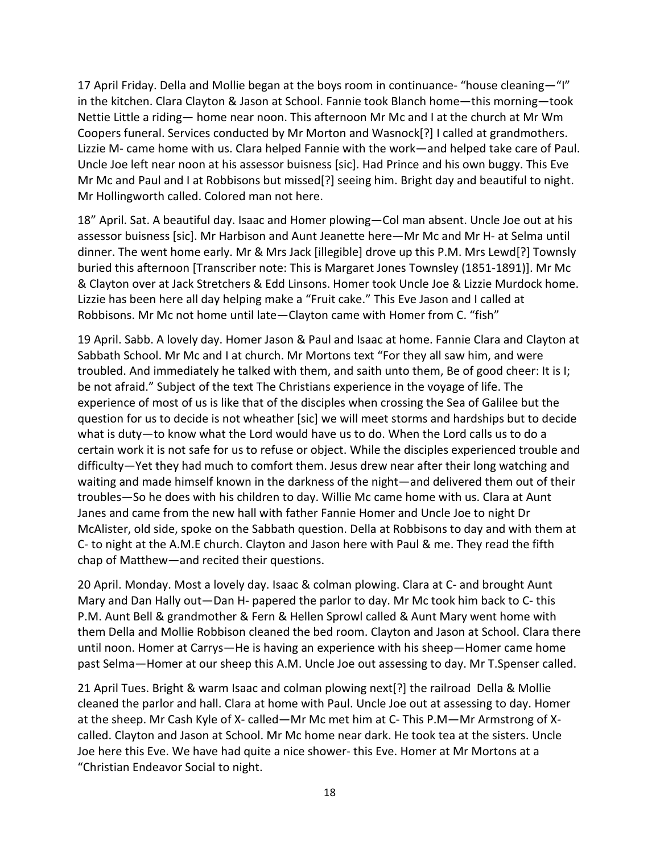17 April Friday. Della and Mollie began at the boys room in continuance- "house cleaning—"I" in the kitchen. Clara Clayton & Jason at School. Fannie took Blanch home—this morning—took Nettie Little a riding— home near noon. This afternoon Mr Mc and I at the church at Mr Wm Coopers funeral. Services conducted by Mr Morton and Wasnock[?] I called at grandmothers. Lizzie M- came home with us. Clara helped Fannie with the work—and helped take care of Paul. Uncle Joe left near noon at his assessor buisness [sic]. Had Prince and his own buggy. This Eve Mr Mc and Paul and I at Robbisons but missed[?] seeing him. Bright day and beautiful to night. Mr Hollingworth called. Colored man not here.

18" April. Sat. A beautiful day. Isaac and Homer plowing—Col man absent. Uncle Joe out at his assessor buisness [sic]. Mr Harbison and Aunt Jeanette here—Mr Mc and Mr H- at Selma until dinner. The went home early. Mr & Mrs Jack [illegible] drove up this P.M. Mrs Lewd[?] Townsly buried this afternoon [Transcriber note: This is Margaret Jones Townsley (1851-1891)]. Mr Mc & Clayton over at Jack Stretchers & Edd Linsons. Homer took Uncle Joe & Lizzie Murdock home. Lizzie has been here all day helping make a "Fruit cake." This Eve Jason and I called at Robbisons. Mr Mc not home until late—Clayton came with Homer from C. "fish"

19 April. Sabb. A lovely day. Homer Jason & Paul and Isaac at home. Fannie Clara and Clayton at Sabbath School. Mr Mc and I at church. Mr Mortons text "For they all saw him, and were troubled. And immediately he talked with them, and saith unto them, Be of good cheer: It is I; be not afraid." Subject of the text The Christians experience in the voyage of life. The experience of most of us is like that of the disciples when crossing the Sea of Galilee but the question for us to decide is not wheather [sic] we will meet storms and hardships but to decide what is duty—to know what the Lord would have us to do. When the Lord calls us to do a certain work it is not safe for us to refuse or object. While the disciples experienced trouble and difficulty—Yet they had much to comfort them. Jesus drew near after their long watching and waiting and made himself known in the darkness of the night—and delivered them out of their troubles—So he does with his children to day. Willie Mc came home with us. Clara at Aunt Janes and came from the new hall with father Fannie Homer and Uncle Joe to night Dr McAlister, old side, spoke on the Sabbath question. Della at Robbisons to day and with them at C- to night at the A.M.E church. Clayton and Jason here with Paul & me. They read the fifth chap of Matthew—and recited their questions.

20 April. Monday. Most a lovely day. Isaac & colman plowing. Clara at C- and brought Aunt Mary and Dan Hally out—Dan H- papered the parlor to day. Mr Mc took him back to C- this P.M. Aunt Bell & grandmother & Fern & Hellen Sprowl called & Aunt Mary went home with them Della and Mollie Robbison cleaned the bed room. Clayton and Jason at School. Clara there until noon. Homer at Carrys—He is having an experience with his sheep—Homer came home past Selma—Homer at our sheep this A.M. Uncle Joe out assessing to day. Mr T.Spenser called.

21 April Tues. Bright & warm Isaac and colman plowing next[?] the railroad Della & Mollie cleaned the parlor and hall. Clara at home with Paul. Uncle Joe out at assessing to day. Homer at the sheep. Mr Cash Kyle of X- called—Mr Mc met him at C- This P.M—Mr Armstrong of Xcalled. Clayton and Jason at School. Mr Mc home near dark. He took tea at the sisters. Uncle Joe here this Eve. We have had quite a nice shower- this Eve. Homer at Mr Mortons at a "Christian Endeavor Social to night.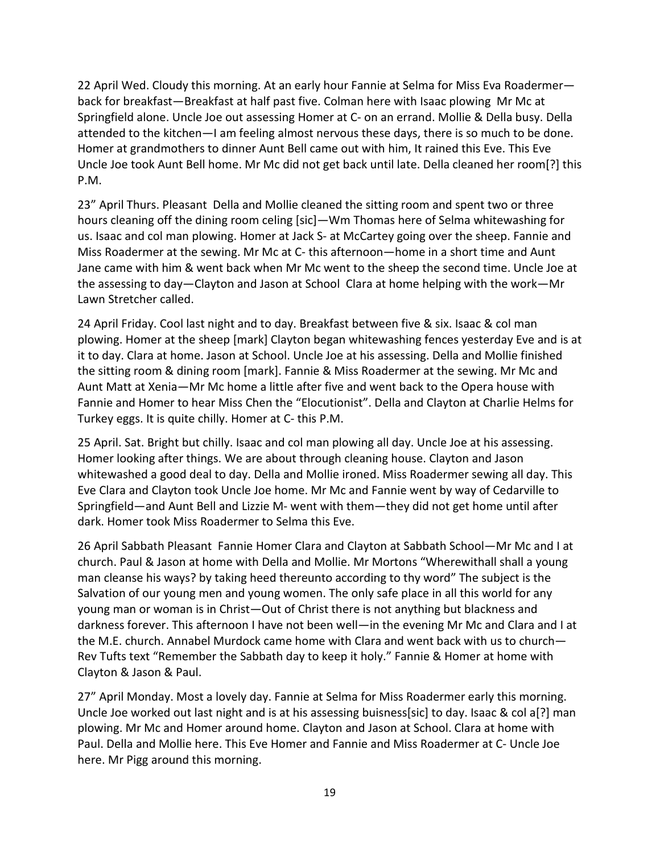22 April Wed. Cloudy this morning. At an early hour Fannie at Selma for Miss Eva Roadermer back for breakfast—Breakfast at half past five. Colman here with Isaac plowing Mr Mc at Springfield alone. Uncle Joe out assessing Homer at C- on an errand. Mollie & Della busy. Della attended to the kitchen—I am feeling almost nervous these days, there is so much to be done. Homer at grandmothers to dinner Aunt Bell came out with him, It rained this Eve. This Eve Uncle Joe took Aunt Bell home. Mr Mc did not get back until late. Della cleaned her room[?] this P.M.

23" April Thurs. Pleasant Della and Mollie cleaned the sitting room and spent two or three hours cleaning off the dining room celing [sic]—Wm Thomas here of Selma whitewashing for us. Isaac and col man plowing. Homer at Jack S- at McCartey going over the sheep. Fannie and Miss Roadermer at the sewing. Mr Mc at C- this afternoon—home in a short time and Aunt Jane came with him & went back when Mr Mc went to the sheep the second time. Uncle Joe at the assessing to day—Clayton and Jason at School Clara at home helping with the work—Mr Lawn Stretcher called.

24 April Friday. Cool last night and to day. Breakfast between five & six. Isaac & col man plowing. Homer at the sheep [mark] Clayton began whitewashing fences yesterday Eve and is at it to day. Clara at home. Jason at School. Uncle Joe at his assessing. Della and Mollie finished the sitting room & dining room [mark]. Fannie & Miss Roadermer at the sewing. Mr Mc and Aunt Matt at Xenia—Mr Mc home a little after five and went back to the Opera house with Fannie and Homer to hear Miss Chen the "Elocutionist". Della and Clayton at Charlie Helms for Turkey eggs. It is quite chilly. Homer at C- this P.M.

25 April. Sat. Bright but chilly. Isaac and col man plowing all day. Uncle Joe at his assessing. Homer looking after things. We are about through cleaning house. Clayton and Jason whitewashed a good deal to day. Della and Mollie ironed. Miss Roadermer sewing all day. This Eve Clara and Clayton took Uncle Joe home. Mr Mc and Fannie went by way of Cedarville to Springfield—and Aunt Bell and Lizzie M- went with them—they did not get home until after dark. Homer took Miss Roadermer to Selma this Eve.

26 April Sabbath Pleasant Fannie Homer Clara and Clayton at Sabbath School—Mr Mc and I at church. Paul & Jason at home with Della and Mollie. Mr Mortons "Wherewithall shall a young man cleanse his ways? by taking heed thereunto according to thy word" The subject is the Salvation of our young men and young women. The only safe place in all this world for any young man or woman is in Christ—Out of Christ there is not anything but blackness and darkness forever. This afternoon I have not been well—in the evening Mr Mc and Clara and I at the M.E. church. Annabel Murdock came home with Clara and went back with us to church— Rev Tufts text "Remember the Sabbath day to keep it holy." Fannie & Homer at home with Clayton & Jason & Paul.

27" April Monday. Most a lovely day. Fannie at Selma for Miss Roadermer early this morning. Uncle Joe worked out last night and is at his assessing buisness[sic] to day. Isaac & col a[?] man plowing. Mr Mc and Homer around home. Clayton and Jason at School. Clara at home with Paul. Della and Mollie here. This Eve Homer and Fannie and Miss Roadermer at C- Uncle Joe here. Mr Pigg around this morning.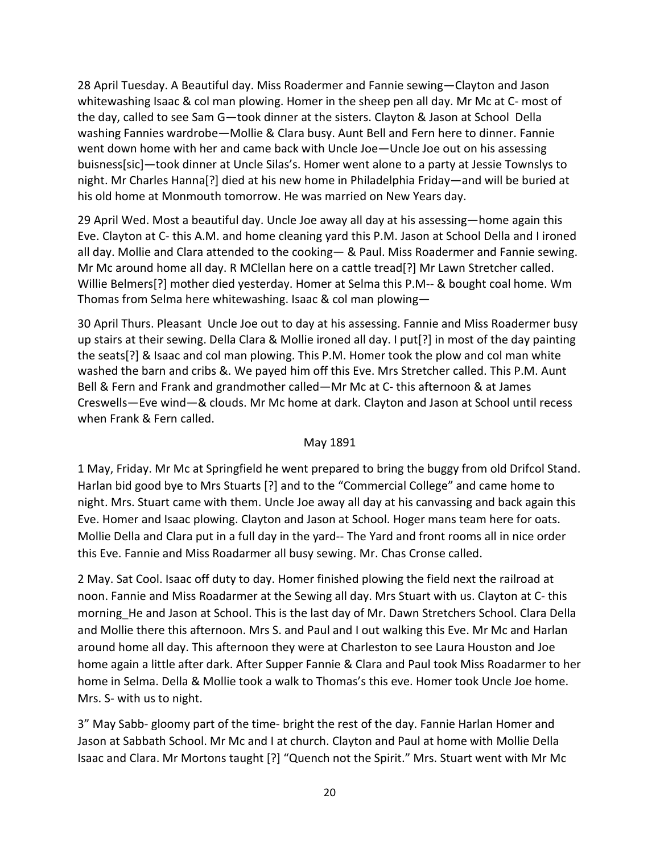28 April Tuesday. A Beautiful day. Miss Roadermer and Fannie sewing—Clayton and Jason whitewashing Isaac & col man plowing. Homer in the sheep pen all day. Mr Mc at C- most of the day, called to see Sam G—took dinner at the sisters. Clayton & Jason at School Della washing Fannies wardrobe—Mollie & Clara busy. Aunt Bell and Fern here to dinner. Fannie went down home with her and came back with Uncle Joe—Uncle Joe out on his assessing buisness[sic]—took dinner at Uncle Silas's. Homer went alone to a party at Jessie Townslys to night. Mr Charles Hanna[?] died at his new home in Philadelphia Friday—and will be buried at his old home at Monmouth tomorrow. He was married on New Years day.

29 April Wed. Most a beautiful day. Uncle Joe away all day at his assessing—home again this Eve. Clayton at C- this A.M. and home cleaning yard this P.M. Jason at School Della and I ironed all day. Mollie and Clara attended to the cooking— & Paul. Miss Roadermer and Fannie sewing. Mr Mc around home all day. R MClellan here on a cattle tread[?] Mr Lawn Stretcher called. Willie Belmers[?] mother died yesterday. Homer at Selma this P.M-- & bought coal home. Wm Thomas from Selma here whitewashing. Isaac & col man plowing—

30 April Thurs. Pleasant Uncle Joe out to day at his assessing. Fannie and Miss Roadermer busy up stairs at their sewing. Della Clara & Mollie ironed all day. I put[?] in most of the day painting the seats[?] & Isaac and col man plowing. This P.M. Homer took the plow and col man white washed the barn and cribs &. We payed him off this Eve. Mrs Stretcher called. This P.M. Aunt Bell & Fern and Frank and grandmother called—Mr Mc at C- this afternoon & at James Creswells—Eve wind—& clouds. Mr Mc home at dark. Clayton and Jason at School until recess when Frank & Fern called.

#### May 1891

1 May, Friday. Mr Mc at Springfield he went prepared to bring the buggy from old Drifcol Stand. Harlan bid good bye to Mrs Stuarts [?] and to the "Commercial College" and came home to night. Mrs. Stuart came with them. Uncle Joe away all day at his canvassing and back again this Eve. Homer and Isaac plowing. Clayton and Jason at School. Hoger mans team here for oats. Mollie Della and Clara put in a full day in the yard-- The Yard and front rooms all in nice order this Eve. Fannie and Miss Roadarmer all busy sewing. Mr. Chas Cronse called.

2 May. Sat Cool. Isaac off duty to day. Homer finished plowing the field next the railroad at noon. Fannie and Miss Roadarmer at the Sewing all day. Mrs Stuart with us. Clayton at C- this morning He and Jason at School. This is the last day of Mr. Dawn Stretchers School. Clara Della and Mollie there this afternoon. Mrs S. and Paul and I out walking this Eve. Mr Mc and Harlan around home all day. This afternoon they were at Charleston to see Laura Houston and Joe home again a little after dark. After Supper Fannie & Clara and Paul took Miss Roadarmer to her home in Selma. Della & Mollie took a walk to Thomas's this eve. Homer took Uncle Joe home. Mrs. S- with us to night.

3" May Sabb- gloomy part of the time- bright the rest of the day. Fannie Harlan Homer and Jason at Sabbath School. Mr Mc and I at church. Clayton and Paul at home with Mollie Della Isaac and Clara. Mr Mortons taught [?] "Quench not the Spirit." Mrs. Stuart went with Mr Mc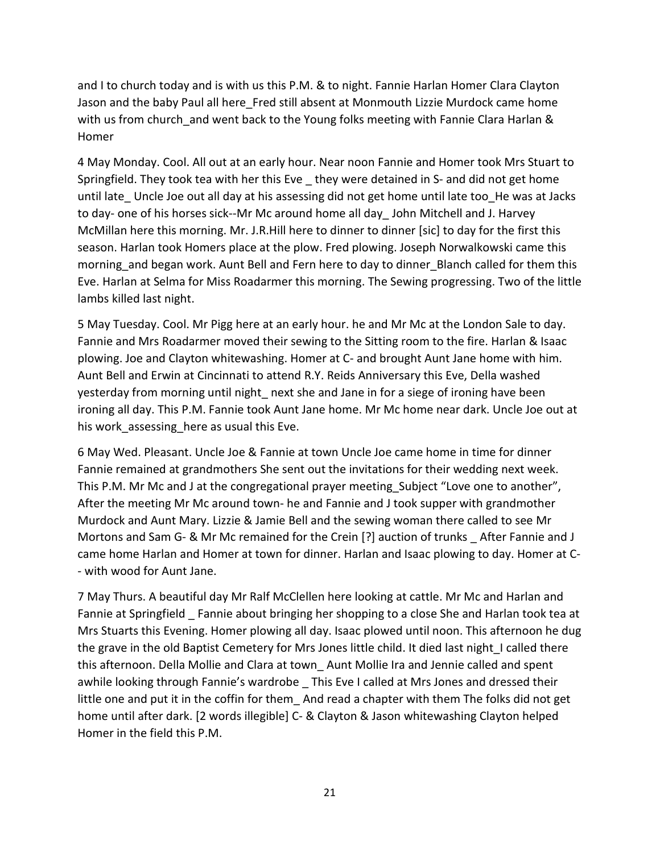and I to church today and is with us this P.M. & to night. Fannie Harlan Homer Clara Clayton Jason and the baby Paul all here Fred still absent at Monmouth Lizzie Murdock came home with us from church and went back to the Young folks meeting with Fannie Clara Harlan & Homer

4 May Monday. Cool. All out at an early hour. Near noon Fannie and Homer took Mrs Stuart to Springfield. They took tea with her this Eve they were detained in S- and did not get home until late Uncle Joe out all day at his assessing did not get home until late too He was at Jacks to day- one of his horses sick--Mr Mc around home all day\_ John Mitchell and J. Harvey McMillan here this morning. Mr. J.R.Hill here to dinner to dinner [sic] to day for the first this season. Harlan took Homers place at the plow. Fred plowing. Joseph Norwalkowski came this morning\_and began work. Aunt Bell and Fern here to day to dinner\_Blanch called for them this Eve. Harlan at Selma for Miss Roadarmer this morning. The Sewing progressing. Two of the little lambs killed last night.

5 May Tuesday. Cool. Mr Pigg here at an early hour. he and Mr Mc at the London Sale to day. Fannie and Mrs Roadarmer moved their sewing to the Sitting room to the fire. Harlan & Isaac plowing. Joe and Clayton whitewashing. Homer at C- and brought Aunt Jane home with him. Aunt Bell and Erwin at Cincinnati to attend R.Y. Reids Anniversary this Eve, Della washed yesterday from morning until night next she and Jane in for a siege of ironing have been ironing all day. This P.M. Fannie took Aunt Jane home. Mr Mc home near dark. Uncle Joe out at his work assessing here as usual this Eve.

6 May Wed. Pleasant. Uncle Joe & Fannie at town Uncle Joe came home in time for dinner Fannie remained at grandmothers She sent out the invitations for their wedding next week. This P.M. Mr Mc and J at the congregational prayer meeting Subject "Love one to another", After the meeting Mr Mc around town- he and Fannie and J took supper with grandmother Murdock and Aunt Mary. Lizzie & Jamie Bell and the sewing woman there called to see Mr Mortons and Sam G- & Mr Mc remained for the Crein [?] auction of trunks \_ After Fannie and J came home Harlan and Homer at town for dinner. Harlan and Isaac plowing to day. Homer at C- - with wood for Aunt Jane.

7 May Thurs. A beautiful day Mr Ralf McClellen here looking at cattle. Mr Mc and Harlan and Fannie at Springfield Fannie about bringing her shopping to a close She and Harlan took tea at Mrs Stuarts this Evening. Homer plowing all day. Isaac plowed until noon. This afternoon he dug the grave in the old Baptist Cemetery for Mrs Jones little child. It died last night\_I called there this afternoon. Della Mollie and Clara at town\_ Aunt Mollie Ira and Jennie called and spent awhile looking through Fannie's wardrobe This Eve I called at Mrs Jones and dressed their little one and put it in the coffin for them And read a chapter with them The folks did not get home until after dark. [2 words illegible] C- & Clayton & Jason whitewashing Clayton helped Homer in the field this P.M.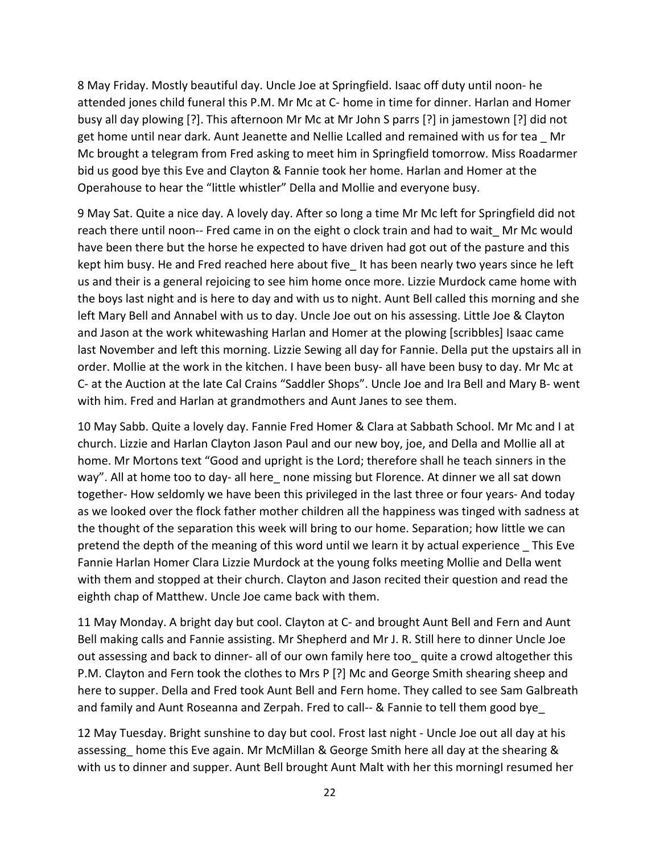8 May Friday. Mostly beautiful day. Uncle Joe at Springfield. Isaac off duty until noon- he attended jones child funeral this P.M. Mr Mc at C- home in time for dinner. Harlan and Homer busy all day plowing [?]. This afternoon Mr Mc at Mr John S parrs [?] in jamestown [?] did not get home until near dark. Aunt Jeanette and Nellie Lcalled and remained with us for tea Mr Mc brought a telegram from Fred asking to meet him in Springfield tomorrow. Miss Roadarmer bid us good bye this Eve and Clayton & Fannie took her home. Harlan and Homer at the Operahouse to hear the "little whistler" Della and Mollie and everyone busy.

9 May Sat. Quite a nice day. A lovely day. After so long a time Mr Mc left for Springfield did not reach there until noon-- Fred came in on the eight o clock train and had to wait\_ Mr Mc would have been there but the horse he expected to have driven had got out of the pasture and this kept him busy. He and Fred reached here about five\_ It has been nearly two years since he left us and their is a general rejoicing to see him home once more. Lizzie Murdock came home with the boys last night and is here to day and with us to night. Aunt Bell called this morning and she left Mary Bell and Annabel with us to day. Uncle Joe out on his assessing. Little Joe & Clayton and Jason at the work whitewashing Harlan and Homer at the plowing [scribbles] Isaac came last November and left this morning. Lizzie Sewing all day for Fannie. Della put the upstairs all in order. Mollie at the work in the kitchen. I have been busy- all have been busy to day. Mr Mc at C- at the Auction at the late Cal Crains "Saddler Shops". Uncle Joe and Ira Bell and Mary B- went with him. Fred and Harlan at grandmothers and Aunt Janes to see them.

10 May Sabb. Quite a lovely day. Fannie Fred Homer & Clara at Sabbath School. Mr Mc and I at church. Lizzie and Harlan Clayton Jason Paul and our new boy, joe, and Della and Mollie all at home. Mr Mortons text "Good and upright is the Lord; therefore shall he teach sinners in the way". All at home too to day- all here none missing but Florence. At dinner we all sat down together- How seldomly we have been this privileged in the last three or four years- And today as we looked over the flock father mother children all the happiness was tinged with sadness at the thought of the separation this week will bring to our home. Separation; how little we can pretend the depth of the meaning of this word until we learn it by actual experience \_ This Eve Fannie Harlan Homer Clara Lizzie Murdock at the young folks meeting Mollie and Della went with them and stopped at their church. Clayton and Jason recited their question and read the eighth chap of Matthew. Uncle Joe came back with them.

11 May Monday. A bright day but cool. Clayton at C- and brought Aunt Bell and Fern and Aunt Bell making calls and Fannie assisting. Mr Shepherd and Mr J. R. Still here to dinner Uncle Joe out assessing and back to dinner- all of our own family here too\_ quite a crowd altogether this P.M. Clayton and Fern took the clothes to Mrs P [?] Mc and George Smith shearing sheep and here to supper. Della and Fred took Aunt Bell and Fern home. They called to see Sam Galbreath and family and Aunt Roseanna and Zerpah. Fred to call-- & Fannie to tell them good bye\_

12 May Tuesday. Bright sunshine to day but cool. Frost last night - Uncle Joe out all day at his assessing home this Eve again. Mr McMillan & George Smith here all day at the shearing & with us to dinner and supper. Aunt Bell brought Aunt Malt with her this morning resumed her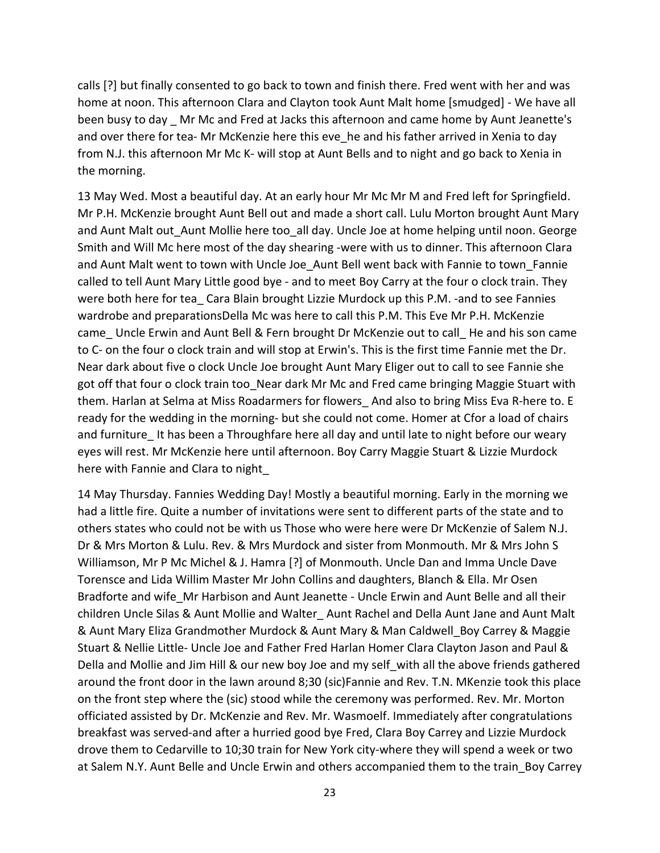calls [?] but finally consented to go back to town and finish there. Fred went with her and was home at noon. This afternoon Clara and Clayton took Aunt Malt home [smudged] - We have all been busy to day \_ Mr Mc and Fred at Jacks this afternoon and came home by Aunt Jeanette's and over there for tea- Mr McKenzie here this eve he and his father arrived in Xenia to day from N.J. this afternoon Mr Mc K- will stop at Aunt Bells and to night and go back to Xenia in the morning.

13 May Wed. Most a beautiful day. At an early hour Mr Mc Mr M and Fred left for Springfield. Mr P.H. McKenzie brought Aunt Bell out and made a short call. Lulu Morton brought Aunt Mary and Aunt Malt out\_Aunt Mollie here too\_all day. Uncle Joe at home helping until noon. George Smith and Will Mc here most of the day shearing -were with us to dinner. This afternoon Clara and Aunt Malt went to town with Uncle Joe\_Aunt Bell went back with Fannie to town\_Fannie called to tell Aunt Mary Little good bye - and to meet Boy Carry at the four o clock train. They were both here for tea\_ Cara Blain brought Lizzie Murdock up this P.M. -and to see Fannies wardrobe and preparationsDella Mc was here to call this P.M. This Eve Mr P.H. McKenzie came\_ Uncle Erwin and Aunt Bell & Fern brought Dr McKenzie out to call\_ He and his son came to C- on the four o clock train and will stop at Erwin's. This is the first time Fannie met the Dr. Near dark about five o clock Uncle Joe brought Aunt Mary Eliger out to call to see Fannie she got off that four o clock train too Near dark Mr Mc and Fred came bringing Maggie Stuart with them. Harlan at Selma at Miss Roadarmers for flowers\_ And also to bring Miss Eva R-here to. E ready for the wedding in the morning- but she could not come. Homer at Cfor a load of chairs and furniture It has been a Throughfare here all day and until late to night before our weary eyes will rest. Mr McKenzie here until afternoon. Boy Carry Maggie Stuart & Lizzie Murdock here with Fannie and Clara to night\_

14 May Thursday. Fannies Wedding Day! Mostly a beautiful morning. Early in the morning we had a little fire. Quite a number of invitations were sent to different parts of the state and to others states who could not be with us Those who were here were Dr McKenzie of Salem N.J. Dr & Mrs Morton & Lulu. Rev. & Mrs Murdock and sister from Monmouth. Mr & Mrs John S Williamson, Mr P Mc Michel & J. Hamra [?] of Monmouth. Uncle Dan and Imma Uncle Dave Torensce and Lida Willim Master Mr John Collins and daughters, Blanch & Ella. Mr Osen Bradforte and wife\_Mr Harbison and Aunt Jeanette - Uncle Erwin and Aunt Belle and all their children Uncle Silas & Aunt Mollie and Walter\_ Aunt Rachel and Della Aunt Jane and Aunt Malt & Aunt Mary Eliza Grandmother Murdock & Aunt Mary & Man Caldwell\_Boy Carrey & Maggie Stuart & Nellie Little- Uncle Joe and Father Fred Harlan Homer Clara Clayton Jason and Paul & Della and Mollie and Jim Hill & our new boy Joe and my self with all the above friends gathered around the front door in the lawn around 8;30 (sic)Fannie and Rev. T.N. MKenzie took this place on the front step where the (sic) stood while the ceremony was performed. Rev. Mr. Morton officiated assisted by Dr. McKenzie and Rev. Mr. Wasmoelf. Immediately after congratulations breakfast was served-and after a hurried good bye Fred, Clara Boy Carrey and Lizzie Murdock drove them to Cedarville to 10;30 train for New York city-where they will spend a week or two at Salem N.Y. Aunt Belle and Uncle Erwin and others accompanied them to the train\_Boy Carrey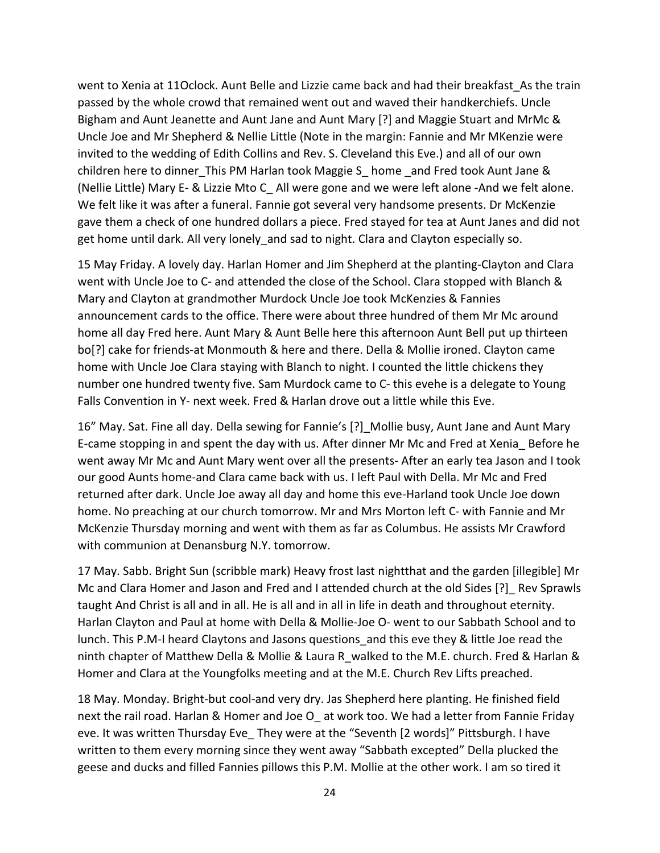went to Xenia at 11Oclock. Aunt Belle and Lizzie came back and had their breakfast As the train passed by the whole crowd that remained went out and waved their handkerchiefs. Uncle Bigham and Aunt Jeanette and Aunt Jane and Aunt Mary [?] and Maggie Stuart and MrMc & Uncle Joe and Mr Shepherd & Nellie Little (Note in the margin: Fannie and Mr MKenzie were invited to the wedding of Edith Collins and Rev. S. Cleveland this Eve.) and all of our own children here to dinner\_This PM Harlan took Maggie S\_ home \_and Fred took Aunt Jane & (Nellie Little) Mary E- & Lizzie Mto C\_ All were gone and we were left alone -And we felt alone. We felt like it was after a funeral. Fannie got several very handsome presents. Dr McKenzie gave them a check of one hundred dollars a piece. Fred stayed for tea at Aunt Janes and did not get home until dark. All very lonely and sad to night. Clara and Clayton especially so.

15 May Friday. A lovely day. Harlan Homer and Jim Shepherd at the planting-Clayton and Clara went with Uncle Joe to C- and attended the close of the School. Clara stopped with Blanch & Mary and Clayton at grandmother Murdock Uncle Joe took McKenzies & Fannies announcement cards to the office. There were about three hundred of them Mr Mc around home all day Fred here. Aunt Mary & Aunt Belle here this afternoon Aunt Bell put up thirteen bo[?] cake for friends-at Monmouth & here and there. Della & Mollie ironed. Clayton came home with Uncle Joe Clara staying with Blanch to night. I counted the little chickens they number one hundred twenty five. Sam Murdock came to C- this evehe is a delegate to Young Falls Convention in Y- next week. Fred & Harlan drove out a little while this Eve.

16" May. Sat. Fine all day. Della sewing for Fannie's [?] Mollie busy, Aunt Jane and Aunt Mary E-came stopping in and spent the day with us. After dinner Mr Mc and Fred at Xenia\_ Before he went away Mr Mc and Aunt Mary went over all the presents- After an early tea Jason and I took our good Aunts home-and Clara came back with us. I left Paul with Della. Mr Mc and Fred returned after dark. Uncle Joe away all day and home this eve-Harland took Uncle Joe down home. No preaching at our church tomorrow. Mr and Mrs Morton left C- with Fannie and Mr McKenzie Thursday morning and went with them as far as Columbus. He assists Mr Crawford with communion at Denansburg N.Y. tomorrow.

17 May. Sabb. Bright Sun (scribble mark) Heavy frost last nightthat and the garden [illegible] Mr Mc and Clara Homer and Jason and Fred and I attended church at the old Sides [?]\_ Rev Sprawls taught And Christ is all and in all. He is all and in all in life in death and throughout eternity. Harlan Clayton and Paul at home with Della & Mollie-Joe O- went to our Sabbath School and to lunch. This P.M-I heard Claytons and Jasons questions\_and this eve they & little Joe read the ninth chapter of Matthew Della & Mollie & Laura R\_walked to the M.E. church. Fred & Harlan & Homer and Clara at the Youngfolks meeting and at the M.E. Church Rev Lifts preached.

18 May. Monday. Bright-but cool-and very dry. Jas Shepherd here planting. He finished field next the rail road. Harlan & Homer and Joe O\_ at work too. We had a letter from Fannie Friday eve. It was written Thursday Eve\_ They were at the "Seventh [2 words]" Pittsburgh. I have written to them every morning since they went away "Sabbath excepted" Della plucked the geese and ducks and filled Fannies pillows this P.M. Mollie at the other work. I am so tired it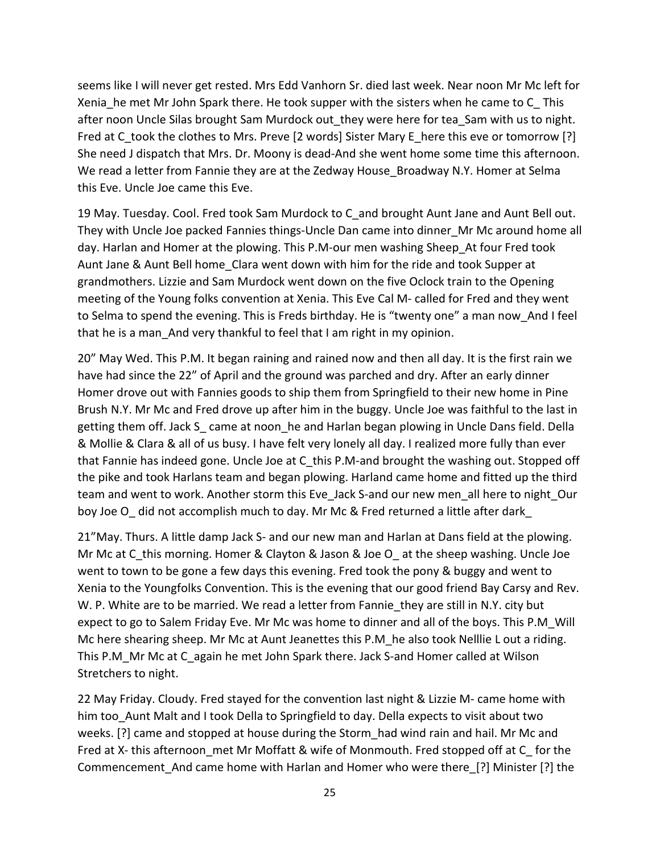seems like I will never get rested. Mrs Edd Vanhorn Sr. died last week. Near noon Mr Mc left for Xenia he met Mr John Spark there. He took supper with the sisters when he came to C This after noon Uncle Silas brought Sam Murdock out they were here for tea Sam with us to night. Fred at C\_took the clothes to Mrs. Preve [2 words] Sister Mary E\_here this eve or tomorrow [?] She need J dispatch that Mrs. Dr. Moony is dead-And she went home some time this afternoon. We read a letter from Fannie they are at the Zedway House\_Broadway N.Y. Homer at Selma this Eve. Uncle Joe came this Eve.

19 May. Tuesday. Cool. Fred took Sam Murdock to C\_and brought Aunt Jane and Aunt Bell out. They with Uncle Joe packed Fannies things-Uncle Dan came into dinner\_Mr Mc around home all day. Harlan and Homer at the plowing. This P.M-our men washing Sheep\_At four Fred took Aunt Jane & Aunt Bell home\_Clara went down with him for the ride and took Supper at grandmothers. Lizzie and Sam Murdock went down on the five Oclock train to the Opening meeting of the Young folks convention at Xenia. This Eve Cal M- called for Fred and they went to Selma to spend the evening. This is Freds birthday. He is "twenty one" a man now\_And I feel that he is a man And very thankful to feel that I am right in my opinion.

20" May Wed. This P.M. It began raining and rained now and then all day. It is the first rain we have had since the 22" of April and the ground was parched and dry. After an early dinner Homer drove out with Fannies goods to ship them from Springfield to their new home in Pine Brush N.Y. Mr Mc and Fred drove up after him in the buggy. Uncle Joe was faithful to the last in getting them off. Jack S came at noon he and Harlan began plowing in Uncle Dans field. Della & Mollie & Clara & all of us busy. I have felt very lonely all day. I realized more fully than ever that Fannie has indeed gone. Uncle Joe at C this P.M-and brought the washing out. Stopped off the pike and took Harlans team and began plowing. Harland came home and fitted up the third team and went to work. Another storm this Eve Jack S-and our new men all here to night Our boy Joe O did not accomplish much to day. Mr Mc & Fred returned a little after dark

21"May. Thurs. A little damp Jack S- and our new man and Harlan at Dans field at the plowing. Mr Mc at C this morning. Homer & Clayton & Jason & Joe O at the sheep washing. Uncle Joe went to town to be gone a few days this evening. Fred took the pony & buggy and went to Xenia to the Youngfolks Convention. This is the evening that our good friend Bay Carsy and Rev. W. P. White are to be married. We read a letter from Fannie they are still in N.Y. city but expect to go to Salem Friday Eve. Mr Mc was home to dinner and all of the boys. This P.M\_Will Mc here shearing sheep. Mr Mc at Aunt Jeanettes this P.M\_he also took Nelllie L out a riding. This P.M\_Mr Mc at C\_again he met John Spark there. Jack S-and Homer called at Wilson Stretchers to night.

22 May Friday. Cloudy. Fred stayed for the convention last night & Lizzie M- came home with him too\_Aunt Malt and I took Della to Springfield to day. Della expects to visit about two weeks. [?] came and stopped at house during the Storm\_had wind rain and hail. Mr Mc and Fred at X- this afternoon met Mr Moffatt & wife of Monmouth. Fred stopped off at C for the Commencement\_And came home with Harlan and Homer who were there\_[?] Minister [?] the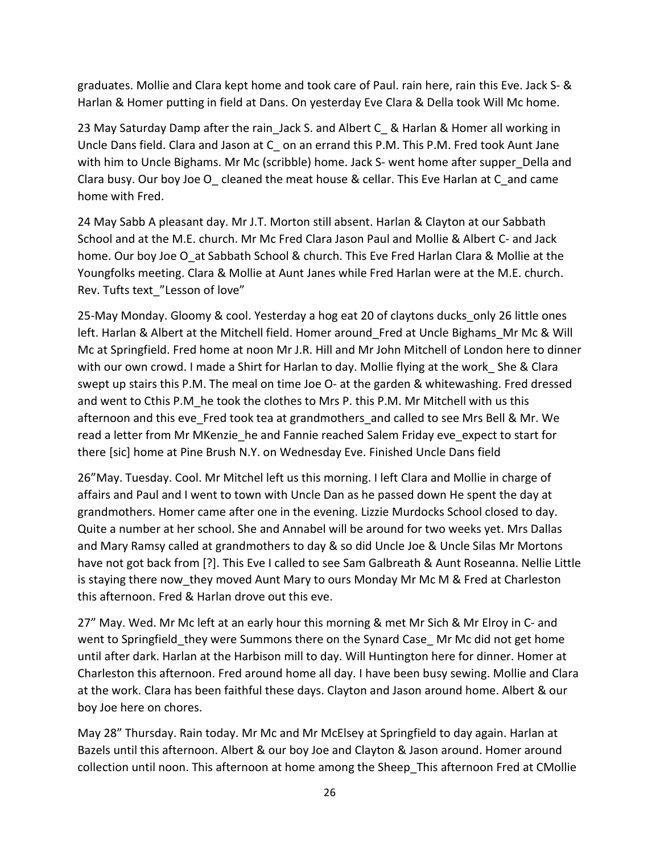graduates. Mollie and Clara kept home and took care of Paul. rain here, rain this Eve. Jack S- & Harlan & Homer putting in field at Dans. On yesterday Eve Clara & Della took Will Mc home.

23 May Saturday Damp after the rain Jack S. and Albert C & Harlan & Homer all working in Uncle Dans field. Clara and Jason at C\_ on an errand this P.M. This P.M. Fred took Aunt Jane with him to Uncle Bighams. Mr Mc (scribble) home. Jack S- went home after supper Della and Clara busy. Our boy Joe O\_ cleaned the meat house & cellar. This Eve Harlan at C\_and came home with Fred.

24 May Sabb A pleasant day. Mr J.T. Morton still absent. Harlan & Clayton at our Sabbath School and at the M.E. church. Mr Mc Fred Clara Jason Paul and Mollie & Albert C- and Jack home. Our boy Joe O at Sabbath School & church. This Eve Fred Harlan Clara & Mollie at the Youngfolks meeting. Clara & Mollie at Aunt Janes while Fred Harlan were at the M.E. church. Rev. Tufts text\_"Lesson of love"

25-May Monday. Gloomy & cool. Yesterday a hog eat 20 of claytons ducks\_only 26 little ones left. Harlan & Albert at the Mitchell field. Homer around\_Fred at Uncle Bighams\_Mr Mc & Will Mc at Springfield. Fred home at noon Mr J.R. Hill and Mr John Mitchell of London here to dinner with our own crowd. I made a Shirt for Harlan to day. Mollie flying at the work She & Clara swept up stairs this P.M. The meal on time Joe O- at the garden & whitewashing. Fred dressed and went to Cthis P.M he took the clothes to Mrs P. this P.M. Mr Mitchell with us this afternoon and this eve\_Fred took tea at grandmothers\_and called to see Mrs Bell & Mr. We read a letter from Mr MKenzie\_he and Fannie reached Salem Friday eve\_expect to start for there [sic] home at Pine Brush N.Y. on Wednesday Eve. Finished Uncle Dans field

26"May. Tuesday. Cool. Mr Mitchel left us this morning. I left Clara and Mollie in charge of affairs and Paul and I went to town with Uncle Dan as he passed down He spent the day at grandmothers. Homer came after one in the evening. Lizzie Murdocks School closed to day. Quite a number at her school. She and Annabel will be around for two weeks yet. Mrs Dallas and Mary Ramsy called at grandmothers to day & so did Uncle Joe & Uncle Silas Mr Mortons have not got back from [?]. This Eve I called to see Sam Galbreath & Aunt Roseanna. Nellie Little is staying there now they moved Aunt Mary to ours Monday Mr Mc M & Fred at Charleston this afternoon. Fred & Harlan drove out this eve.

27" May. Wed. Mr Mc left at an early hour this morning & met Mr Sich & Mr Elroy in C- and went to Springfield they were Summons there on the Synard Case Mr Mc did not get home until after dark. Harlan at the Harbison mill to day. Will Huntington here for dinner. Homer at Charleston this afternoon. Fred around home all day. I have been busy sewing. Mollie and Clara at the work. Clara has been faithful these days. Clayton and Jason around home. Albert & our boy Joe here on chores.

May 28" Thursday. Rain today. Mr Mc and Mr McElsey at Springfield to day again. Harlan at Bazels until this afternoon. Albert & our boy Joe and Clayton & Jason around. Homer around collection until noon. This afternoon at home among the Sheep\_This afternoon Fred at CMollie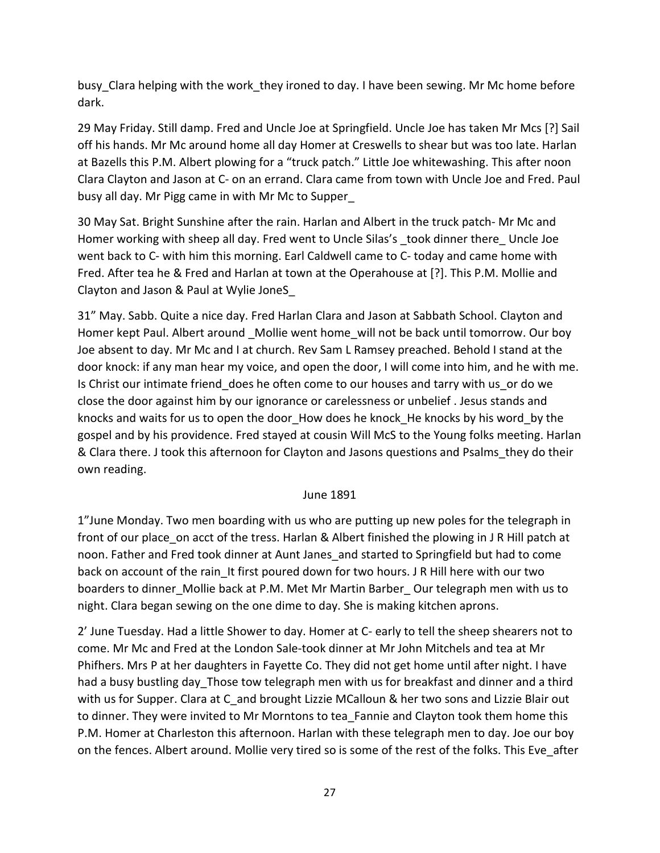busy Clara helping with the work they ironed to day. I have been sewing. Mr Mc home before dark.

29 May Friday. Still damp. Fred and Uncle Joe at Springfield. Uncle Joe has taken Mr Mcs [?] Sail off his hands. Mr Mc around home all day Homer at Creswells to shear but was too late. Harlan at Bazells this P.M. Albert plowing for a "truck patch." Little Joe whitewashing. This after noon Clara Clayton and Jason at C- on an errand. Clara came from town with Uncle Joe and Fred. Paul busy all day. Mr Pigg came in with Mr Mc to Supper\_

30 May Sat. Bright Sunshine after the rain. Harlan and Albert in the truck patch- Mr Mc and Homer working with sheep all day. Fred went to Uncle Silas's took dinner there Uncle Joe went back to C- with him this morning. Earl Caldwell came to C- today and came home with Fred. After tea he & Fred and Harlan at town at the Operahouse at [?]. This P.M. Mollie and Clayton and Jason & Paul at Wylie JoneS\_

31" May. Sabb. Quite a nice day. Fred Harlan Clara and Jason at Sabbath School. Clayton and Homer kept Paul. Albert around Mollie went home will not be back until tomorrow. Our boy Joe absent to day. Mr Mc and I at church. Rev Sam L Ramsey preached. Behold I stand at the door knock: if any man hear my voice, and open the door, I will come into him, and he with me. Is Christ our intimate friend does he often come to our houses and tarry with us or do we close the door against him by our ignorance or carelessness or unbelief . Jesus stands and knocks and waits for us to open the door\_How does he knock\_He knocks by his word\_by the gospel and by his providence. Fred stayed at cousin Will McS to the Young folks meeting. Harlan & Clara there. J took this afternoon for Clayton and Jasons questions and Psalms\_they do their own reading.

#### June 1891

1"June Monday. Two men boarding with us who are putting up new poles for the telegraph in front of our place on acct of the tress. Harlan & Albert finished the plowing in J R Hill patch at noon. Father and Fred took dinner at Aunt Janes\_and started to Springfield but had to come back on account of the rain It first poured down for two hours. J R Hill here with our two boarders to dinner Mollie back at P.M. Met Mr Martin Barber Our telegraph men with us to night. Clara began sewing on the one dime to day. She is making kitchen aprons.

2' June Tuesday. Had a little Shower to day. Homer at C- early to tell the sheep shearers not to come. Mr Mc and Fred at the London Sale-took dinner at Mr John Mitchels and tea at Mr Phifhers. Mrs P at her daughters in Fayette Co. They did not get home until after night. I have had a busy bustling day Those tow telegraph men with us for breakfast and dinner and a third with us for Supper. Clara at C and brought Lizzie MCalloun & her two sons and Lizzie Blair out to dinner. They were invited to Mr Morntons to tea Fannie and Clayton took them home this P.M. Homer at Charleston this afternoon. Harlan with these telegraph men to day. Joe our boy on the fences. Albert around. Mollie very tired so is some of the rest of the folks. This Eve\_after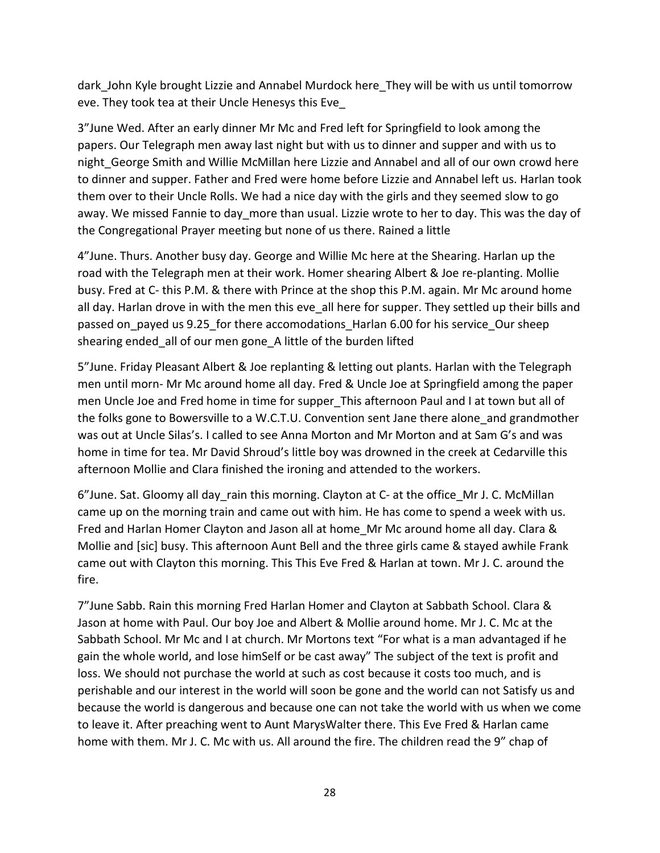dark John Kyle brought Lizzie and Annabel Murdock here They will be with us until tomorrow eve. They took tea at their Uncle Henesys this Eve\_

3"June Wed. After an early dinner Mr Mc and Fred left for Springfield to look among the papers. Our Telegraph men away last night but with us to dinner and supper and with us to night George Smith and Willie McMillan here Lizzie and Annabel and all of our own crowd here to dinner and supper. Father and Fred were home before Lizzie and Annabel left us. Harlan took them over to their Uncle Rolls. We had a nice day with the girls and they seemed slow to go away. We missed Fannie to day more than usual. Lizzie wrote to her to day. This was the day of the Congregational Prayer meeting but none of us there. Rained a little

4"June. Thurs. Another busy day. George and Willie Mc here at the Shearing. Harlan up the road with the Telegraph men at their work. Homer shearing Albert & Joe re-planting. Mollie busy. Fred at C- this P.M. & there with Prince at the shop this P.M. again. Mr Mc around home all day. Harlan drove in with the men this eve all here for supper. They settled up their bills and passed on\_payed us 9.25\_for there accomodations\_Harlan 6.00 for his service\_Our sheep shearing ended\_all of our men gone\_A little of the burden lifted

5"June. Friday Pleasant Albert & Joe replanting & letting out plants. Harlan with the Telegraph men until morn- Mr Mc around home all day. Fred & Uncle Joe at Springfield among the paper men Uncle Joe and Fred home in time for supper This afternoon Paul and I at town but all of the folks gone to Bowersville to a W.C.T.U. Convention sent Jane there alone\_and grandmother was out at Uncle Silas's. I called to see Anna Morton and Mr Morton and at Sam G's and was home in time for tea. Mr David Shroud's little boy was drowned in the creek at Cedarville this afternoon Mollie and Clara finished the ironing and attended to the workers.

6"June. Sat. Gloomy all day\_rain this morning. Clayton at C- at the office\_Mr J. C. McMillan came up on the morning train and came out with him. He has come to spend a week with us. Fred and Harlan Homer Clayton and Jason all at home\_Mr Mc around home all day. Clara & Mollie and [sic] busy. This afternoon Aunt Bell and the three girls came & stayed awhile Frank came out with Clayton this morning. This This Eve Fred & Harlan at town. Mr J. C. around the fire.

7"June Sabb. Rain this morning Fred Harlan Homer and Clayton at Sabbath School. Clara & Jason at home with Paul. Our boy Joe and Albert & Mollie around home. Mr J. C. Mc at the Sabbath School. Mr Mc and I at church. Mr Mortons text "For what is a man advantaged if he gain the whole world, and lose himSelf or be cast away" The subject of the text is profit and loss. We should not purchase the world at such as cost because it costs too much, and is perishable and our interest in the world will soon be gone and the world can not Satisfy us and because the world is dangerous and because one can not take the world with us when we come to leave it. After preaching went to Aunt MarysWalter there. This Eve Fred & Harlan came home with them. Mr J. C. Mc with us. All around the fire. The children read the 9" chap of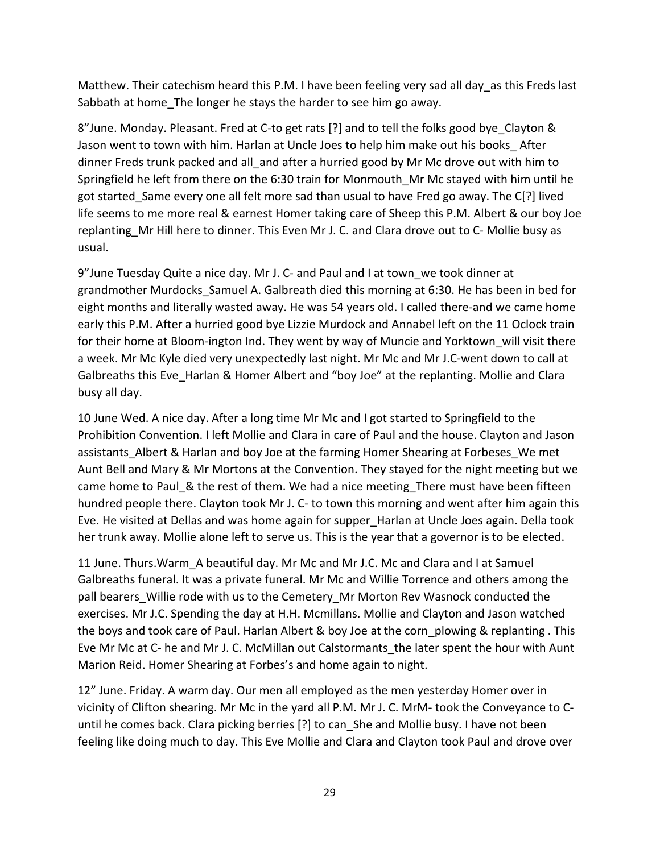Matthew. Their catechism heard this P.M. I have been feeling very sad all day as this Freds last Sabbath at home The longer he stays the harder to see him go away.

8"June. Monday. Pleasant. Fred at C-to get rats [?] and to tell the folks good bye Clayton & Jason went to town with him. Harlan at Uncle Joes to help him make out his books\_ After dinner Freds trunk packed and all and after a hurried good by Mr Mc drove out with him to Springfield he left from there on the 6:30 train for Monmouth\_Mr Mc stayed with him until he got started\_Same every one all felt more sad than usual to have Fred go away. The C[?] lived life seems to me more real & earnest Homer taking care of Sheep this P.M. Albert & our boy Joe replanting\_Mr Hill here to dinner. This Even Mr J. C. and Clara drove out to C- Mollie busy as usual.

9"June Tuesday Quite a nice day. Mr J. C- and Paul and I at town\_we took dinner at grandmother Murdocks Samuel A. Galbreath died this morning at 6:30. He has been in bed for eight months and literally wasted away. He was 54 years old. I called there-and we came home early this P.M. After a hurried good bye Lizzie Murdock and Annabel left on the 11 Oclock train for their home at Bloom-ington Ind. They went by way of Muncie and Yorktown\_will visit there a week. Mr Mc Kyle died very unexpectedly last night. Mr Mc and Mr J.C-went down to call at Galbreaths this Eve\_Harlan & Homer Albert and "boy Joe" at the replanting. Mollie and Clara busy all day.

10 June Wed. A nice day. After a long time Mr Mc and I got started to Springfield to the Prohibition Convention. I left Mollie and Clara in care of Paul and the house. Clayton and Jason assistants Albert & Harlan and boy Joe at the farming Homer Shearing at Forbeses We met Aunt Bell and Mary & Mr Mortons at the Convention. They stayed for the night meeting but we came home to Paul\_& the rest of them. We had a nice meeting\_There must have been fifteen hundred people there. Clayton took Mr J. C- to town this morning and went after him again this Eve. He visited at Dellas and was home again for supper\_Harlan at Uncle Joes again. Della took her trunk away. Mollie alone left to serve us. This is the year that a governor is to be elected.

11 June. Thurs.Warm\_A beautiful day. Mr Mc and Mr J.C. Mc and Clara and I at Samuel Galbreaths funeral. It was a private funeral. Mr Mc and Willie Torrence and others among the pall bearers Willie rode with us to the Cemetery Mr Morton Rev Wasnock conducted the exercises. Mr J.C. Spending the day at H.H. Mcmillans. Mollie and Clayton and Jason watched the boys and took care of Paul. Harlan Albert & boy Joe at the corn plowing & replanting . This Eve Mr Mc at C- he and Mr J. C. McMillan out Calstormants\_the later spent the hour with Aunt Marion Reid. Homer Shearing at Forbes's and home again to night.

12" June. Friday. A warm day. Our men all employed as the men yesterday Homer over in vicinity of Clifton shearing. Mr Mc in the yard all P.M. Mr J. C. MrM- took the Conveyance to Cuntil he comes back. Clara picking berries [?] to can\_She and Mollie busy. I have not been feeling like doing much to day. This Eve Mollie and Clara and Clayton took Paul and drove over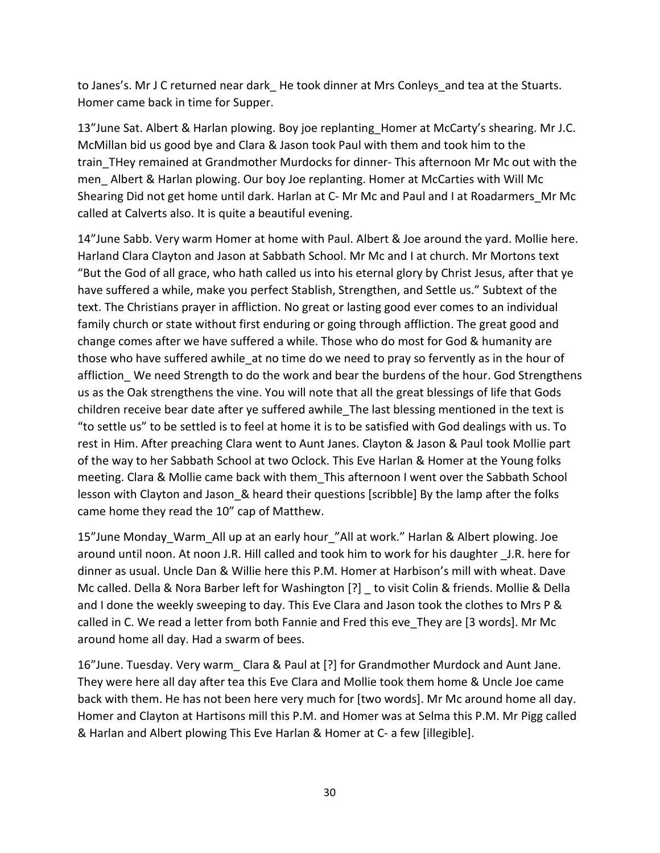to Janes's. Mr J C returned near dark He took dinner at Mrs Conleys and tea at the Stuarts. Homer came back in time for Supper.

13"June Sat. Albert & Harlan plowing. Boy joe replanting Homer at McCarty's shearing. Mr J.C. McMillan bid us good bye and Clara & Jason took Paul with them and took him to the train THey remained at Grandmother Murdocks for dinner- This afternoon Mr Mc out with the men\_ Albert & Harlan plowing. Our boy Joe replanting. Homer at McCarties with Will Mc Shearing Did not get home until dark. Harlan at C- Mr Mc and Paul and I at Roadarmers\_Mr Mc called at Calverts also. It is quite a beautiful evening.

14"June Sabb. Very warm Homer at home with Paul. Albert & Joe around the yard. Mollie here. Harland Clara Clayton and Jason at Sabbath School. Mr Mc and I at church. Mr Mortons text "But the God of all grace, who hath called us into his eternal glory by Christ Jesus, after that ye have suffered a while, make you perfect Stablish, Strengthen, and Settle us." Subtext of the text. The Christians prayer in affliction. No great or lasting good ever comes to an individual family church or state without first enduring or going through affliction. The great good and change comes after we have suffered a while. Those who do most for God & humanity are those who have suffered awhile\_at no time do we need to pray so fervently as in the hour of affliction We need Strength to do the work and bear the burdens of the hour. God Strengthens us as the Oak strengthens the vine. You will note that all the great blessings of life that Gods children receive bear date after ye suffered awhile The last blessing mentioned in the text is "to settle us" to be settled is to feel at home it is to be satisfied with God dealings with us. To rest in Him. After preaching Clara went to Aunt Janes. Clayton & Jason & Paul took Mollie part of the way to her Sabbath School at two Oclock. This Eve Harlan & Homer at the Young folks meeting. Clara & Mollie came back with them\_This afternoon I went over the Sabbath School lesson with Clayton and Jason & heard their questions [scribble] By the lamp after the folks came home they read the 10" cap of Matthew.

15"June Monday\_Warm\_All up at an early hour\_"All at work." Harlan & Albert plowing. Joe around until noon. At noon J.R. Hill called and took him to work for his daughter \_J.R. here for dinner as usual. Uncle Dan & Willie here this P.M. Homer at Harbison's mill with wheat. Dave Mc called. Della & Nora Barber left for Washington [?] \_ to visit Colin & friends. Mollie & Della and I done the weekly sweeping to day. This Eve Clara and Jason took the clothes to Mrs P & called in C. We read a letter from both Fannie and Fred this eve\_They are [3 words]. Mr Mc around home all day. Had a swarm of bees.

16"June. Tuesday. Very warm\_ Clara & Paul at [?] for Grandmother Murdock and Aunt Jane. They were here all day after tea this Eve Clara and Mollie took them home & Uncle Joe came back with them. He has not been here very much for [two words]. Mr Mc around home all day. Homer and Clayton at Hartisons mill this P.M. and Homer was at Selma this P.M. Mr Pigg called & Harlan and Albert plowing This Eve Harlan & Homer at C- a few [illegible].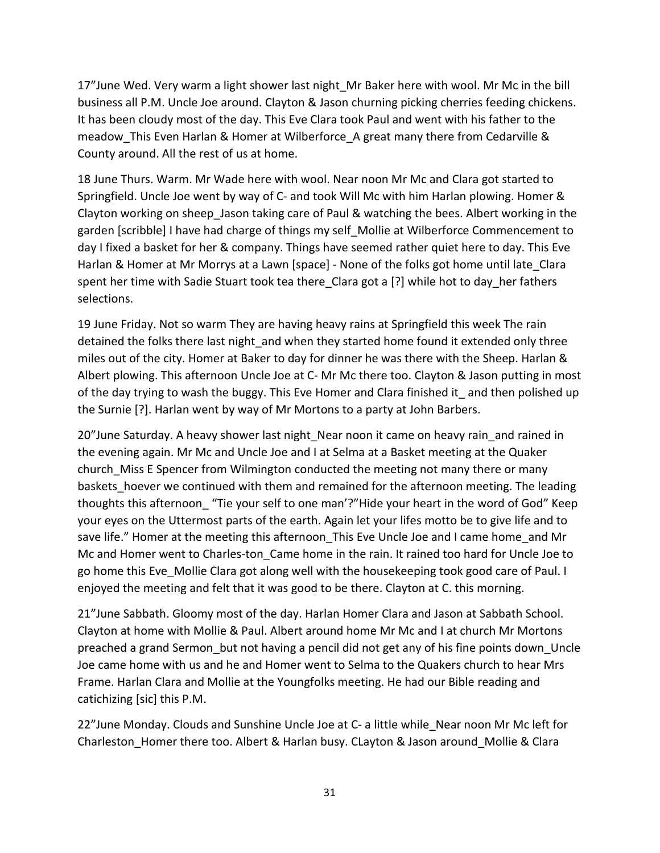17"June Wed. Very warm a light shower last night\_Mr Baker here with wool. Mr Mc in the bill business all P.M. Uncle Joe around. Clayton & Jason churning picking cherries feeding chickens. It has been cloudy most of the day. This Eve Clara took Paul and went with his father to the meadow This Even Harlan & Homer at Wilberforce A great many there from Cedarville & County around. All the rest of us at home.

18 June Thurs. Warm. Mr Wade here with wool. Near noon Mr Mc and Clara got started to Springfield. Uncle Joe went by way of C- and took Will Mc with him Harlan plowing. Homer & Clayton working on sheep\_Jason taking care of Paul & watching the bees. Albert working in the garden [scribble] I have had charge of things my self\_Mollie at Wilberforce Commencement to day I fixed a basket for her & company. Things have seemed rather quiet here to day. This Eve Harlan & Homer at Mr Morrys at a Lawn [space] - None of the folks got home until late\_Clara spent her time with Sadie Stuart took tea there Clara got a [?] while hot to day her fathers selections.

19 June Friday. Not so warm They are having heavy rains at Springfield this week The rain detained the folks there last night\_and when they started home found it extended only three miles out of the city. Homer at Baker to day for dinner he was there with the Sheep. Harlan & Albert plowing. This afternoon Uncle Joe at C- Mr Mc there too. Clayton & Jason putting in most of the day trying to wash the buggy. This Eve Homer and Clara finished it\_ and then polished up the Surnie [?]. Harlan went by way of Mr Mortons to a party at John Barbers.

20"June Saturday. A heavy shower last night\_Near noon it came on heavy rain\_and rained in the evening again. Mr Mc and Uncle Joe and I at Selma at a Basket meeting at the Quaker church\_Miss E Spencer from Wilmington conducted the meeting not many there or many baskets hoever we continued with them and remained for the afternoon meeting. The leading thoughts this afternoon "Tie your self to one man'?"Hide your heart in the word of God" Keep your eyes on the Uttermost parts of the earth. Again let your lifes motto be to give life and to save life." Homer at the meeting this afternoon This Eve Uncle Joe and I came home and Mr Mc and Homer went to Charles-ton Came home in the rain. It rained too hard for Uncle Joe to go home this Eve\_Mollie Clara got along well with the housekeeping took good care of Paul. I enjoyed the meeting and felt that it was good to be there. Clayton at C. this morning.

21"June Sabbath. Gloomy most of the day. Harlan Homer Clara and Jason at Sabbath School. Clayton at home with Mollie & Paul. Albert around home Mr Mc and I at church Mr Mortons preached a grand Sermon\_but not having a pencil did not get any of his fine points down\_Uncle Joe came home with us and he and Homer went to Selma to the Quakers church to hear Mrs Frame. Harlan Clara and Mollie at the Youngfolks meeting. He had our Bible reading and catichizing [sic] this P.M.

22"June Monday. Clouds and Sunshine Uncle Joe at C- a little while\_Near noon Mr Mc left for Charleston\_Homer there too. Albert & Harlan busy. CLayton & Jason around\_Mollie & Clara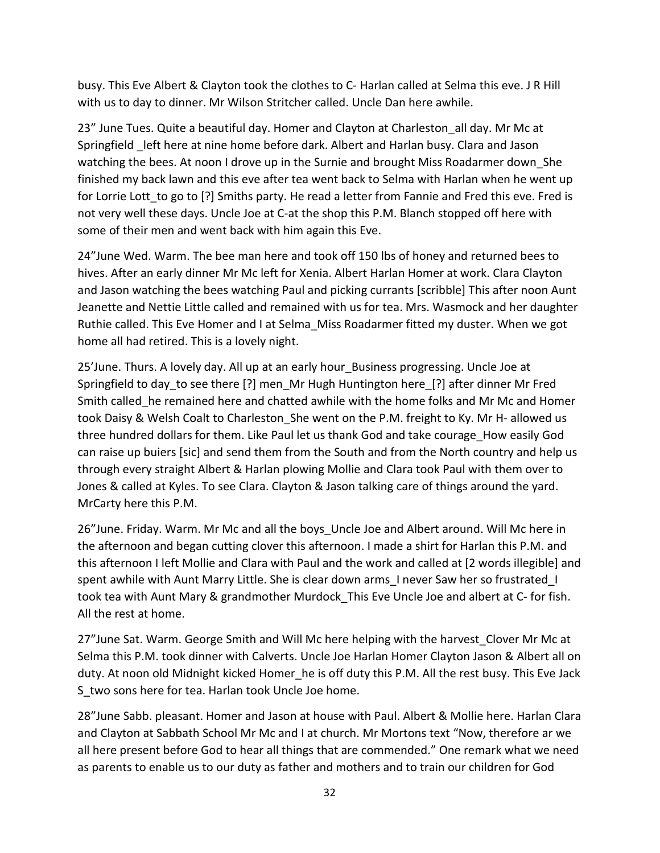busy. This Eve Albert & Clayton took the clothes to C- Harlan called at Selma this eve. J R Hill with us to day to dinner. Mr Wilson Stritcher called. Uncle Dan here awhile.

23" June Tues. Quite a beautiful day. Homer and Clayton at Charleston all day. Mr Mc at Springfield left here at nine home before dark. Albert and Harlan busy. Clara and Jason watching the bees. At noon I drove up in the Surnie and brought Miss Roadarmer down She finished my back lawn and this eve after tea went back to Selma with Harlan when he went up for Lorrie Lott to go to [?] Smiths party. He read a letter from Fannie and Fred this eve. Fred is not very well these days. Uncle Joe at C-at the shop this P.M. Blanch stopped off here with some of their men and went back with him again this Eve.

24"June Wed. Warm. The bee man here and took off 150 lbs of honey and returned bees to hives. After an early dinner Mr Mc left for Xenia. Albert Harlan Homer at work. Clara Clayton and Jason watching the bees watching Paul and picking currants [scribble] This after noon Aunt Jeanette and Nettie Little called and remained with us for tea. Mrs. Wasmock and her daughter Ruthie called. This Eve Homer and I at Selma\_Miss Roadarmer fitted my duster. When we got home all had retired. This is a lovely night.

25'June. Thurs. A lovely day. All up at an early hour Business progressing. Uncle Joe at Springfield to day\_to see there [?] men\_Mr Hugh Huntington here\_[?] after dinner Mr Fred Smith called he remained here and chatted awhile with the home folks and Mr Mc and Homer took Daisy & Welsh Coalt to Charleston\_She went on the P.M. freight to Ky. Mr H- allowed us three hundred dollars for them. Like Paul let us thank God and take courage\_How easily God can raise up buiers [sic] and send them from the South and from the North country and help us through every straight Albert & Harlan plowing Mollie and Clara took Paul with them over to Jones & called at Kyles. To see Clara. Clayton & Jason talking care of things around the yard. MrCarty here this P.M.

26"June. Friday. Warm. Mr Mc and all the boys\_Uncle Joe and Albert around. Will Mc here in the afternoon and began cutting clover this afternoon. I made a shirt for Harlan this P.M. and this afternoon I left Mollie and Clara with Paul and the work and called at [2 words illegible] and spent awhile with Aunt Marry Little. She is clear down arms Inever Saw her so frustrated I took tea with Aunt Mary & grandmother Murdock\_This Eve Uncle Joe and albert at C- for fish. All the rest at home.

27"June Sat. Warm. George Smith and Will Mc here helping with the harvest Clover Mr Mc at Selma this P.M. took dinner with Calverts. Uncle Joe Harlan Homer Clayton Jason & Albert all on duty. At noon old Midnight kicked Homer he is off duty this P.M. All the rest busy. This Eve Jack S two sons here for tea. Harlan took Uncle Joe home.

28"June Sabb. pleasant. Homer and Jason at house with Paul. Albert & Mollie here. Harlan Clara and Clayton at Sabbath School Mr Mc and I at church. Mr Mortons text "Now, therefore ar we all here present before God to hear all things that are commended." One remark what we need as parents to enable us to our duty as father and mothers and to train our children for God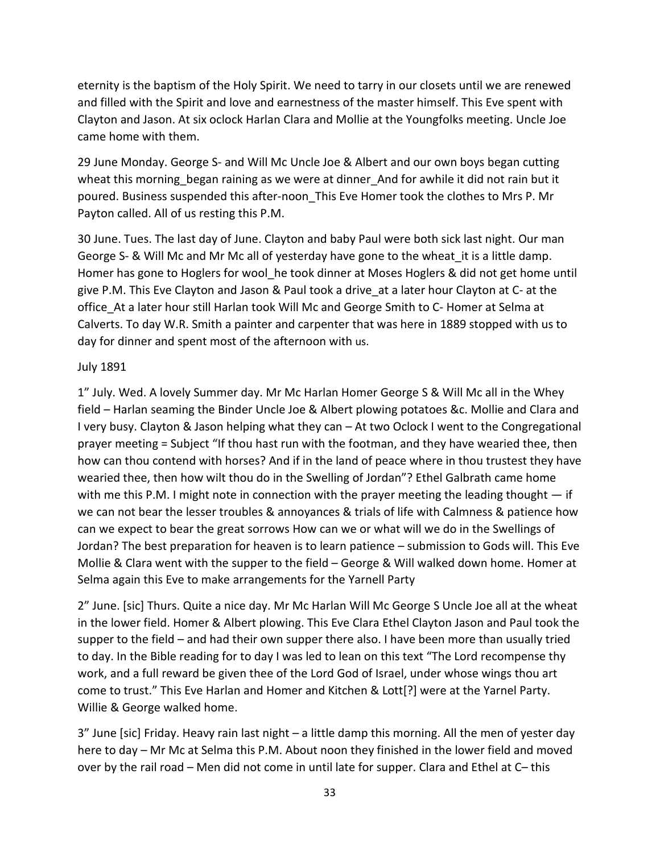eternity is the baptism of the Holy Spirit. We need to tarry in our closets until we are renewed and filled with the Spirit and love and earnestness of the master himself. This Eve spent with Clayton and Jason. At six oclock Harlan Clara and Mollie at the Youngfolks meeting. Uncle Joe came home with them.

29 June Monday. George S- and Will Mc Uncle Joe & Albert and our own boys began cutting wheat this morning began raining as we were at dinner And for awhile it did not rain but it poured. Business suspended this after-noon\_This Eve Homer took the clothes to Mrs P. Mr Payton called. All of us resting this P.M.

30 June. Tues. The last day of June. Clayton and baby Paul were both sick last night. Our man George S- & Will Mc and Mr Mc all of yesterday have gone to the wheat it is a little damp. Homer has gone to Hoglers for wool he took dinner at Moses Hoglers & did not get home until give P.M. This Eve Clayton and Jason & Paul took a drive\_at a later hour Clayton at C- at the office\_At a later hour still Harlan took Will Mc and George Smith to C- Homer at Selma at Calverts. To day W.R. Smith a painter and carpenter that was here in 1889 stopped with us to day for dinner and spent most of the afternoon with us.

## July 1891

1" July. Wed. A lovely Summer day. Mr Mc Harlan Homer George S & Will Mc all in the Whey field – Harlan seaming the Binder Uncle Joe & Albert plowing potatoes &c. Mollie and Clara and I very busy. Clayton & Jason helping what they can – At two Oclock I went to the Congregational prayer meeting = Subject "If thou hast run with the footman, and they have wearied thee, then how can thou contend with horses? And if in the land of peace where in thou trustest they have wearied thee, then how wilt thou do in the Swelling of Jordan"? Ethel Galbrath came home with me this P.M. I might note in connection with the prayer meeting the leading thought  $-$  if we can not bear the lesser troubles & annoyances & trials of life with Calmness & patience how can we expect to bear the great sorrows How can we or what will we do in the Swellings of Jordan? The best preparation for heaven is to learn patience – submission to Gods will. This Eve Mollie & Clara went with the supper to the field – George & Will walked down home. Homer at Selma again this Eve to make arrangements for the Yarnell Party

2" June. [sic] Thurs. Quite a nice day. Mr Mc Harlan Will Mc George S Uncle Joe all at the wheat in the lower field. Homer & Albert plowing. This Eve Clara Ethel Clayton Jason and Paul took the supper to the field – and had their own supper there also. I have been more than usually tried to day. In the Bible reading for to day I was led to lean on this text "The Lord recompense thy work, and a full reward be given thee of the Lord God of Israel, under whose wings thou art come to trust." This Eve Harlan and Homer and Kitchen & Lott[?] were at the Yarnel Party. Willie & George walked home.

3" June [sic] Friday. Heavy rain last night – a little damp this morning. All the men of yester day here to day – Mr Mc at Selma this P.M. About noon they finished in the lower field and moved over by the rail road – Men did not come in until late for supper. Clara and Ethel at C– this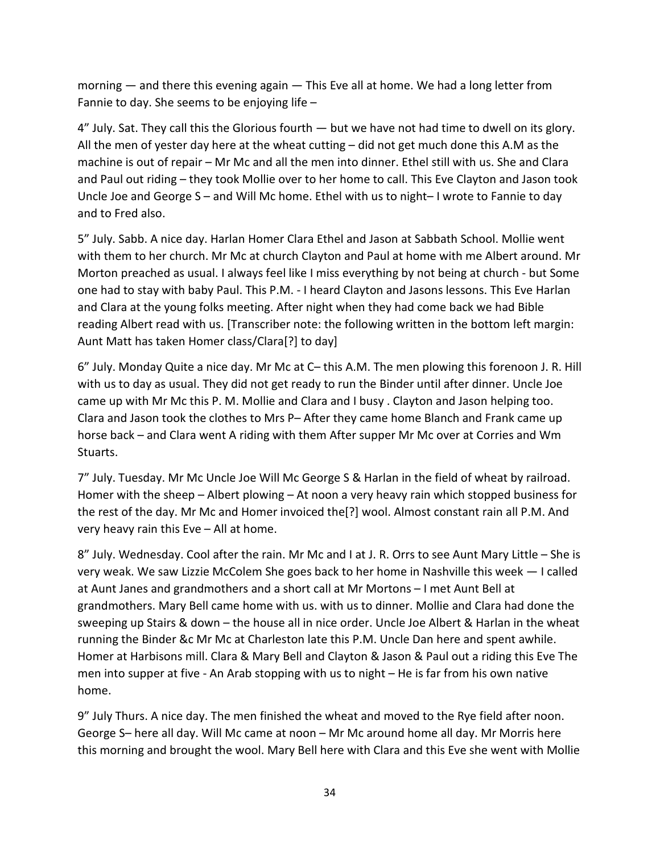morning  $-$  and there this evening again  $-$  This Eve all at home. We had a long letter from Fannie to day. She seems to be enjoying life –

4" July. Sat. They call this the Glorious fourth — but we have not had time to dwell on its glory. All the men of yester day here at the wheat cutting – did not get much done this A.M as the machine is out of repair – Mr Mc and all the men into dinner. Ethel still with us. She and Clara and Paul out riding – they took Mollie over to her home to call. This Eve Clayton and Jason took Uncle Joe and George S – and Will Mc home. Ethel with us to night– I wrote to Fannie to day and to Fred also.

5" July. Sabb. A nice day. Harlan Homer Clara Ethel and Jason at Sabbath School. Mollie went with them to her church. Mr Mc at church Clayton and Paul at home with me Albert around. Mr Morton preached as usual. I always feel like I miss everything by not being at church - but Some one had to stay with baby Paul. This P.M. - I heard Clayton and Jasons lessons. This Eve Harlan and Clara at the young folks meeting. After night when they had come back we had Bible reading Albert read with us. [Transcriber note: the following written in the bottom left margin: Aunt Matt has taken Homer class/Clara[?] to day]

6" July. Monday Quite a nice day. Mr Mc at C– this A.M. The men plowing this forenoon J. R. Hill with us to day as usual. They did not get ready to run the Binder until after dinner. Uncle Joe came up with Mr Mc this P. M. Mollie and Clara and I busy . Clayton and Jason helping too. Clara and Jason took the clothes to Mrs P– After they came home Blanch and Frank came up horse back – and Clara went A riding with them After supper Mr Mc over at Corries and Wm Stuarts.

7" July. Tuesday. Mr Mc Uncle Joe Will Mc George S & Harlan in the field of wheat by railroad. Homer with the sheep – Albert plowing – At noon a very heavy rain which stopped business for the rest of the day. Mr Mc and Homer invoiced the[?] wool. Almost constant rain all P.M. And very heavy rain this Eve – All at home.

8" July. Wednesday. Cool after the rain. Mr Mc and I at J. R. Orrs to see Aunt Mary Little – She is very weak. We saw Lizzie McColem She goes back to her home in Nashville this week — I called at Aunt Janes and grandmothers and a short call at Mr Mortons – I met Aunt Bell at grandmothers. Mary Bell came home with us. with us to dinner. Mollie and Clara had done the sweeping up Stairs & down – the house all in nice order. Uncle Joe Albert & Harlan in the wheat running the Binder &c Mr Mc at Charleston late this P.M. Uncle Dan here and spent awhile. Homer at Harbisons mill. Clara & Mary Bell and Clayton & Jason & Paul out a riding this Eve The men into supper at five - An Arab stopping with us to night – He is far from his own native home.

9" July Thurs. A nice day. The men finished the wheat and moved to the Rye field after noon. George S– here all day. Will Mc came at noon – Mr Mc around home all day. Mr Morris here this morning and brought the wool. Mary Bell here with Clara and this Eve she went with Mollie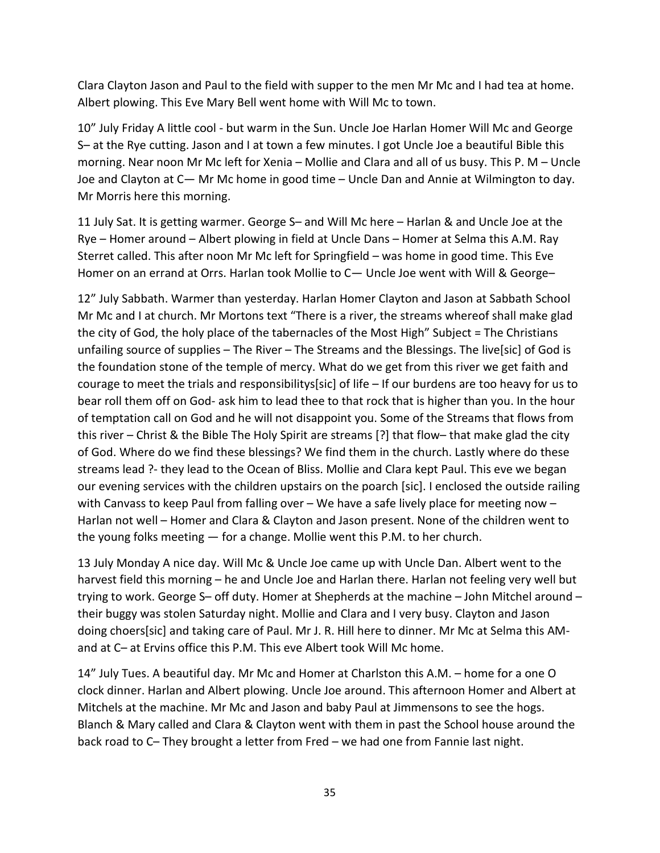Clara Clayton Jason and Paul to the field with supper to the men Mr Mc and I had tea at home. Albert plowing. This Eve Mary Bell went home with Will Mc to town.

10" July Friday A little cool - but warm in the Sun. Uncle Joe Harlan Homer Will Mc and George S– at the Rye cutting. Jason and I at town a few minutes. I got Uncle Joe a beautiful Bible this morning. Near noon Mr Mc left for Xenia – Mollie and Clara and all of us busy. This P. M – Uncle Joe and Clayton at C— Mr Mc home in good time – Uncle Dan and Annie at Wilmington to day. Mr Morris here this morning.

11 July Sat. It is getting warmer. George S– and Will Mc here – Harlan & and Uncle Joe at the Rye – Homer around – Albert plowing in field at Uncle Dans – Homer at Selma this A.M. Ray Sterret called. This after noon Mr Mc left for Springfield – was home in good time. This Eve Homer on an errand at Orrs. Harlan took Mollie to C- Uncle Joe went with Will & George-

12" July Sabbath. Warmer than yesterday. Harlan Homer Clayton and Jason at Sabbath School Mr Mc and I at church. Mr Mortons text "There is a river, the streams whereof shall make glad the city of God, the holy place of the tabernacles of the Most High" Subject = The Christians unfailing source of supplies – The River – The Streams and the Blessings. The live[sic] of God is the foundation stone of the temple of mercy. What do we get from this river we get faith and courage to meet the trials and responsibilitys[sic] of life – If our burdens are too heavy for us to bear roll them off on God- ask him to lead thee to that rock that is higher than you. In the hour of temptation call on God and he will not disappoint you. Some of the Streams that flows from this river – Christ & the Bible The Holy Spirit are streams [?] that flow– that make glad the city of God. Where do we find these blessings? We find them in the church. Lastly where do these streams lead ?- they lead to the Ocean of Bliss. Mollie and Clara kept Paul. This eve we began our evening services with the children upstairs on the poarch [sic]. I enclosed the outside railing with Canvass to keep Paul from falling over - We have a safe lively place for meeting now -Harlan not well – Homer and Clara & Clayton and Jason present. None of the children went to the young folks meeting — for a change. Mollie went this P.M. to her church.

13 July Monday A nice day. Will Mc & Uncle Joe came up with Uncle Dan. Albert went to the harvest field this morning – he and Uncle Joe and Harlan there. Harlan not feeling very well but trying to work. George S– off duty. Homer at Shepherds at the machine – John Mitchel around – their buggy was stolen Saturday night. Mollie and Clara and I very busy. Clayton and Jason doing choers[sic] and taking care of Paul. Mr J. R. Hill here to dinner. Mr Mc at Selma this AMand at C– at Ervins office this P.M. This eve Albert took Will Mc home.

14" July Tues. A beautiful day. Mr Mc and Homer at Charlston this A.M. – home for a one O clock dinner. Harlan and Albert plowing. Uncle Joe around. This afternoon Homer and Albert at Mitchels at the machine. Mr Mc and Jason and baby Paul at Jimmensons to see the hogs. Blanch & Mary called and Clara & Clayton went with them in past the School house around the back road to C– They brought a letter from Fred – we had one from Fannie last night.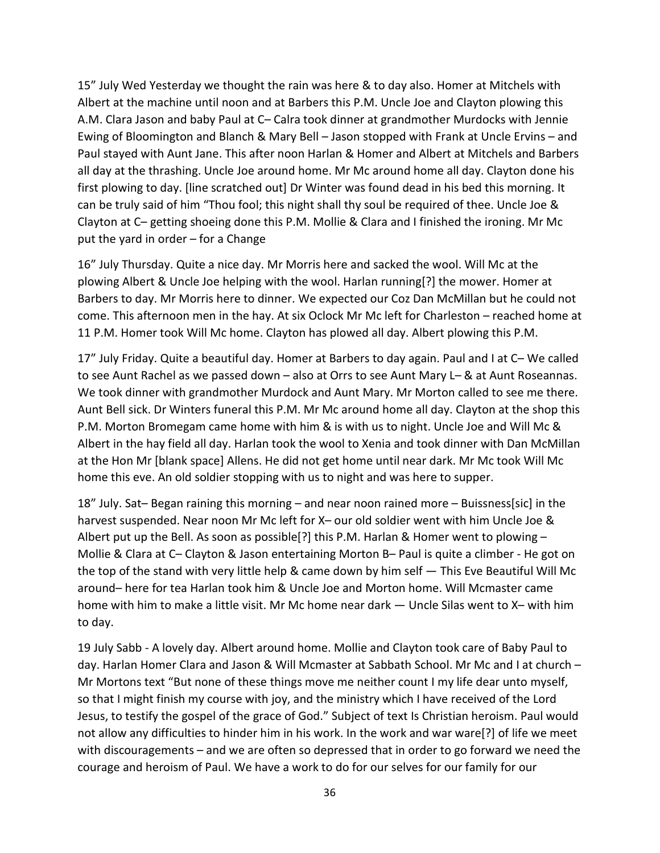15" July Wed Yesterday we thought the rain was here & to day also. Homer at Mitchels with Albert at the machine until noon and at Barbers this P.M. Uncle Joe and Clayton plowing this A.M. Clara Jason and baby Paul at C– Calra took dinner at grandmother Murdocks with Jennie Ewing of Bloomington and Blanch & Mary Bell – Jason stopped with Frank at Uncle Ervins – and Paul stayed with Aunt Jane. This after noon Harlan & Homer and Albert at Mitchels and Barbers all day at the thrashing. Uncle Joe around home. Mr Mc around home all day. Clayton done his first plowing to day. [line scratched out] Dr Winter was found dead in his bed this morning. It can be truly said of him "Thou fool; this night shall thy soul be required of thee. Uncle Joe & Clayton at C– getting shoeing done this P.M. Mollie & Clara and I finished the ironing. Mr Mc put the yard in order – for a Change

16" July Thursday. Quite a nice day. Mr Morris here and sacked the wool. Will Mc at the plowing Albert & Uncle Joe helping with the wool. Harlan running[?] the mower. Homer at Barbers to day. Mr Morris here to dinner. We expected our Coz Dan McMillan but he could not come. This afternoon men in the hay. At six Oclock Mr Mc left for Charleston – reached home at 11 P.M. Homer took Will Mc home. Clayton has plowed all day. Albert plowing this P.M.

17" July Friday. Quite a beautiful day. Homer at Barbers to day again. Paul and I at C– We called to see Aunt Rachel as we passed down – also at Orrs to see Aunt Mary L– & at Aunt Roseannas. We took dinner with grandmother Murdock and Aunt Mary. Mr Morton called to see me there. Aunt Bell sick. Dr Winters funeral this P.M. Mr Mc around home all day. Clayton at the shop this P.M. Morton Bromegam came home with him & is with us to night. Uncle Joe and Will Mc & Albert in the hay field all day. Harlan took the wool to Xenia and took dinner with Dan McMillan at the Hon Mr [blank space] Allens. He did not get home until near dark. Mr Mc took Will Mc home this eve. An old soldier stopping with us to night and was here to supper.

18" July. Sat– Began raining this morning – and near noon rained more – Buissness[sic] in the harvest suspended. Near noon Mr Mc left for X– our old soldier went with him Uncle Joe & Albert put up the Bell. As soon as possible [?] this P.M. Harlan & Homer went to plowing  $-$ Mollie & Clara at C– Clayton & Jason entertaining Morton B– Paul is quite a climber - He got on the top of the stand with very little help & came down by him self — This Eve Beautiful Will Mc around– here for tea Harlan took him & Uncle Joe and Morton home. Will Mcmaster came home with him to make a little visit. Mr Mc home near dark — Uncle Silas went to X– with him to day.

19 July Sabb - A lovely day. Albert around home. Mollie and Clayton took care of Baby Paul to day. Harlan Homer Clara and Jason & Will Mcmaster at Sabbath School. Mr Mc and I at church – Mr Mortons text "But none of these things move me neither count I my life dear unto myself, so that I might finish my course with joy, and the ministry which I have received of the Lord Jesus, to testify the gospel of the grace of God." Subject of text Is Christian heroism. Paul would not allow any difficulties to hinder him in his work. In the work and war ware[?] of life we meet with discouragements – and we are often so depressed that in order to go forward we need the courage and heroism of Paul. We have a work to do for our selves for our family for our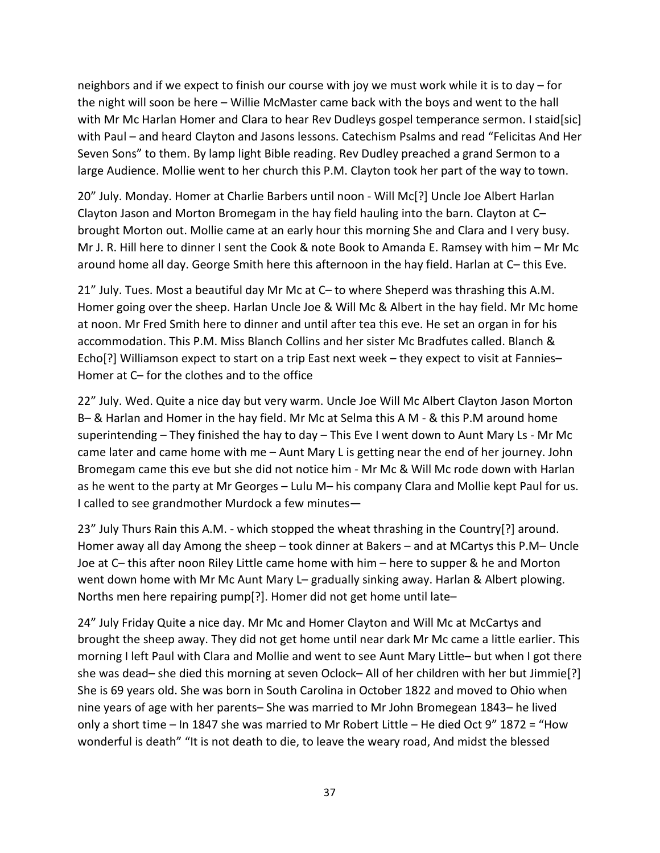neighbors and if we expect to finish our course with joy we must work while it is to day – for the night will soon be here – Willie McMaster came back with the boys and went to the hall with Mr Mc Harlan Homer and Clara to hear Rev Dudleys gospel temperance sermon. I staid[sic] with Paul – and heard Clayton and Jasons lessons. Catechism Psalms and read "Felicitas And Her Seven Sons" to them. By lamp light Bible reading. Rev Dudley preached a grand Sermon to a large Audience. Mollie went to her church this P.M. Clayton took her part of the way to town.

20" July. Monday. Homer at Charlie Barbers until noon - Will Mc[?] Uncle Joe Albert Harlan Clayton Jason and Morton Bromegam in the hay field hauling into the barn. Clayton at C– brought Morton out. Mollie came at an early hour this morning She and Clara and I very busy. Mr J. R. Hill here to dinner I sent the Cook & note Book to Amanda E. Ramsey with him – Mr Mc around home all day. George Smith here this afternoon in the hay field. Harlan at C– this Eve.

21" July. Tues. Most a beautiful day Mr Mc at C– to where Sheperd was thrashing this A.M. Homer going over the sheep. Harlan Uncle Joe & Will Mc & Albert in the hay field. Mr Mc home at noon. Mr Fred Smith here to dinner and until after tea this eve. He set an organ in for his accommodation. This P.M. Miss Blanch Collins and her sister Mc Bradfutes called. Blanch & Echo[?] Williamson expect to start on a trip East next week – they expect to visit at Fannies– Homer at C– for the clothes and to the office

22" July. Wed. Quite a nice day but very warm. Uncle Joe Will Mc Albert Clayton Jason Morton B– & Harlan and Homer in the hay field. Mr Mc at Selma this A M - & this P.M around home superintending – They finished the hay to day – This Eve I went down to Aunt Mary Ls - Mr Mc came later and came home with me – Aunt Mary L is getting near the end of her journey. John Bromegam came this eve but she did not notice him - Mr Mc & Will Mc rode down with Harlan as he went to the party at Mr Georges – Lulu M– his company Clara and Mollie kept Paul for us. I called to see grandmother Murdock a few minutes—

23" July Thurs Rain this A.M. - which stopped the wheat thrashing in the Country[?] around. Homer away all day Among the sheep – took dinner at Bakers – and at MCartys this P.M– Uncle Joe at C– this after noon Riley Little came home with him – here to supper & he and Morton went down home with Mr Mc Aunt Mary L– gradually sinking away. Harlan & Albert plowing. Norths men here repairing pump[?]. Homer did not get home until late–

24" July Friday Quite a nice day. Mr Mc and Homer Clayton and Will Mc at McCartys and brought the sheep away. They did not get home until near dark Mr Mc came a little earlier. This morning I left Paul with Clara and Mollie and went to see Aunt Mary Little– but when I got there she was dead– she died this morning at seven Oclock– All of her children with her but Jimmie[?] She is 69 years old. She was born in South Carolina in October 1822 and moved to Ohio when nine years of age with her parents– She was married to Mr John Bromegean 1843– he lived only a short time – In 1847 she was married to Mr Robert Little – He died Oct 9" 1872 = "How wonderful is death" "It is not death to die, to leave the weary road, And midst the blessed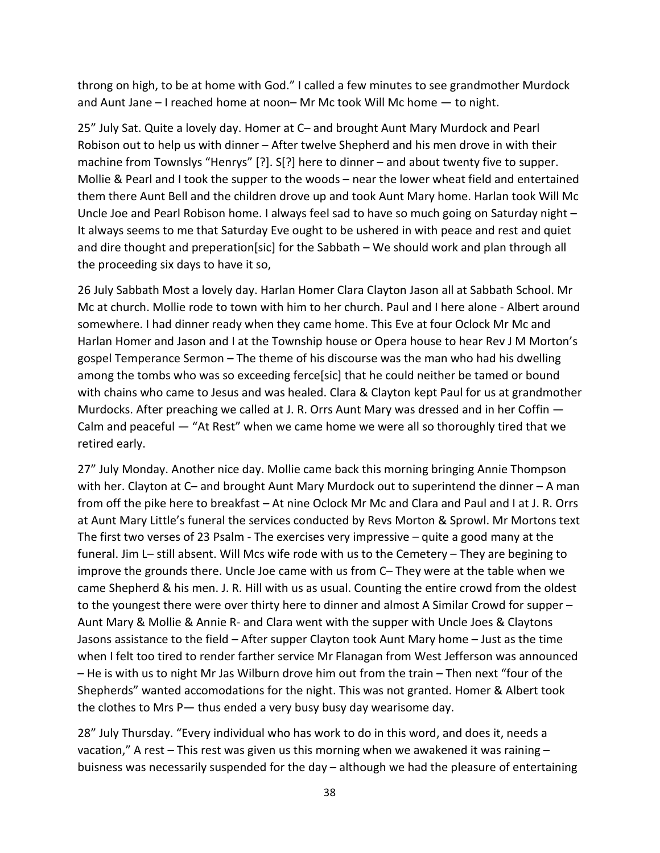throng on high, to be at home with God." I called a few minutes to see grandmother Murdock and Aunt Jane – I reached home at noon– Mr Mc took Will Mc home — to night.

25" July Sat. Quite a lovely day. Homer at C– and brought Aunt Mary Murdock and Pearl Robison out to help us with dinner – After twelve Shepherd and his men drove in with their machine from Townslys "Henrys" [?]. S[?] here to dinner – and about twenty five to supper. Mollie & Pearl and I took the supper to the woods – near the lower wheat field and entertained them there Aunt Bell and the children drove up and took Aunt Mary home. Harlan took Will Mc Uncle Joe and Pearl Robison home. I always feel sad to have so much going on Saturday night – It always seems to me that Saturday Eve ought to be ushered in with peace and rest and quiet and dire thought and preperation[sic] for the Sabbath – We should work and plan through all the proceeding six days to have it so,

26 July Sabbath Most a lovely day. Harlan Homer Clara Clayton Jason all at Sabbath School. Mr Mc at church. Mollie rode to town with him to her church. Paul and I here alone - Albert around somewhere. I had dinner ready when they came home. This Eve at four Oclock Mr Mc and Harlan Homer and Jason and I at the Township house or Opera house to hear Rev J M Morton's gospel Temperance Sermon – The theme of his discourse was the man who had his dwelling among the tombs who was so exceeding ferce[sic] that he could neither be tamed or bound with chains who came to Jesus and was healed. Clara & Clayton kept Paul for us at grandmother Murdocks. After preaching we called at J. R. Orrs Aunt Mary was dressed and in her Coffin — Calm and peaceful — "At Rest" when we came home we were all so thoroughly tired that we retired early.

27" July Monday. Another nice day. Mollie came back this morning bringing Annie Thompson with her. Clayton at C– and brought Aunt Mary Murdock out to superintend the dinner – A man from off the pike here to breakfast – At nine Oclock Mr Mc and Clara and Paul and I at J. R. Orrs at Aunt Mary Little's funeral the services conducted by Revs Morton & Sprowl. Mr Mortons text The first two verses of 23 Psalm - The exercises very impressive – quite a good many at the funeral. Jim L– still absent. Will Mcs wife rode with us to the Cemetery – They are begining to improve the grounds there. Uncle Joe came with us from C– They were at the table when we came Shepherd & his men. J. R. Hill with us as usual. Counting the entire crowd from the oldest to the youngest there were over thirty here to dinner and almost A Similar Crowd for supper – Aunt Mary & Mollie & Annie R- and Clara went with the supper with Uncle Joes & Claytons Jasons assistance to the field – After supper Clayton took Aunt Mary home – Just as the time when I felt too tired to render farther service Mr Flanagan from West Jefferson was announced – He is with us to night Mr Jas Wilburn drove him out from the train – Then next "four of the Shepherds" wanted accomodations for the night. This was not granted. Homer & Albert took the clothes to Mrs P— thus ended a very busy busy day wearisome day.

28" July Thursday. "Every individual who has work to do in this word, and does it, needs a vacation," A rest – This rest was given us this morning when we awakened it was raining – buisness was necessarily suspended for the day – although we had the pleasure of entertaining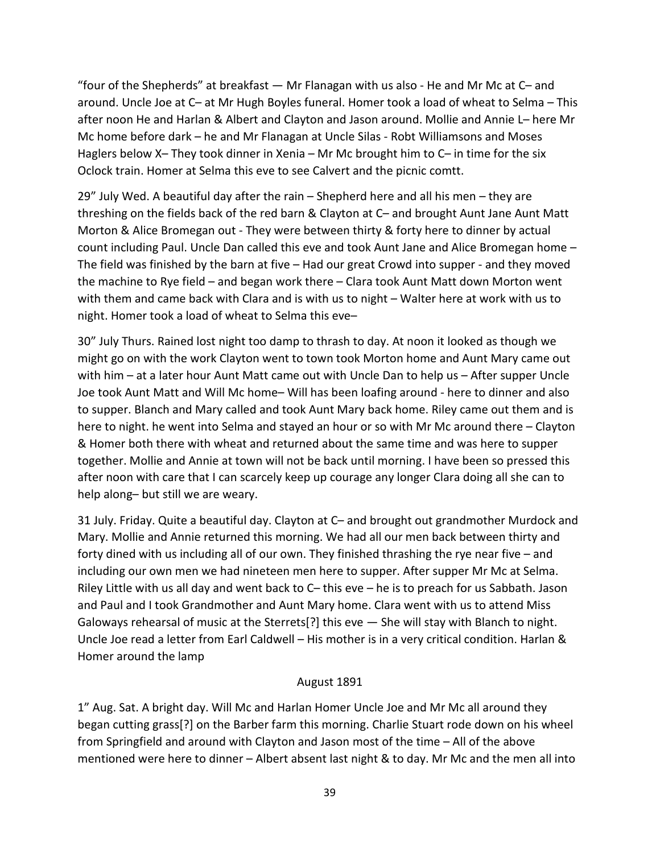"four of the Shepherds" at breakfast — Mr Flanagan with us also - He and Mr Mc at C– and around. Uncle Joe at C– at Mr Hugh Boyles funeral. Homer took a load of wheat to Selma – This after noon He and Harlan & Albert and Clayton and Jason around. Mollie and Annie L– here Mr Mc home before dark – he and Mr Flanagan at Uncle Silas - Robt Williamsons and Moses Haglers below X- They took dinner in Xenia - Mr Mc brought him to C- in time for the six Oclock train. Homer at Selma this eve to see Calvert and the picnic comtt.

29" July Wed. A beautiful day after the rain – Shepherd here and all his men – they are threshing on the fields back of the red barn & Clayton at C– and brought Aunt Jane Aunt Matt Morton & Alice Bromegan out - They were between thirty & forty here to dinner by actual count including Paul. Uncle Dan called this eve and took Aunt Jane and Alice Bromegan home – The field was finished by the barn at five – Had our great Crowd into supper - and they moved the machine to Rye field – and began work there – Clara took Aunt Matt down Morton went with them and came back with Clara and is with us to night – Walter here at work with us to night. Homer took a load of wheat to Selma this eve–

30" July Thurs. Rained lost night too damp to thrash to day. At noon it looked as though we might go on with the work Clayton went to town took Morton home and Aunt Mary came out with him – at a later hour Aunt Matt came out with Uncle Dan to help us – After supper Uncle Joe took Aunt Matt and Will Mc home– Will has been loafing around - here to dinner and also to supper. Blanch and Mary called and took Aunt Mary back home. Riley came out them and is here to night. he went into Selma and stayed an hour or so with Mr Mc around there – Clayton & Homer both there with wheat and returned about the same time and was here to supper together. Mollie and Annie at town will not be back until morning. I have been so pressed this after noon with care that I can scarcely keep up courage any longer Clara doing all she can to help along– but still we are weary.

31 July. Friday. Quite a beautiful day. Clayton at C– and brought out grandmother Murdock and Mary. Mollie and Annie returned this morning. We had all our men back between thirty and forty dined with us including all of our own. They finished thrashing the rye near five – and including our own men we had nineteen men here to supper. After supper Mr Mc at Selma. Riley Little with us all day and went back to C– this eve – he is to preach for us Sabbath. Jason and Paul and I took Grandmother and Aunt Mary home. Clara went with us to attend Miss Galoways rehearsal of music at the Sterrets<sup>[2]</sup> this eve  $-$  She will stay with Blanch to night. Uncle Joe read a letter from Earl Caldwell – His mother is in a very critical condition. Harlan & Homer around the lamp

#### August 1891

1" Aug. Sat. A bright day. Will Mc and Harlan Homer Uncle Joe and Mr Mc all around they began cutting grass[?] on the Barber farm this morning. Charlie Stuart rode down on his wheel from Springfield and around with Clayton and Jason most of the time – All of the above mentioned were here to dinner – Albert absent last night & to day. Mr Mc and the men all into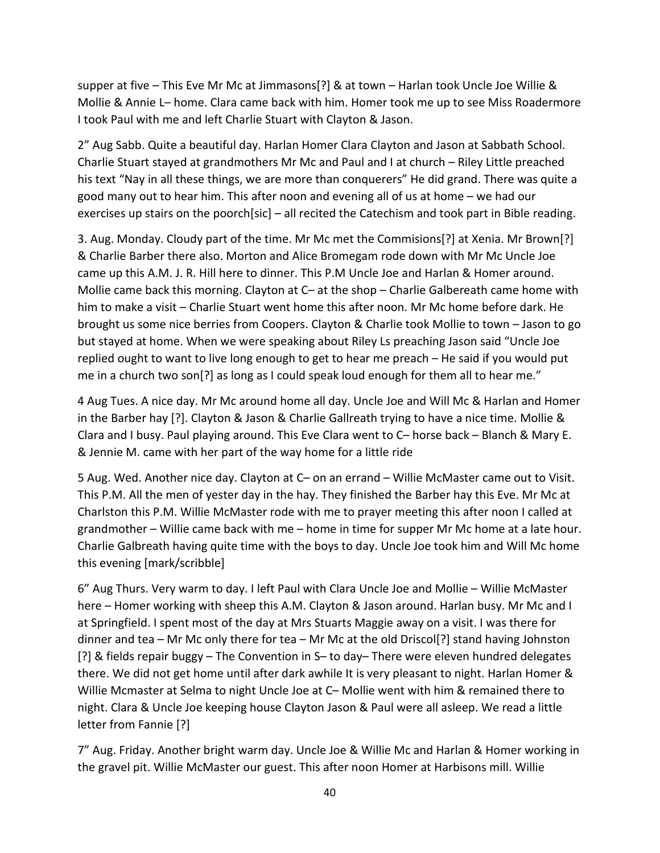supper at five – This Eve Mr Mc at Jimmasons[?] & at town – Harlan took Uncle Joe Willie & Mollie & Annie L– home. Clara came back with him. Homer took me up to see Miss Roadermore I took Paul with me and left Charlie Stuart with Clayton & Jason.

2" Aug Sabb. Quite a beautiful day. Harlan Homer Clara Clayton and Jason at Sabbath School. Charlie Stuart stayed at grandmothers Mr Mc and Paul and I at church – Riley Little preached his text "Nay in all these things, we are more than conquerers" He did grand. There was quite a good many out to hear him. This after noon and evening all of us at home – we had our exercises up stairs on the poorch[sic] – all recited the Catechism and took part in Bible reading.

3. Aug. Monday. Cloudy part of the time. Mr Mc met the Commisions[?] at Xenia. Mr Brown[?] & Charlie Barber there also. Morton and Alice Bromegam rode down with Mr Mc Uncle Joe came up this A.M. J. R. Hill here to dinner. This P.M Uncle Joe and Harlan & Homer around. Mollie came back this morning. Clayton at C– at the shop – Charlie Galbereath came home with him to make a visit – Charlie Stuart went home this after noon. Mr Mc home before dark. He brought us some nice berries from Coopers. Clayton & Charlie took Mollie to town – Jason to go but stayed at home. When we were speaking about Riley Ls preaching Jason said "Uncle Joe replied ought to want to live long enough to get to hear me preach – He said if you would put me in a church two son[?] as long as I could speak loud enough for them all to hear me."

4 Aug Tues. A nice day. Mr Mc around home all day. Uncle Joe and Will Mc & Harlan and Homer in the Barber hay [?]. Clayton & Jason & Charlie Gallreath trying to have a nice time. Mollie & Clara and I busy. Paul playing around. This Eve Clara went to C– horse back – Blanch & Mary E. & Jennie M. came with her part of the way home for a little ride

5 Aug. Wed. Another nice day. Clayton at C– on an errand – Willie McMaster came out to Visit. This P.M. All the men of yester day in the hay. They finished the Barber hay this Eve. Mr Mc at Charlston this P.M. Willie McMaster rode with me to prayer meeting this after noon I called at grandmother – Willie came back with me – home in time for supper Mr Mc home at a late hour. Charlie Galbreath having quite time with the boys to day. Uncle Joe took him and Will Mc home this evening [mark/scribble]

6" Aug Thurs. Very warm to day. I left Paul with Clara Uncle Joe and Mollie – Willie McMaster here – Homer working with sheep this A.M. Clayton & Jason around. Harlan busy. Mr Mc and I at Springfield. I spent most of the day at Mrs Stuarts Maggie away on a visit. I was there for dinner and tea – Mr Mc only there for tea – Mr Mc at the old Driscol[?] stand having Johnston [?] & fields repair buggy – The Convention in S– to day– There were eleven hundred delegates there. We did not get home until after dark awhile It is very pleasant to night. Harlan Homer & Willie Mcmaster at Selma to night Uncle Joe at C– Mollie went with him & remained there to night. Clara & Uncle Joe keeping house Clayton Jason & Paul were all asleep. We read a little letter from Fannie [?]

7" Aug. Friday. Another bright warm day. Uncle Joe & Willie Mc and Harlan & Homer working in the gravel pit. Willie McMaster our guest. This after noon Homer at Harbisons mill. Willie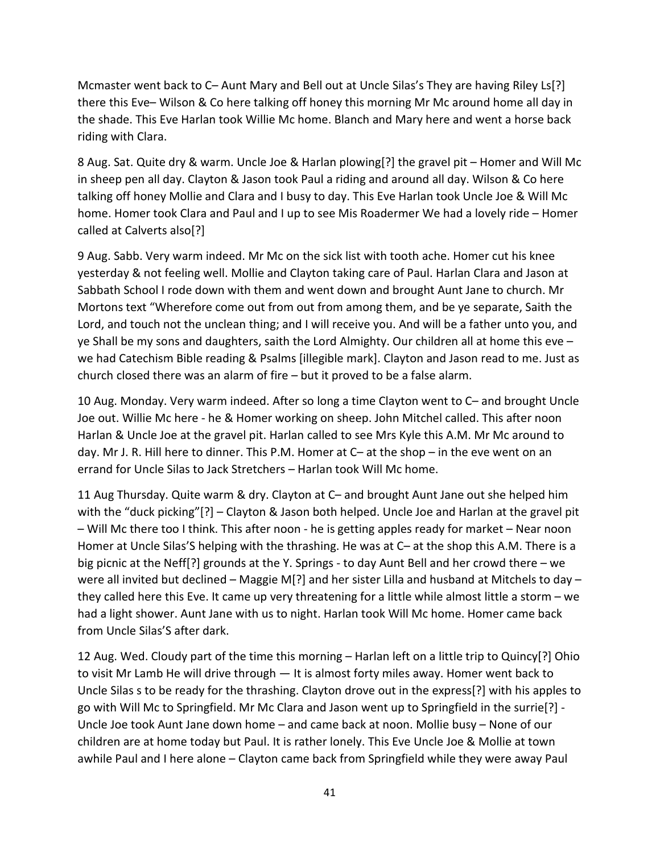Mcmaster went back to C– Aunt Mary and Bell out at Uncle Silas's They are having Riley Ls[?] there this Eve– Wilson & Co here talking off honey this morning Mr Mc around home all day in the shade. This Eve Harlan took Willie Mc home. Blanch and Mary here and went a horse back riding with Clara.

8 Aug. Sat. Quite dry & warm. Uncle Joe & Harlan plowing[?] the gravel pit – Homer and Will Mc in sheep pen all day. Clayton & Jason took Paul a riding and around all day. Wilson & Co here talking off honey Mollie and Clara and I busy to day. This Eve Harlan took Uncle Joe & Will Mc home. Homer took Clara and Paul and I up to see Mis Roadermer We had a lovely ride – Homer called at Calverts also[?]

9 Aug. Sabb. Very warm indeed. Mr Mc on the sick list with tooth ache. Homer cut his knee yesterday & not feeling well. Mollie and Clayton taking care of Paul. Harlan Clara and Jason at Sabbath School I rode down with them and went down and brought Aunt Jane to church. Mr Mortons text "Wherefore come out from out from among them, and be ye separate, Saith the Lord, and touch not the unclean thing; and I will receive you. And will be a father unto you, and ye Shall be my sons and daughters, saith the Lord Almighty. Our children all at home this eve – we had Catechism Bible reading & Psalms [illegible mark]. Clayton and Jason read to me. Just as church closed there was an alarm of fire – but it proved to be a false alarm.

10 Aug. Monday. Very warm indeed. After so long a time Clayton went to C– and brought Uncle Joe out. Willie Mc here - he & Homer working on sheep. John Mitchel called. This after noon Harlan & Uncle Joe at the gravel pit. Harlan called to see Mrs Kyle this A.M. Mr Mc around to day. Mr J. R. Hill here to dinner. This P.M. Homer at C– at the shop – in the eve went on an errand for Uncle Silas to Jack Stretchers – Harlan took Will Mc home.

11 Aug Thursday. Quite warm & dry. Clayton at C– and brought Aunt Jane out she helped him with the "duck picking"[?] – Clayton & Jason both helped. Uncle Joe and Harlan at the gravel pit – Will Mc there too I think. This after noon - he is getting apples ready for market – Near noon Homer at Uncle Silas'S helping with the thrashing. He was at C– at the shop this A.M. There is a big picnic at the Neff[?] grounds at the Y. Springs - to day Aunt Bell and her crowd there – we were all invited but declined – Maggie M[?] and her sister Lilla and husband at Mitchels to day – they called here this Eve. It came up very threatening for a little while almost little a storm – we had a light shower. Aunt Jane with us to night. Harlan took Will Mc home. Homer came back from Uncle Silas'S after dark.

12 Aug. Wed. Cloudy part of the time this morning – Harlan left on a little trip to Quincy[?] Ohio to visit Mr Lamb He will drive through — It is almost forty miles away. Homer went back to Uncle Silas s to be ready for the thrashing. Clayton drove out in the express[?] with his apples to go with Will Mc to Springfield. Mr Mc Clara and Jason went up to Springfield in the surrie[?] - Uncle Joe took Aunt Jane down home – and came back at noon. Mollie busy – None of our children are at home today but Paul. It is rather lonely. This Eve Uncle Joe & Mollie at town awhile Paul and I here alone – Clayton came back from Springfield while they were away Paul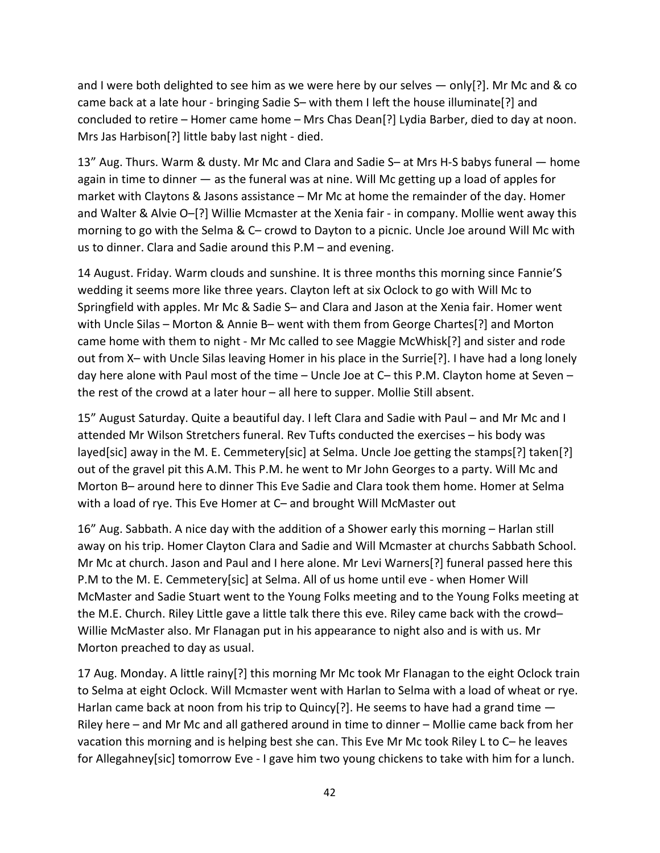and I were both delighted to see him as we were here by our selves  $-$  only[?]. Mr Mc and & co came back at a late hour - bringing Sadie S– with them I left the house illuminate[?] and concluded to retire – Homer came home – Mrs Chas Dean[?] Lydia Barber, died to day at noon. Mrs Jas Harbison[?] little baby last night - died.

13" Aug. Thurs. Warm & dusty. Mr Mc and Clara and Sadie S– at Mrs H-S babys funeral — home again in time to dinner — as the funeral was at nine. Will Mc getting up a load of apples for market with Claytons & Jasons assistance – Mr Mc at home the remainder of the day. Homer and Walter & Alvie O–[?] Willie Mcmaster at the Xenia fair - in company. Mollie went away this morning to go with the Selma & C– crowd to Dayton to a picnic. Uncle Joe around Will Mc with us to dinner. Clara and Sadie around this P.M – and evening.

14 August. Friday. Warm clouds and sunshine. It is three months this morning since Fannie'S wedding it seems more like three years. Clayton left at six Oclock to go with Will Mc to Springfield with apples. Mr Mc & Sadie S– and Clara and Jason at the Xenia fair. Homer went with Uncle Silas – Morton & Annie B– went with them from George Chartes[?] and Morton came home with them to night - Mr Mc called to see Maggie McWhisk[?] and sister and rode out from X– with Uncle Silas leaving Homer in his place in the Surrie[?]. I have had a long lonely day here alone with Paul most of the time – Uncle Joe at C– this P.M. Clayton home at Seven – the rest of the crowd at a later hour – all here to supper. Mollie Still absent.

15" August Saturday. Quite a beautiful day. I left Clara and Sadie with Paul – and Mr Mc and I attended Mr Wilson Stretchers funeral. Rev Tufts conducted the exercises – his body was layed[sic] away in the M. E. Cemmetery[sic] at Selma. Uncle Joe getting the stamps[?] taken[?] out of the gravel pit this A.M. This P.M. he went to Mr John Georges to a party. Will Mc and Morton B– around here to dinner This Eve Sadie and Clara took them home. Homer at Selma with a load of rye. This Eve Homer at C– and brought Will McMaster out

16" Aug. Sabbath. A nice day with the addition of a Shower early this morning – Harlan still away on his trip. Homer Clayton Clara and Sadie and Will Mcmaster at churchs Sabbath School. Mr Mc at church. Jason and Paul and I here alone. Mr Levi Warners[?] funeral passed here this P.M to the M. E. Cemmetery[sic] at Selma. All of us home until eve - when Homer Will McMaster and Sadie Stuart went to the Young Folks meeting and to the Young Folks meeting at the M.E. Church. Riley Little gave a little talk there this eve. Riley came back with the crowd– Willie McMaster also. Mr Flanagan put in his appearance to night also and is with us. Mr Morton preached to day as usual.

17 Aug. Monday. A little rainy[?] this morning Mr Mc took Mr Flanagan to the eight Oclock train to Selma at eight Oclock. Will Mcmaster went with Harlan to Selma with a load of wheat or rye. Harlan came back at noon from his trip to Quincy  $[?]$ . He seems to have had a grand time  $-$ Riley here – and Mr Mc and all gathered around in time to dinner – Mollie came back from her vacation this morning and is helping best she can. This Eve Mr Mc took Riley L to C– he leaves for Allegahney[sic] tomorrow Eve - I gave him two young chickens to take with him for a lunch.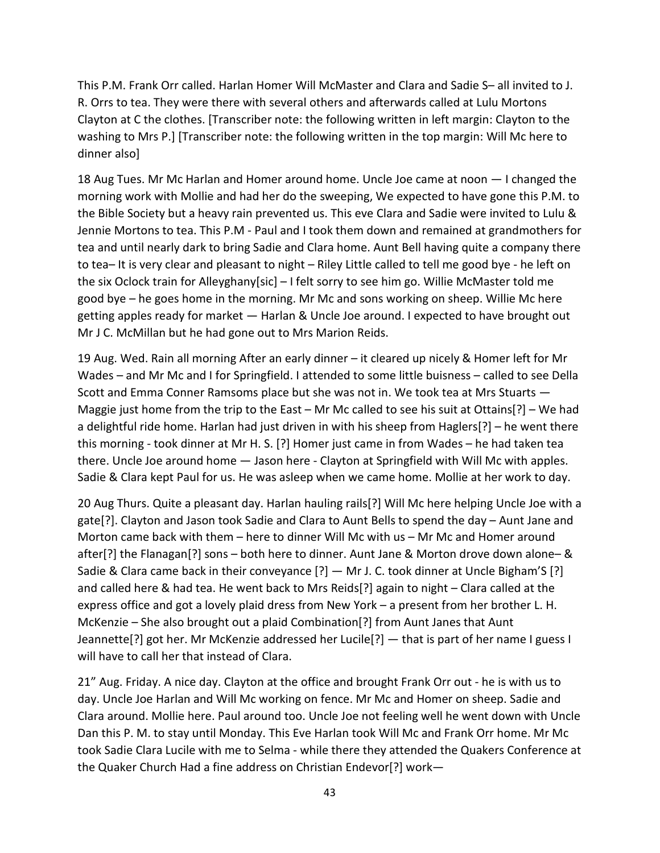This P.M. Frank Orr called. Harlan Homer Will McMaster and Clara and Sadie S– all invited to J. R. Orrs to tea. They were there with several others and afterwards called at Lulu Mortons Clayton at C the clothes. [Transcriber note: the following written in left margin: Clayton to the washing to Mrs P.] [Transcriber note: the following written in the top margin: Will Mc here to dinner also]

18 Aug Tues. Mr Mc Harlan and Homer around home. Uncle Joe came at noon — I changed the morning work with Mollie and had her do the sweeping, We expected to have gone this P.M. to the Bible Society but a heavy rain prevented us. This eve Clara and Sadie were invited to Lulu & Jennie Mortons to tea. This P.M - Paul and I took them down and remained at grandmothers for tea and until nearly dark to bring Sadie and Clara home. Aunt Bell having quite a company there to tea– It is very clear and pleasant to night – Riley Little called to tell me good bye - he left on the six Oclock train for Alleyghany[sic] – I felt sorry to see him go. Willie McMaster told me good bye – he goes home in the morning. Mr Mc and sons working on sheep. Willie Mc here getting apples ready for market — Harlan & Uncle Joe around. I expected to have brought out Mr J C. McMillan but he had gone out to Mrs Marion Reids.

19 Aug. Wed. Rain all morning After an early dinner – it cleared up nicely & Homer left for Mr Wades – and Mr Mc and I for Springfield. I attended to some little buisness – called to see Della Scott and Emma Conner Ramsoms place but she was not in. We took tea at Mrs Stuarts — Maggie just home from the trip to the East – Mr Mc called to see his suit at Ottains[?] – We had a delightful ride home. Harlan had just driven in with his sheep from Haglers[?] – he went there this morning - took dinner at Mr H. S. [?] Homer just came in from Wades – he had taken tea there. Uncle Joe around home — Jason here - Clayton at Springfield with Will Mc with apples. Sadie & Clara kept Paul for us. He was asleep when we came home. Mollie at her work to day.

20 Aug Thurs. Quite a pleasant day. Harlan hauling rails[?] Will Mc here helping Uncle Joe with a gate[?]. Clayton and Jason took Sadie and Clara to Aunt Bells to spend the day – Aunt Jane and Morton came back with them – here to dinner Will Mc with us – Mr Mc and Homer around after[?] the Flanagan[?] sons – both here to dinner. Aunt Jane & Morton drove down alone– & Sadie & Clara came back in their conveyance [?] — Mr J. C. took dinner at Uncle Bigham'S [?] and called here & had tea. He went back to Mrs Reids[?] again to night – Clara called at the express office and got a lovely plaid dress from New York – a present from her brother L. H. McKenzie – She also brought out a plaid Combination[?] from Aunt Janes that Aunt Jeannette[?] got her. Mr McKenzie addressed her Lucile[?] — that is part of her name I guess I will have to call her that instead of Clara.

21" Aug. Friday. A nice day. Clayton at the office and brought Frank Orr out - he is with us to day. Uncle Joe Harlan and Will Mc working on fence. Mr Mc and Homer on sheep. Sadie and Clara around. Mollie here. Paul around too. Uncle Joe not feeling well he went down with Uncle Dan this P. M. to stay until Monday. This Eve Harlan took Will Mc and Frank Orr home. Mr Mc took Sadie Clara Lucile with me to Selma - while there they attended the Quakers Conference at the Quaker Church Had a fine address on Christian Endevor[?] work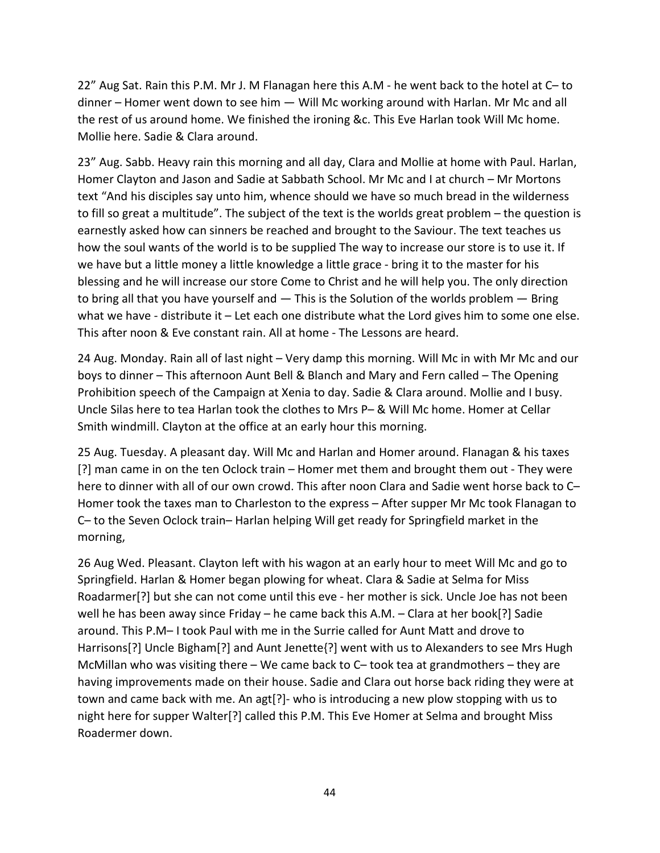22" Aug Sat. Rain this P.M. Mr J. M Flanagan here this A.M - he went back to the hotel at C– to dinner – Homer went down to see him — Will Mc working around with Harlan. Mr Mc and all the rest of us around home. We finished the ironing &c. This Eve Harlan took Will Mc home. Mollie here. Sadie & Clara around.

23" Aug. Sabb. Heavy rain this morning and all day, Clara and Mollie at home with Paul. Harlan, Homer Clayton and Jason and Sadie at Sabbath School. Mr Mc and I at church – Mr Mortons text "And his disciples say unto him, whence should we have so much bread in the wilderness to fill so great a multitude". The subject of the text is the worlds great problem – the question is earnestly asked how can sinners be reached and brought to the Saviour. The text teaches us how the soul wants of the world is to be supplied The way to increase our store is to use it. If we have but a little money a little knowledge a little grace - bring it to the master for his blessing and he will increase our store Come to Christ and he will help you. The only direction to bring all that you have yourself and — This is the Solution of the worlds problem — Bring what we have - distribute it – Let each one distribute what the Lord gives him to some one else. This after noon & Eve constant rain. All at home - The Lessons are heard.

24 Aug. Monday. Rain all of last night – Very damp this morning. Will Mc in with Mr Mc and our boys to dinner – This afternoon Aunt Bell & Blanch and Mary and Fern called – The Opening Prohibition speech of the Campaign at Xenia to day. Sadie & Clara around. Mollie and I busy. Uncle Silas here to tea Harlan took the clothes to Mrs P– & Will Mc home. Homer at Cellar Smith windmill. Clayton at the office at an early hour this morning.

25 Aug. Tuesday. A pleasant day. Will Mc and Harlan and Homer around. Flanagan & his taxes [?] man came in on the ten Oclock train – Homer met them and brought them out - They were here to dinner with all of our own crowd. This after noon Clara and Sadie went horse back to C– Homer took the taxes man to Charleston to the express – After supper Mr Mc took Flanagan to C– to the Seven Oclock train– Harlan helping Will get ready for Springfield market in the morning,

26 Aug Wed. Pleasant. Clayton left with his wagon at an early hour to meet Will Mc and go to Springfield. Harlan & Homer began plowing for wheat. Clara & Sadie at Selma for Miss Roadarmer[?] but she can not come until this eve - her mother is sick. Uncle Joe has not been well he has been away since Friday – he came back this A.M. – Clara at her book[?] Sadie around. This P.M– I took Paul with me in the Surrie called for Aunt Matt and drove to Harrisons[?] Uncle Bigham[?] and Aunt Jenette{?] went with us to Alexanders to see Mrs Hugh McMillan who was visiting there – We came back to  $C-$  took tea at grandmothers – they are having improvements made on their house. Sadie and Clara out horse back riding they were at town and came back with me. An agt[?]- who is introducing a new plow stopping with us to night here for supper Walter[?] called this P.M. This Eve Homer at Selma and brought Miss Roadermer down.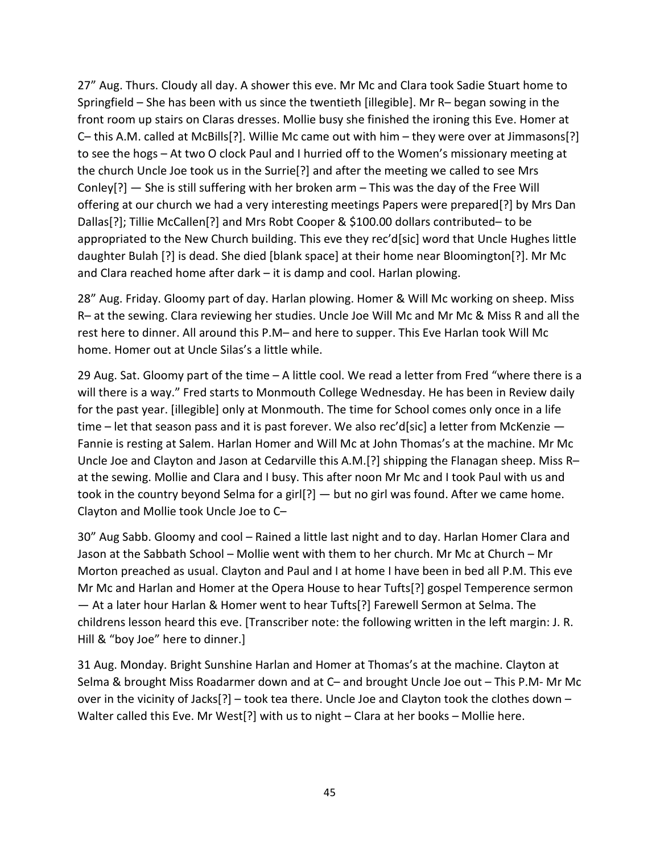27" Aug. Thurs. Cloudy all day. A shower this eve. Mr Mc and Clara took Sadie Stuart home to Springfield – She has been with us since the twentieth [illegible]. Mr R– began sowing in the front room up stairs on Claras dresses. Mollie busy she finished the ironing this Eve. Homer at C– this A.M. called at McBills[?]. Willie Mc came out with him – they were over at Jimmasons[?] to see the hogs – At two O clock Paul and I hurried off to the Women's missionary meeting at the church Uncle Joe took us in the Surrie[?] and after the meeting we called to see Mrs Conley[?] — She is still suffering with her broken arm – This was the day of the Free Will offering at our church we had a very interesting meetings Papers were prepared[?] by Mrs Dan Dallas[?]; Tillie McCallen[?] and Mrs Robt Cooper & \$100.00 dollars contributed– to be appropriated to the New Church building. This eve they rec'd[sic] word that Uncle Hughes little daughter Bulah [?] is dead. She died [blank space] at their home near Bloomington[?]. Mr Mc and Clara reached home after dark – it is damp and cool. Harlan plowing.

28" Aug. Friday. Gloomy part of day. Harlan plowing. Homer & Will Mc working on sheep. Miss R– at the sewing. Clara reviewing her studies. Uncle Joe Will Mc and Mr Mc & Miss R and all the rest here to dinner. All around this P.M– and here to supper. This Eve Harlan took Will Mc home. Homer out at Uncle Silas's a little while.

29 Aug. Sat. Gloomy part of the time – A little cool. We read a letter from Fred "where there is a will there is a way." Fred starts to Monmouth College Wednesday. He has been in Review daily for the past year. [illegible] only at Monmouth. The time for School comes only once in a life time – let that season pass and it is past forever. We also rec'd[sic] a letter from McKenzie – Fannie is resting at Salem. Harlan Homer and Will Mc at John Thomas's at the machine. Mr Mc Uncle Joe and Clayton and Jason at Cedarville this A.M.[?] shipping the Flanagan sheep. Miss R– at the sewing. Mollie and Clara and I busy. This after noon Mr Mc and I took Paul with us and took in the country beyond Selma for a girl[?] — but no girl was found. After we came home. Clayton and Mollie took Uncle Joe to C–

30" Aug Sabb. Gloomy and cool – Rained a little last night and to day. Harlan Homer Clara and Jason at the Sabbath School – Mollie went with them to her church. Mr Mc at Church – Mr Morton preached as usual. Clayton and Paul and I at home I have been in bed all P.M. This eve Mr Mc and Harlan and Homer at the Opera House to hear Tufts[?] gospel Temperence sermon — At a later hour Harlan & Homer went to hear Tufts[?] Farewell Sermon at Selma. The childrens lesson heard this eve. [Transcriber note: the following written in the left margin: J. R. Hill & "boy Joe" here to dinner.]

31 Aug. Monday. Bright Sunshine Harlan and Homer at Thomas's at the machine. Clayton at Selma & brought Miss Roadarmer down and at C– and brought Uncle Joe out – This P.M- Mr Mc over in the vicinity of Jacks[?] – took tea there. Uncle Joe and Clayton took the clothes down – Walter called this Eve. Mr West[?] with us to night – Clara at her books – Mollie here.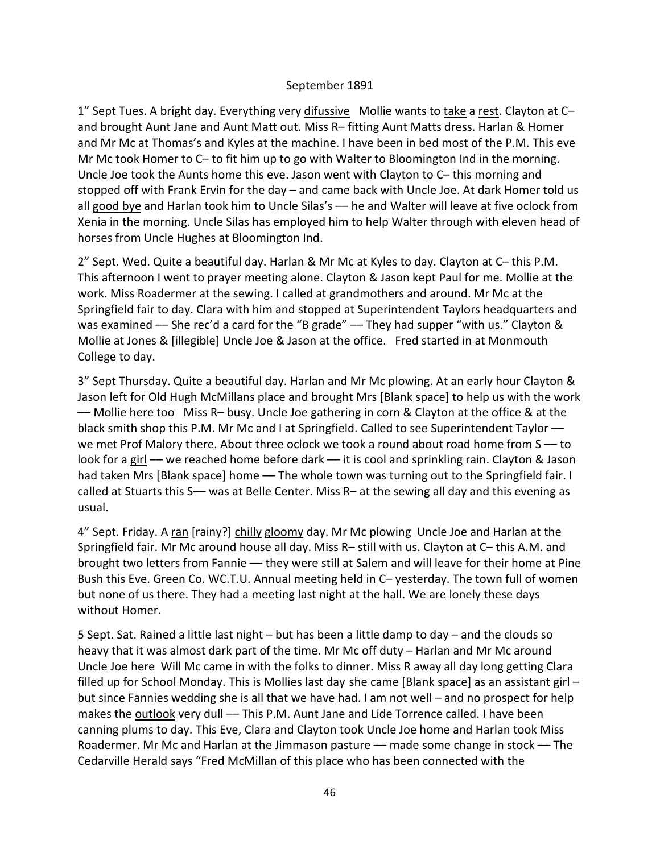#### September 1891

1" Sept Tues. A bright day. Everything very difussive Mollie wants to take a rest. Clayton at Cand brought Aunt Jane and Aunt Matt out. Miss R– fitting Aunt Matts dress. Harlan & Homer and Mr Mc at Thomas's and Kyles at the machine. I have been in bed most of the P.M. This eve Mr Mc took Homer to C– to fit him up to go with Walter to Bloomington Ind in the morning. Uncle Joe took the Aunts home this eve. Jason went with Clayton to C– this morning and stopped off with Frank Ervin for the day – and came back with Uncle Joe. At dark Homer told us all good bye and Harlan took him to Uncle Silas's — he and Walter will leave at five oclock from Xenia in the morning. Uncle Silas has employed him to help Walter through with eleven head of horses from Uncle Hughes at Bloomington Ind.

2" Sept. Wed. Quite a beautiful day. Harlan & Mr Mc at Kyles to day. Clayton at C– this P.M. This afternoon I went to prayer meeting alone. Clayton & Jason kept Paul for me. Mollie at the work. Miss Roadermer at the sewing. I called at grandmothers and around. Mr Mc at the Springfield fair to day. Clara with him and stopped at Superintendent Taylors headquarters and was examined –– She rec'd a card for the "B grade" –– They had supper "with us." Clayton & Mollie at Jones & [illegible] Uncle Joe & Jason at the office. Fred started in at Monmouth College to day.

3" Sept Thursday. Quite a beautiful day. Harlan and Mr Mc plowing. At an early hour Clayton & Jason left for Old Hugh McMillans place and brought Mrs [Blank space] to help us with the work –– Mollie here too Miss R– busy. Uncle Joe gathering in corn & Clayton at the office & at the black smith shop this P.M. Mr Mc and I at Springfield. Called to see Superintendent Taylor we met Prof Malory there. About three oclock we took a round about road home from S -- to look for a girl - we reached home before dark - it is cool and sprinkling rain. Clayton & Jason had taken Mrs [Blank space] home — The whole town was turning out to the Springfield fair. I called at Stuarts this S-- was at Belle Center. Miss R- at the sewing all day and this evening as usual.

4" Sept. Friday. A ran [rainy?] chilly gloomy day. Mr Mc plowing Uncle Joe and Harlan at the Springfield fair. Mr Mc around house all day. Miss R– still with us. Clayton at C– this A.M. and brought two letters from Fannie - they were still at Salem and will leave for their home at Pine Bush this Eve. Green Co. WC.T.U. Annual meeting held in C– yesterday. The town full of women but none of us there. They had a meeting last night at the hall. We are lonely these days without Homer.

5 Sept. Sat. Rained a little last night – but has been a little damp to day – and the clouds so heavy that it was almost dark part of the time. Mr Mc off duty – Harlan and Mr Mc around Uncle Joe here Will Mc came in with the folks to dinner. Miss R away all day long getting Clara filled up for School Monday. This is Mollies last day she came [Blank space] as an assistant girl – but since Fannies wedding she is all that we have had. I am not well – and no prospect for help makes the outlook very dull — This P.M. Aunt Jane and Lide Torrence called. I have been canning plums to day. This Eve, Clara and Clayton took Uncle Joe home and Harlan took Miss Roadermer. Mr Mc and Harlan at the Jimmason pasture — made some change in stock — The Cedarville Herald says "Fred McMillan of this place who has been connected with the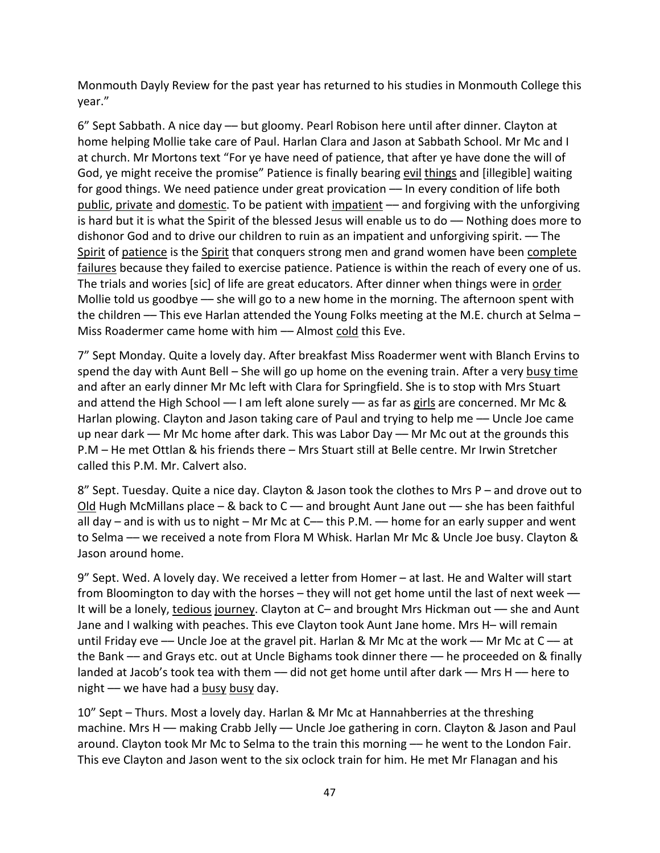Monmouth Dayly Review for the past year has returned to his studies in Monmouth College this year."

6" Sept Sabbath. A nice day –– but gloomy. Pearl Robison here until after dinner. Clayton at home helping Mollie take care of Paul. Harlan Clara and Jason at Sabbath School. Mr Mc and I at church. Mr Mortons text "For ye have need of patience, that after ye have done the will of God, ye might receive the promise" Patience is finally bearing evil things and [illegible] waiting for good things. We need patience under great provication -- In every condition of life both public, private and domestic. To be patient with impatient — and forgiving with the unforgiving is hard but it is what the Spirit of the blessed Jesus will enable us to  $d_0$  — Nothing does more to dishonor God and to drive our children to ruin as an impatient and unforgiving spirit. - The Spirit of patience is the Spirit that conquers strong men and grand women have been complete failures because they failed to exercise patience. Patience is within the reach of every one of us. The trials and wories [sic] of life are great educators. After dinner when things were in order Mollie told us goodbye — she will go to a new home in the morning. The afternoon spent with the children -- This eve Harlan attended the Young Folks meeting at the M.E. church at Selma -Miss Roadermer came home with him -- Almost cold this Eve.

7" Sept Monday. Quite a lovely day. After breakfast Miss Roadermer went with Blanch Ervins to spend the day with Aunt Bell – She will go up home on the evening train. After a very busy time and after an early dinner Mr Mc left with Clara for Springfield. She is to stop with Mrs Stuart and attend the High School -- I am left alone surely -- as far as girls are concerned. Mr Mc & Harlan plowing. Clayton and Jason taking care of Paul and trying to help me — Uncle Joe came up near dark –– Mr Mc home after dark. This was Labor Day –– Mr Mc out at the grounds this P.M – He met Ottlan & his friends there – Mrs Stuart still at Belle centre. Mr Irwin Stretcher called this P.M. Mr. Calvert also.

8" Sept. Tuesday. Quite a nice day. Clayton & Jason took the clothes to Mrs P – and drove out to Old Hugh McMillans place – & back to  $C$  — and brought Aunt Jane out — she has been faithful all day – and is with us to night – Mr Mc at  $C_{\text{}}$  this P.M. — home for an early supper and went to Selma –– we received a note from Flora M Whisk. Harlan Mr Mc & Uncle Joe busy. Clayton & Jason around home.

9" Sept. Wed. A lovely day. We received a letter from Homer – at last. He and Walter will start from Bloomington to day with the horses – they will not get home until the last of next week — It will be a lonely, tedious journey. Clayton at C– and brought Mrs Hickman out –– she and Aunt Jane and I walking with peaches. This eve Clayton took Aunt Jane home. Mrs H– will remain until Friday eve - Uncle Joe at the gravel pit. Harlan & Mr Mc at the work - Mr Mc at C - at the Bank –– and Grays etc. out at Uncle Bighams took dinner there –– he proceeded on & finally landed at Jacob's took tea with them — did not get home until after dark — Mrs H — here to night  $-$  we have had a busy busy day.

10" Sept – Thurs. Most a lovely day. Harlan & Mr Mc at Hannahberries at the threshing machine. Mrs H - making Crabb Jelly - Uncle Joe gathering in corn. Clayton & Jason and Paul around. Clayton took Mr Mc to Selma to the train this morning — he went to the London Fair. This eve Clayton and Jason went to the six oclock train for him. He met Mr Flanagan and his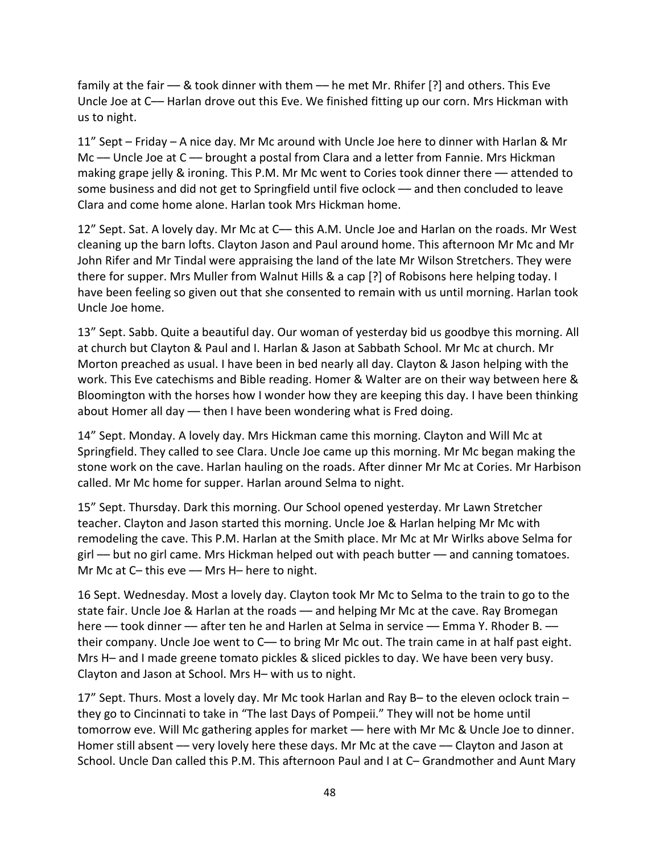family at the fair — & took dinner with them — he met Mr. Rhifer [?] and others. This Eve Uncle Joe at C— Harlan drove out this Eve. We finished fitting up our corn. Mrs Hickman with us to night.

11" Sept – Friday – A nice day. Mr Mc around with Uncle Joe here to dinner with Harlan & Mr Mc — Uncle Joe at C — brought a postal from Clara and a letter from Fannie. Mrs Hickman making grape jelly & ironing. This P.M. Mr Mc went to Cories took dinner there –– attended to some business and did not get to Springfield until five oclock - and then concluded to leave Clara and come home alone. Harlan took Mrs Hickman home.

12" Sept. Sat. A lovely day. Mr Mc at C— this A.M. Uncle Joe and Harlan on the roads. Mr West cleaning up the barn lofts. Clayton Jason and Paul around home. This afternoon Mr Mc and Mr John Rifer and Mr Tindal were appraising the land of the late Mr Wilson Stretchers. They were there for supper. Mrs Muller from Walnut Hills & a cap [?] of Robisons here helping today. I have been feeling so given out that she consented to remain with us until morning. Harlan took Uncle Joe home.

13" Sept. Sabb. Quite a beautiful day. Our woman of yesterday bid us goodbye this morning. All at church but Clayton & Paul and I. Harlan & Jason at Sabbath School. Mr Mc at church. Mr Morton preached as usual. I have been in bed nearly all day. Clayton & Jason helping with the work. This Eve catechisms and Bible reading. Homer & Walter are on their way between here & Bloomington with the horses how I wonder how they are keeping this day. I have been thinking about Homer all day –– then I have been wondering what is Fred doing.

14" Sept. Monday. A lovely day. Mrs Hickman came this morning. Clayton and Will Mc at Springfield. They called to see Clara. Uncle Joe came up this morning. Mr Mc began making the stone work on the cave. Harlan hauling on the roads. After dinner Mr Mc at Cories. Mr Harbison called. Mr Mc home for supper. Harlan around Selma to night.

15" Sept. Thursday. Dark this morning. Our School opened yesterday. Mr Lawn Stretcher teacher. Clayton and Jason started this morning. Uncle Joe & Harlan helping Mr Mc with remodeling the cave. This P.M. Harlan at the Smith place. Mr Mc at Mr Wirlks above Selma for girl –– but no girl came. Mrs Hickman helped out with peach butter –– and canning tomatoes. Mr Mc at C- this eve -- Mrs H- here to night.

16 Sept. Wednesday. Most a lovely day. Clayton took Mr Mc to Selma to the train to go to the state fair. Uncle Joe & Harlan at the roads — and helping Mr Mc at the cave. Ray Bromegan here — took dinner — after ten he and Harlen at Selma in service — Emma Y. Rhoder B. their company. Uncle Joe went to C— to bring Mr Mc out. The train came in at half past eight. Mrs H– and I made greene tomato pickles & sliced pickles to day. We have been very busy. Clayton and Jason at School. Mrs H– with us to night.

17" Sept. Thurs. Most a lovely day. Mr Mc took Harlan and Ray B– to the eleven oclock train – they go to Cincinnati to take in "The last Days of Pompeii." They will not be home until tomorrow eve. Will Mc gathering apples for market — here with Mr Mc & Uncle Joe to dinner. Homer still absent - very lovely here these days. Mr Mc at the cave - Clayton and Jason at School. Uncle Dan called this P.M. This afternoon Paul and I at C– Grandmother and Aunt Mary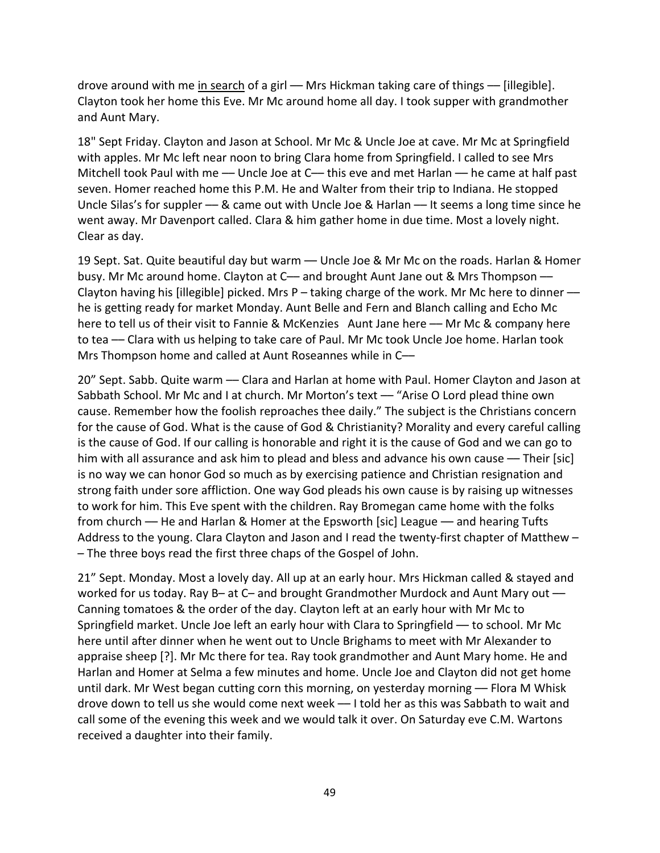drove around with me in search of a girl — Mrs Hickman taking care of things — [illegible]. Clayton took her home this Eve. Mr Mc around home all day. I took supper with grandmother and Aunt Mary.

18" Sept Friday. Clayton and Jason at School. Mr Mc & Uncle Joe at cave. Mr Mc at Springfield with apples. Mr Mc left near noon to bring Clara home from Springfield. I called to see Mrs Mitchell took Paul with me — Uncle Joe at C— this eve and met Harlan — he came at half past seven. Homer reached home this P.M. He and Walter from their trip to Indiana. He stopped Uncle Silas's for suppler –– & came out with Uncle Joe & Harlan –– It seems a long time since he went away. Mr Davenport called. Clara & him gather home in due time. Most a lovely night. Clear as day.

19 Sept. Sat. Quite beautiful day but warm — Uncle Joe & Mr Mc on the roads. Harlan & Homer busy. Mr Mc around home. Clayton at C— and brought Aunt Jane out & Mrs Thompson — Clayton having his [illegible] picked. Mrs  $P -$  taking charge of the work. Mr Mc here to dinner  $$ he is getting ready for market Monday. Aunt Belle and Fern and Blanch calling and Echo Mc here to tell us of their visit to Fannie & McKenzies Aunt Jane here — Mr Mc & company here to tea –– Clara with us helping to take care of Paul. Mr Mc took Uncle Joe home. Harlan took Mrs Thompson home and called at Aunt Roseannes while in C--

20" Sept. Sabb. Quite warm — Clara and Harlan at home with Paul. Homer Clayton and Jason at Sabbath School. Mr Mc and I at church. Mr Morton's text — "Arise O Lord plead thine own cause. Remember how the foolish reproaches thee daily." The subject is the Christians concern for the cause of God. What is the cause of God & Christianity? Morality and every careful calling is the cause of God. If our calling is honorable and right it is the cause of God and we can go to him with all assurance and ask him to plead and bless and advance his own cause — Their [sic] is no way we can honor God so much as by exercising patience and Christian resignation and strong faith under sore affliction. One way God pleads his own cause is by raising up witnesses to work for him. This Eve spent with the children. Ray Bromegan came home with the folks from church –– He and Harlan & Homer at the Epsworth [sic] League –– and hearing Tufts Address to the young. Clara Clayton and Jason and I read the twenty-first chapter of Matthew – – The three boys read the first three chaps of the Gospel of John.

21" Sept. Monday. Most a lovely day. All up at an early hour. Mrs Hickman called & stayed and worked for us today. Ray B– at C– and brought Grandmother Murdock and Aunt Mary out — Canning tomatoes & the order of the day. Clayton left at an early hour with Mr Mc to Springfield market. Uncle Joe left an early hour with Clara to Springfield –– to school. Mr Mc here until after dinner when he went out to Uncle Brighams to meet with Mr Alexander to appraise sheep [?]. Mr Mc there for tea. Ray took grandmother and Aunt Mary home. He and Harlan and Homer at Selma a few minutes and home. Uncle Joe and Clayton did not get home until dark. Mr West began cutting corn this morning, on yesterday morning — Flora M Whisk drove down to tell us she would come next week –– I told her as this was Sabbath to wait and call some of the evening this week and we would talk it over. On Saturday eve C.M. Wartons received a daughter into their family.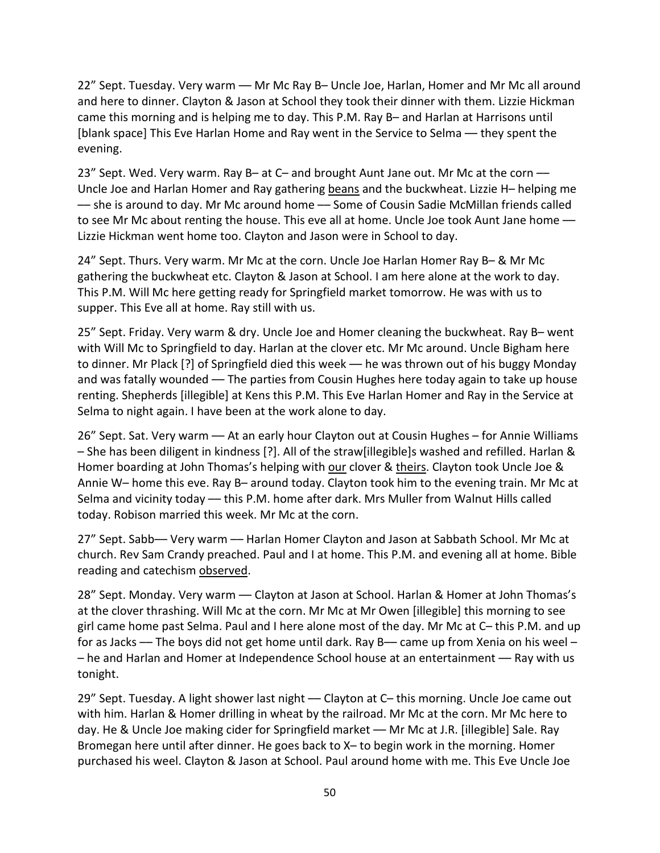22" Sept. Tuesday. Very warm — Mr Mc Ray B- Uncle Joe, Harlan, Homer and Mr Mc all around and here to dinner. Clayton & Jason at School they took their dinner with them. Lizzie Hickman came this morning and is helping me to day. This P.M. Ray B– and Harlan at Harrisons until [blank space] This Eve Harlan Home and Ray went in the Service to Selma –– they spent the evening.

23" Sept. Wed. Very warm. Ray B- at C- and brought Aunt Jane out. Mr Mc at the corn --Uncle Joe and Harlan Homer and Ray gathering beans and the buckwheat. Lizzie H– helping me –– she is around to day. Mr Mc around home –– Some of Cousin Sadie McMillan friends called to see Mr Mc about renting the house. This eve all at home. Uncle Joe took Aunt Jane home — Lizzie Hickman went home too. Clayton and Jason were in School to day.

24" Sept. Thurs. Very warm. Mr Mc at the corn. Uncle Joe Harlan Homer Ray B– & Mr Mc gathering the buckwheat etc. Clayton & Jason at School. I am here alone at the work to day. This P.M. Will Mc here getting ready for Springfield market tomorrow. He was with us to supper. This Eve all at home. Ray still with us.

25" Sept. Friday. Very warm & dry. Uncle Joe and Homer cleaning the buckwheat. Ray B– went with Will Mc to Springfield to day. Harlan at the clover etc. Mr Mc around. Uncle Bigham here to dinner. Mr Plack [?] of Springfield died this week - he was thrown out of his buggy Monday and was fatally wounded — The parties from Cousin Hughes here today again to take up house renting. Shepherds [illegible] at Kens this P.M. This Eve Harlan Homer and Ray in the Service at Selma to night again. I have been at the work alone to day.

26" Sept. Sat. Very warm –– At an early hour Clayton out at Cousin Hughes – for Annie Williams – She has been diligent in kindness [?]. All of the straw[illegible]s washed and refilled. Harlan & Homer boarding at John Thomas's helping with our clover & theirs. Clayton took Uncle Joe & Annie W– home this eve. Ray B– around today. Clayton took him to the evening train. Mr Mc at Selma and vicinity today –– this P.M. home after dark. Mrs Muller from Walnut Hills called today. Robison married this week. Mr Mc at the corn.

27" Sept. Sabb-- Very warm -- Harlan Homer Clayton and Jason at Sabbath School. Mr Mc at church. Rev Sam Crandy preached. Paul and I at home. This P.M. and evening all at home. Bible reading and catechism observed.

28" Sept. Monday. Very warm — Clayton at Jason at School. Harlan & Homer at John Thomas's at the clover thrashing. Will Mc at the corn. Mr Mc at Mr Owen [illegible] this morning to see girl came home past Selma. Paul and I here alone most of the day. Mr Mc at C– this P.M. and up for as Jacks — The boys did not get home until dark. Ray B— came up from Xenia on his weel – – he and Harlan and Homer at Independence School house at an entertainment –– Ray with us tonight.

29" Sept. Tuesday. A light shower last night — Clayton at C– this morning. Uncle Joe came out with him. Harlan & Homer drilling in wheat by the railroad. Mr Mc at the corn. Mr Mc here to day. He & Uncle Joe making cider for Springfield market –– Mr Mc at J.R. [illegible] Sale. Ray Bromegan here until after dinner. He goes back to X– to begin work in the morning. Homer purchased his weel. Clayton & Jason at School. Paul around home with me. This Eve Uncle Joe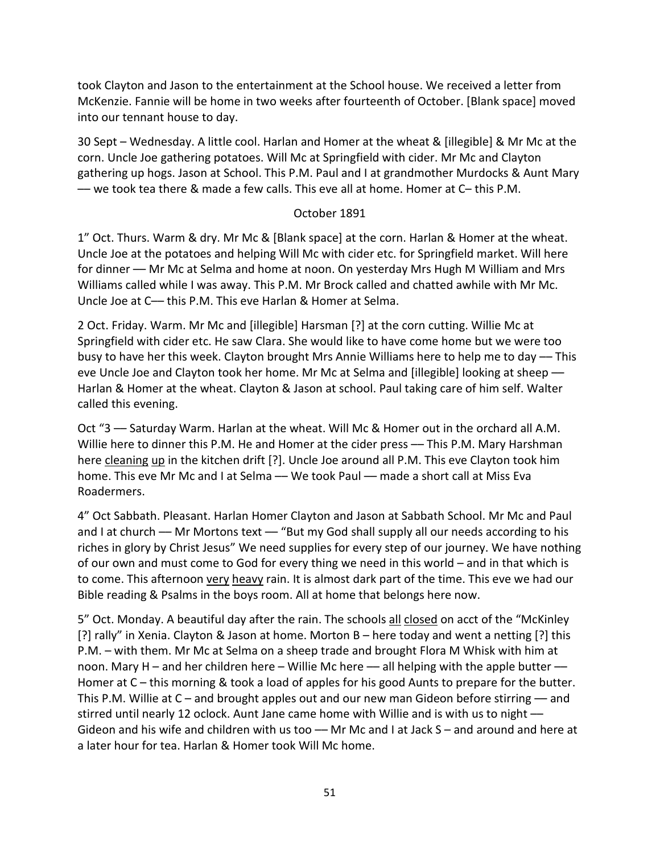took Clayton and Jason to the entertainment at the School house. We received a letter from McKenzie. Fannie will be home in two weeks after fourteenth of October. [Blank space] moved into our tennant house to day.

30 Sept – Wednesday. A little cool. Harlan and Homer at the wheat & [illegible] & Mr Mc at the corn. Uncle Joe gathering potatoes. Will Mc at Springfield with cider. Mr Mc and Clayton gathering up hogs. Jason at School. This P.M. Paul and I at grandmother Murdocks & Aunt Mary –– we took tea there & made a few calls. This eve all at home. Homer at C– this P.M.

### October 1891

1" Oct. Thurs. Warm & dry. Mr Mc & [Blank space] at the corn. Harlan & Homer at the wheat. Uncle Joe at the potatoes and helping Will Mc with cider etc. for Springfield market. Will here for dinner –– Mr Mc at Selma and home at noon. On yesterday Mrs Hugh M William and Mrs Williams called while I was away. This P.M. Mr Brock called and chatted awhile with Mr Mc. Uncle Joe at C— this P.M. This eve Harlan & Homer at Selma.

2 Oct. Friday. Warm. Mr Mc and [illegible] Harsman [?] at the corn cutting. Willie Mc at Springfield with cider etc. He saw Clara. She would like to have come home but we were too busy to have her this week. Clayton brought Mrs Annie Williams here to help me to day — This eve Uncle Joe and Clayton took her home. Mr Mc at Selma and [illegible] looking at sheep — Harlan & Homer at the wheat. Clayton & Jason at school. Paul taking care of him self. Walter called this evening.

Oct "3 –– Saturday Warm. Harlan at the wheat. Will Mc & Homer out in the orchard all A.M. Willie here to dinner this P.M. He and Homer at the cider press -- This P.M. Mary Harshman here cleaning up in the kitchen drift [?]. Uncle Joe around all P.M. This eve Clayton took him home. This eve Mr Mc and I at Selma — We took Paul — made a short call at Miss Eva Roadermers.

4" Oct Sabbath. Pleasant. Harlan Homer Clayton and Jason at Sabbath School. Mr Mc and Paul and I at church  $-$  Mr Mortons text  $-$  "But my God shall supply all our needs according to his riches in glory by Christ Jesus" We need supplies for every step of our journey. We have nothing of our own and must come to God for every thing we need in this world – and in that which is to come. This afternoon very heavy rain. It is almost dark part of the time. This eve we had our Bible reading & Psalms in the boys room. All at home that belongs here now.

5" Oct. Monday. A beautiful day after the rain. The schools all closed on acct of the "McKinley [?] rally" in Xenia. Clayton & Jason at home. Morton B – here today and went a netting [?] this P.M. – with them. Mr Mc at Selma on a sheep trade and brought Flora M Whisk with him at noon. Mary H – and her children here – Willie Mc here — all helping with the apple butter — Homer at C – this morning & took a load of apples for his good Aunts to prepare for the butter. This P.M. Willie at  $C$  – and brought apples out and our new man Gideon before stirring — and stirred until nearly 12 oclock. Aunt Jane came home with Willie and is with us to night –– Gideon and his wife and children with us too — Mr Mc and I at Jack S – and around and here at a later hour for tea. Harlan & Homer took Will Mc home.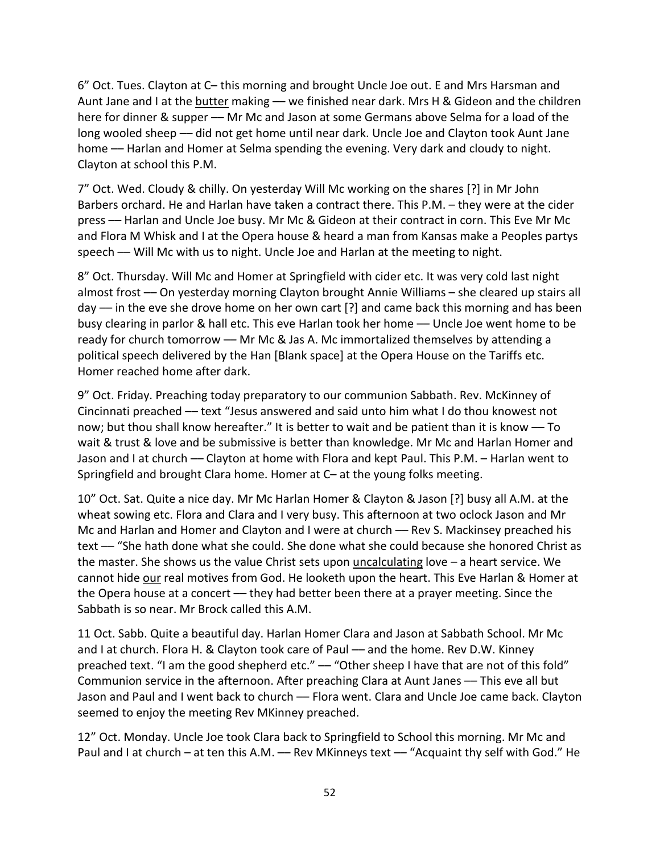6" Oct. Tues. Clayton at C– this morning and brought Uncle Joe out. E and Mrs Harsman and Aunt Jane and I at the butter making - we finished near dark. Mrs H & Gideon and the children here for dinner & supper –– Mr Mc and Jason at some Germans above Selma for a load of the long wooled sheep — did not get home until near dark. Uncle Joe and Clayton took Aunt Jane home –– Harlan and Homer at Selma spending the evening. Very dark and cloudy to night. Clayton at school this P.M.

7" Oct. Wed. Cloudy & chilly. On yesterday Will Mc working on the shares [?] in Mr John Barbers orchard. He and Harlan have taken a contract there. This P.M. – they were at the cider press –– Harlan and Uncle Joe busy. Mr Mc & Gideon at their contract in corn. This Eve Mr Mc and Flora M Whisk and I at the Opera house & heard a man from Kansas make a Peoples partys speech –– Will Mc with us to night. Uncle Joe and Harlan at the meeting to night.

8" Oct. Thursday. Will Mc and Homer at Springfield with cider etc. It was very cold last night almost frost –– On yesterday morning Clayton brought Annie Williams – she cleared up stairs all day — in the eve she drove home on her own cart [?] and came back this morning and has been busy clearing in parlor & hall etc. This eve Harlan took her home –– Uncle Joe went home to be ready for church tomorrow — Mr Mc & Jas A. Mc immortalized themselves by attending a political speech delivered by the Han [Blank space] at the Opera House on the Tariffs etc. Homer reached home after dark.

9" Oct. Friday. Preaching today preparatory to our communion Sabbath. Rev. McKinney of Cincinnati preached –– text "Jesus answered and said unto him what I do thou knowest not now; but thou shall know hereafter." It is better to wait and be patient than it is know — To wait & trust & love and be submissive is better than knowledge. Mr Mc and Harlan Homer and Jason and I at church –– Clayton at home with Flora and kept Paul. This P.M. – Harlan went to Springfield and brought Clara home. Homer at C– at the young folks meeting.

10" Oct. Sat. Quite a nice day. Mr Mc Harlan Homer & Clayton & Jason [?] busy all A.M. at the wheat sowing etc. Flora and Clara and I very busy. This afternoon at two oclock Jason and Mr Mc and Harlan and Homer and Clayton and I were at church — Rev S. Mackinsey preached his text –– "She hath done what she could. She done what she could because she honored Christ as the master. She shows us the value Christ sets upon uncalculating love – a heart service. We cannot hide our real motives from God. He looketh upon the heart. This Eve Harlan & Homer at the Opera house at a concert — they had better been there at a prayer meeting. Since the Sabbath is so near. Mr Brock called this A.M.

11 Oct. Sabb. Quite a beautiful day. Harlan Homer Clara and Jason at Sabbath School. Mr Mc and I at church. Flora H. & Clayton took care of Paul — and the home. Rev D.W. Kinney preached text. "I am the good shepherd etc." — "Other sheep I have that are not of this fold" Communion service in the afternoon. After preaching Clara at Aunt Janes –– This eve all but Jason and Paul and I went back to church –– Flora went. Clara and Uncle Joe came back. Clayton seemed to enjoy the meeting Rev MKinney preached.

12" Oct. Monday. Uncle Joe took Clara back to Springfield to School this morning. Mr Mc and Paul and I at church – at ten this A.M. — Rev MKinneys text — "Acquaint thy self with God." He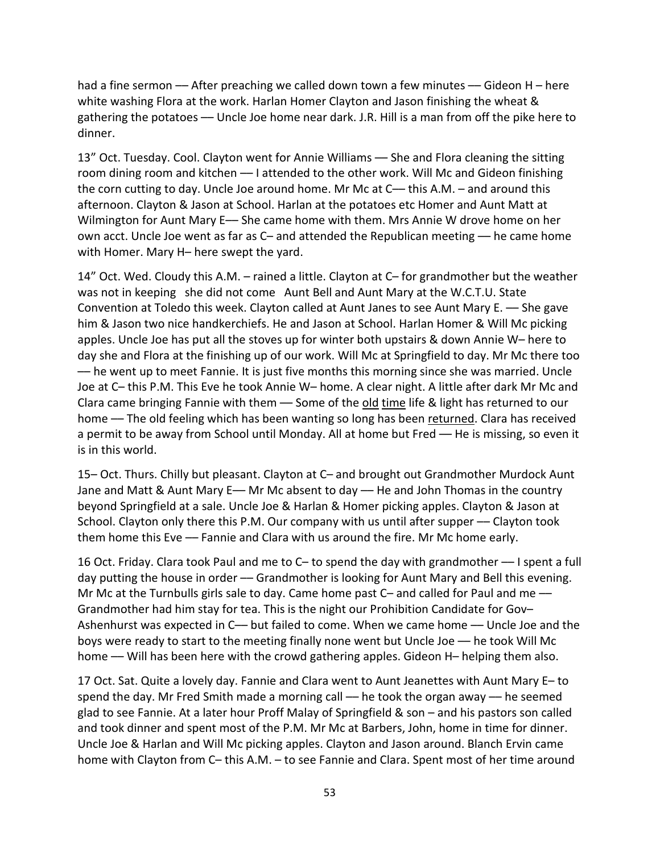had a fine sermon — After preaching we called down town a few minutes — Gideon H – here white washing Flora at the work. Harlan Homer Clayton and Jason finishing the wheat & gathering the potatoes –– Uncle Joe home near dark. J.R. Hill is a man from off the pike here to dinner.

13" Oct. Tuesday. Cool. Clayton went for Annie Williams — She and Flora cleaning the sitting room dining room and kitchen –– I attended to the other work. Will Mc and Gideon finishing the corn cutting to day. Uncle Joe around home. Mr Mc at C-- this A.M. - and around this afternoon. Clayton & Jason at School. Harlan at the potatoes etc Homer and Aunt Matt at Wilmington for Aunt Mary E- She came home with them. Mrs Annie W drove home on her own acct. Uncle Joe went as far as C- and attended the Republican meeting - he came home with Homer. Mary H– here swept the yard.

14" Oct. Wed. Cloudy this A.M. – rained a little. Clayton at C– for grandmother but the weather was not in keeping she did not come Aunt Bell and Aunt Mary at the W.C.T.U. State Convention at Toledo this week. Clayton called at Aunt Janes to see Aunt Mary E. –– She gave him & Jason two nice handkerchiefs. He and Jason at School. Harlan Homer & Will Mc picking apples. Uncle Joe has put all the stoves up for winter both upstairs & down Annie W– here to day she and Flora at the finishing up of our work. Will Mc at Springfield to day. Mr Mc there too –– he went up to meet Fannie. It is just five months this morning since she was married. Uncle Joe at C– this P.M. This Eve he took Annie W– home. A clear night. A little after dark Mr Mc and Clara came bringing Fannie with them - Some of the old time life & light has returned to our home — The old feeling which has been wanting so long has been returned. Clara has received a permit to be away from School until Monday. All at home but Fred - He is missing, so even it is in this world.

15– Oct. Thurs. Chilly but pleasant. Clayton at C– and brought out Grandmother Murdock Aunt Jane and Matt & Aunt Mary E— Mr Mc absent to day — He and John Thomas in the country beyond Springfield at a sale. Uncle Joe & Harlan & Homer picking apples. Clayton & Jason at School. Clayton only there this P.M. Our company with us until after supper — Clayton took them home this Eve –– Fannie and Clara with us around the fire. Mr Mc home early.

16 Oct. Friday. Clara took Paul and me to C– to spend the day with grandmother –– I spent a full day putting the house in order — Grandmother is looking for Aunt Mary and Bell this evening. Mr Mc at the Turnbulls girls sale to day. Came home past C- and called for Paul and me --Grandmother had him stay for tea. This is the night our Prohibition Candidate for Gov– Ashenhurst was expected in C— but failed to come. When we came home — Uncle Joe and the boys were ready to start to the meeting finally none went but Uncle Joe –– he took Will Mc home -- Will has been here with the crowd gathering apples. Gideon H- helping them also.

17 Oct. Sat. Quite a lovely day. Fannie and Clara went to Aunt Jeanettes with Aunt Mary E– to spend the day. Mr Fred Smith made a morning call — he took the organ away — he seemed glad to see Fannie. At a later hour Proff Malay of Springfield & son – and his pastors son called and took dinner and spent most of the P.M. Mr Mc at Barbers, John, home in time for dinner. Uncle Joe & Harlan and Will Mc picking apples. Clayton and Jason around. Blanch Ervin came home with Clayton from C– this A.M. – to see Fannie and Clara. Spent most of her time around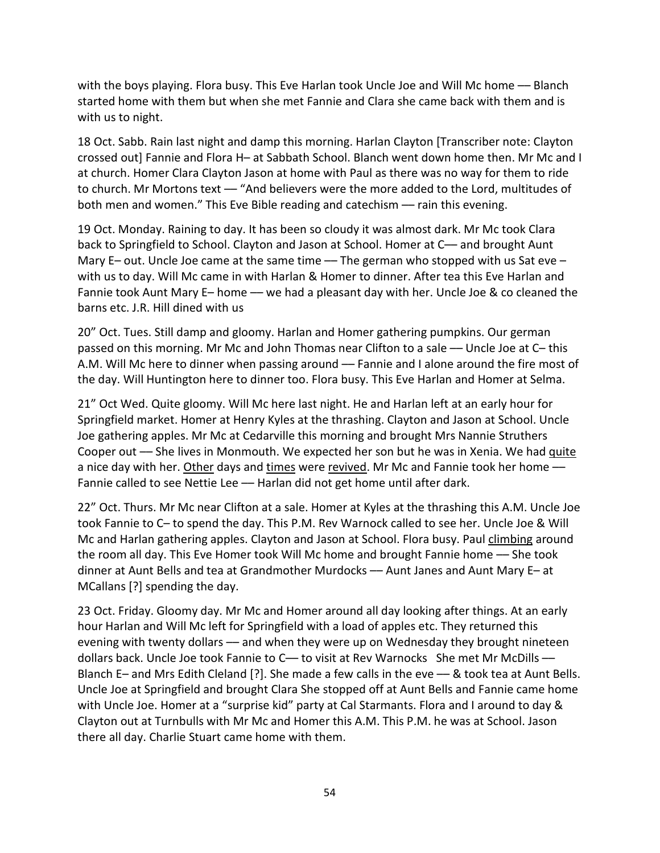with the boys playing. Flora busy. This Eve Harlan took Uncle Joe and Will Mc home –– Blanch started home with them but when she met Fannie and Clara she came back with them and is with us to night.

18 Oct. Sabb. Rain last night and damp this morning. Harlan Clayton [Transcriber note: Clayton crossed out] Fannie and Flora H– at Sabbath School. Blanch went down home then. Mr Mc and I at church. Homer Clara Clayton Jason at home with Paul as there was no way for them to ride to church. Mr Mortons text - "And believers were the more added to the Lord, multitudes of both men and women." This Eve Bible reading and catechism - rain this evening.

19 Oct. Monday. Raining to day. It has been so cloudy it was almost dark. Mr Mc took Clara back to Springfield to School. Clayton and Jason at School. Homer at C–– and brought Aunt Mary E- out. Uncle Joe came at the same time  $-$  The german who stopped with us Sat eve with us to day. Will Mc came in with Harlan & Homer to dinner. After tea this Eve Harlan and Fannie took Aunt Mary E– home — we had a pleasant day with her. Uncle Joe & co cleaned the barns etc. J.R. Hill dined with us

20" Oct. Tues. Still damp and gloomy. Harlan and Homer gathering pumpkins. Our german passed on this morning. Mr Mc and John Thomas near Clifton to a sale –– Uncle Joe at C– this A.M. Will Mc here to dinner when passing around — Fannie and I alone around the fire most of the day. Will Huntington here to dinner too. Flora busy. This Eve Harlan and Homer at Selma.

21" Oct Wed. Quite gloomy. Will Mc here last night. He and Harlan left at an early hour for Springfield market. Homer at Henry Kyles at the thrashing. Clayton and Jason at School. Uncle Joe gathering apples. Mr Mc at Cedarville this morning and brought Mrs Nannie Struthers Cooper out –– She lives in Monmouth. We expected her son but he was in Xenia. We had quite a nice day with her. Other days and times were revived. Mr Mc and Fannie took her home -Fannie called to see Nettie Lee - Harlan did not get home until after dark.

22" Oct. Thurs. Mr Mc near Clifton at a sale. Homer at Kyles at the thrashing this A.M. Uncle Joe took Fannie to C– to spend the day. This P.M. Rev Warnock called to see her. Uncle Joe & Will Mc and Harlan gathering apples. Clayton and Jason at School. Flora busy. Paul climbing around the room all day. This Eve Homer took Will Mc home and brought Fannie home –– She took dinner at Aunt Bells and tea at Grandmother Murdocks –– Aunt Janes and Aunt Mary E– at MCallans [?] spending the day.

23 Oct. Friday. Gloomy day. Mr Mc and Homer around all day looking after things. At an early hour Harlan and Will Mc left for Springfield with a load of apples etc. They returned this evening with twenty dollars — and when they were up on Wednesday they brought nineteen dollars back. Uncle Joe took Fannie to C- to visit at Rev Warnocks She met Mr McDills -Blanch E– and Mrs Edith Cleland [?]. She made a few calls in the eve –– & took tea at Aunt Bells. Uncle Joe at Springfield and brought Clara She stopped off at Aunt Bells and Fannie came home with Uncle Joe. Homer at a "surprise kid" party at Cal Starmants. Flora and I around to day & Clayton out at Turnbulls with Mr Mc and Homer this A.M. This P.M. he was at School. Jason there all day. Charlie Stuart came home with them.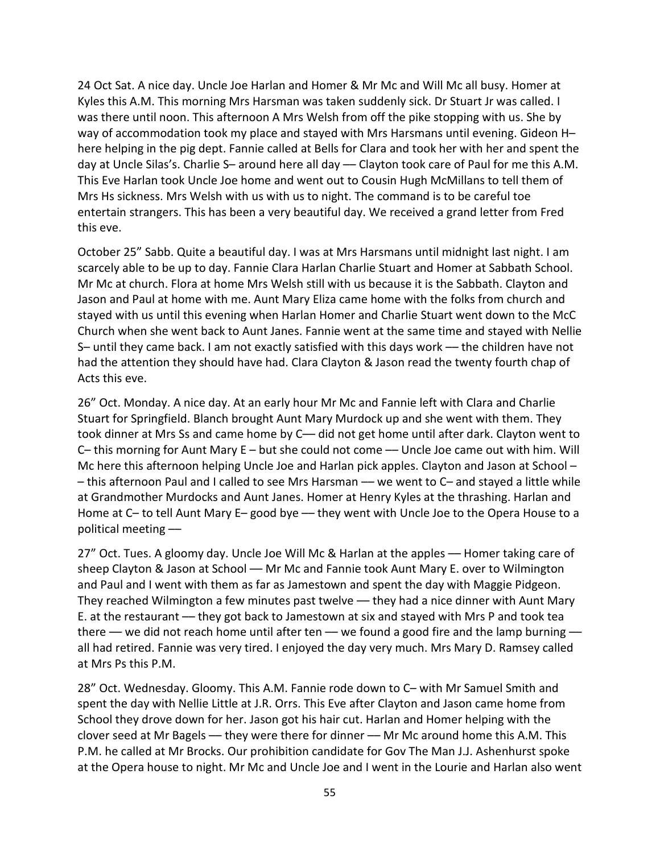24 Oct Sat. A nice day. Uncle Joe Harlan and Homer & Mr Mc and Will Mc all busy. Homer at Kyles this A.M. This morning Mrs Harsman was taken suddenly sick. Dr Stuart Jr was called. I was there until noon. This afternoon A Mrs Welsh from off the pike stopping with us. She by way of accommodation took my place and stayed with Mrs Harsmans until evening. Gideon H– here helping in the pig dept. Fannie called at Bells for Clara and took her with her and spent the day at Uncle Silas's. Charlie S- around here all day - Clayton took care of Paul for me this A.M. This Eve Harlan took Uncle Joe home and went out to Cousin Hugh McMillans to tell them of Mrs Hs sickness. Mrs Welsh with us with us to night. The command is to be careful toe entertain strangers. This has been a very beautiful day. We received a grand letter from Fred this eve.

October 25" Sabb. Quite a beautiful day. I was at Mrs Harsmans until midnight last night. I am scarcely able to be up to day. Fannie Clara Harlan Charlie Stuart and Homer at Sabbath School. Mr Mc at church. Flora at home Mrs Welsh still with us because it is the Sabbath. Clayton and Jason and Paul at home with me. Aunt Mary Eliza came home with the folks from church and stayed with us until this evening when Harlan Homer and Charlie Stuart went down to the McC Church when she went back to Aunt Janes. Fannie went at the same time and stayed with Nellie S– until they came back. I am not exactly satisfied with this days work –– the children have not had the attention they should have had. Clara Clayton & Jason read the twenty fourth chap of Acts this eve.

26" Oct. Monday. A nice day. At an early hour Mr Mc and Fannie left with Clara and Charlie Stuart for Springfield. Blanch brought Aunt Mary Murdock up and she went with them. They took dinner at Mrs Ss and came home by C— did not get home until after dark. Clayton went to C– this morning for Aunt Mary  $E$  – but she could not come  $-$  Uncle Joe came out with him. Will Mc here this afternoon helping Uncle Joe and Harlan pick apples. Clayton and Jason at School – – this afternoon Paul and I called to see Mrs Harsman –– we went to C– and stayed a little while at Grandmother Murdocks and Aunt Janes. Homer at Henry Kyles at the thrashing. Harlan and Home at C– to tell Aunt Mary E– good bye — they went with Uncle Joe to the Opera House to a political meeting ––

27" Oct. Tues. A gloomy day. Uncle Joe Will Mc & Harlan at the apples — Homer taking care of sheep Clayton & Jason at School –– Mr Mc and Fannie took Aunt Mary E. over to Wilmington and Paul and I went with them as far as Jamestown and spent the day with Maggie Pidgeon. They reached Wilmington a few minutes past twelve — they had a nice dinner with Aunt Mary E. at the restaurant –– they got back to Jamestown at six and stayed with Mrs P and took tea there — we did not reach home until after ten — we found a good fire and the lamp burning all had retired. Fannie was very tired. I enjoyed the day very much. Mrs Mary D. Ramsey called at Mrs Ps this P.M.

28" Oct. Wednesday. Gloomy. This A.M. Fannie rode down to C– with Mr Samuel Smith and spent the day with Nellie Little at J.R. Orrs. This Eve after Clayton and Jason came home from School they drove down for her. Jason got his hair cut. Harlan and Homer helping with the clover seed at Mr Bagels –– they were there for dinner –– Mr Mc around home this A.M. This P.M. he called at Mr Brocks. Our prohibition candidate for Gov The Man J.J. Ashenhurst spoke at the Opera house to night. Mr Mc and Uncle Joe and I went in the Lourie and Harlan also went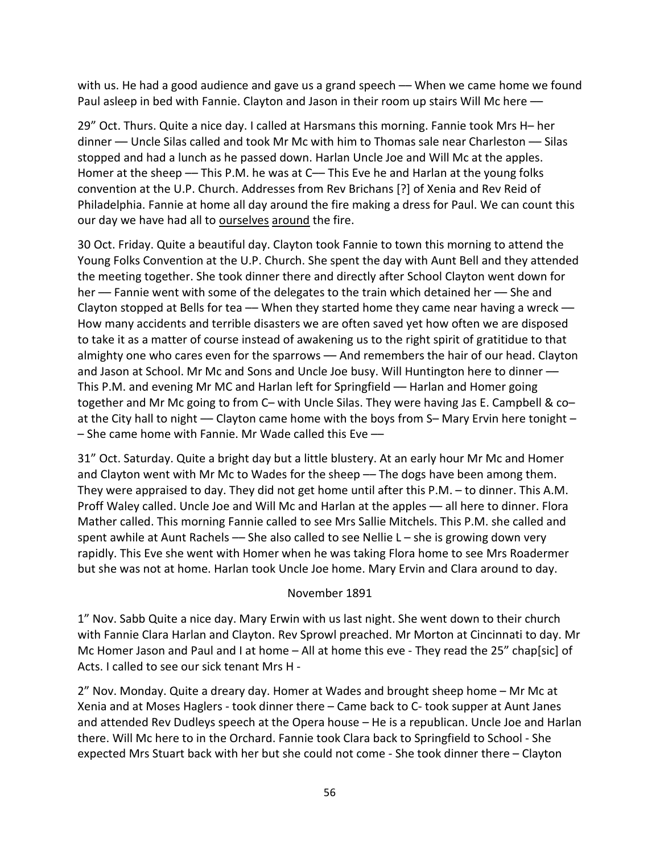with us. He had a good audience and gave us a grand speech — When we came home we found Paul asleep in bed with Fannie. Clayton and Jason in their room up stairs Will Mc here –

29" Oct. Thurs. Quite a nice day. I called at Harsmans this morning. Fannie took Mrs H– her dinner –– Uncle Silas called and took Mr Mc with him to Thomas sale near Charleston –– Silas stopped and had a lunch as he passed down. Harlan Uncle Joe and Will Mc at the apples. Homer at the sheep — This P.M. he was at C— This Eve he and Harlan at the young folks convention at the U.P. Church. Addresses from Rev Brichans [?] of Xenia and Rev Reid of Philadelphia. Fannie at home all day around the fire making a dress for Paul. We can count this our day we have had all to ourselves around the fire.

30 Oct. Friday. Quite a beautiful day. Clayton took Fannie to town this morning to attend the Young Folks Convention at the U.P. Church. She spent the day with Aunt Bell and they attended the meeting together. She took dinner there and directly after School Clayton went down for her –– Fannie went with some of the delegates to the train which detained her –– She and Clayton stopped at Bells for tea  $-$  When they started home they came near having a wreck  $-$ How many accidents and terrible disasters we are often saved yet how often we are disposed to take it as a matter of course instead of awakening us to the right spirit of gratitidue to that almighty one who cares even for the sparrows - And remembers the hair of our head. Clayton and Jason at School. Mr Mc and Sons and Uncle Joe busy. Will Huntington here to dinner — This P.M. and evening Mr MC and Harlan left for Springfield — Harlan and Homer going together and Mr Mc going to from C– with Uncle Silas. They were having Jas E. Campbell & co– at the City hall to night — Clayton came home with the boys from S- Mary Ervin here tonight - $-$  She came home with Fannie. Mr Wade called this Eve  $-$ 

31" Oct. Saturday. Quite a bright day but a little blustery. At an early hour Mr Mc and Homer and Clayton went with Mr Mc to Wades for the sheep -- The dogs have been among them. They were appraised to day. They did not get home until after this P.M. – to dinner. This A.M. Proff Waley called. Uncle Joe and Will Mc and Harlan at the apples –– all here to dinner. Flora Mather called. This morning Fannie called to see Mrs Sallie Mitchels. This P.M. she called and spent awhile at Aunt Rachels — She also called to see Nellie  $L - s$ he is growing down very rapidly. This Eve she went with Homer when he was taking Flora home to see Mrs Roadermer but she was not at home. Harlan took Uncle Joe home. Mary Ervin and Clara around to day.

#### November 1891

1" Nov. Sabb Quite a nice day. Mary Erwin with us last night. She went down to their church with Fannie Clara Harlan and Clayton. Rev Sprowl preached. Mr Morton at Cincinnati to day. Mr Mc Homer Jason and Paul and I at home – All at home this eve - They read the 25" chap[sic] of Acts. I called to see our sick tenant Mrs H -

2" Nov. Monday. Quite a dreary day. Homer at Wades and brought sheep home – Mr Mc at Xenia and at Moses Haglers - took dinner there – Came back to C- took supper at Aunt Janes and attended Rev Dudleys speech at the Opera house – He is a republican. Uncle Joe and Harlan there. Will Mc here to in the Orchard. Fannie took Clara back to Springfield to School - She expected Mrs Stuart back with her but she could not come - She took dinner there – Clayton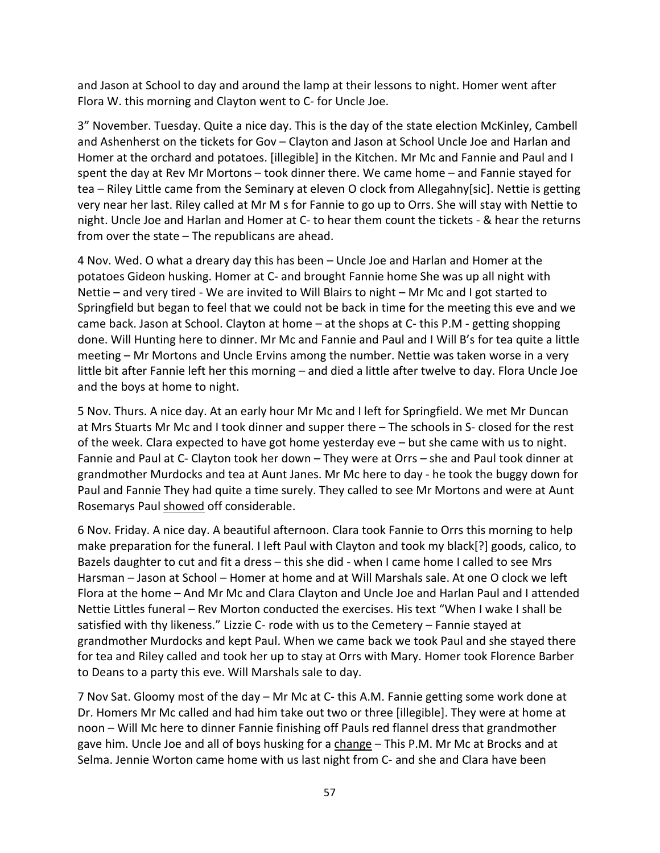and Jason at School to day and around the lamp at their lessons to night. Homer went after Flora W. this morning and Clayton went to C- for Uncle Joe.

3" November. Tuesday. Quite a nice day. This is the day of the state election McKinley, Cambell and Ashenherst on the tickets for Gov – Clayton and Jason at School Uncle Joe and Harlan and Homer at the orchard and potatoes. [illegible] in the Kitchen. Mr Mc and Fannie and Paul and I spent the day at Rev Mr Mortons – took dinner there. We came home – and Fannie stayed for tea – Riley Little came from the Seminary at eleven O clock from Allegahny[sic]. Nettie is getting very near her last. Riley called at Mr M s for Fannie to go up to Orrs. She will stay with Nettie to night. Uncle Joe and Harlan and Homer at C- to hear them count the tickets - & hear the returns from over the state – The republicans are ahead.

4 Nov. Wed. O what a dreary day this has been – Uncle Joe and Harlan and Homer at the potatoes Gideon husking. Homer at C- and brought Fannie home She was up all night with Nettie – and very tired - We are invited to Will Blairs to night – Mr Mc and I got started to Springfield but began to feel that we could not be back in time for the meeting this eve and we came back. Jason at School. Clayton at home – at the shops at C- this P.M - getting shopping done. Will Hunting here to dinner. Mr Mc and Fannie and Paul and I Will B's for tea quite a little meeting – Mr Mortons and Uncle Ervins among the number. Nettie was taken worse in a very little bit after Fannie left her this morning – and died a little after twelve to day. Flora Uncle Joe and the boys at home to night.

5 Nov. Thurs. A nice day. At an early hour Mr Mc and I left for Springfield. We met Mr Duncan at Mrs Stuarts Mr Mc and I took dinner and supper there – The schools in S- closed for the rest of the week. Clara expected to have got home yesterday eve – but she came with us to night. Fannie and Paul at C- Clayton took her down – They were at Orrs – she and Paul took dinner at grandmother Murdocks and tea at Aunt Janes. Mr Mc here to day - he took the buggy down for Paul and Fannie They had quite a time surely. They called to see Mr Mortons and were at Aunt Rosemarys Paul showed off considerable.

6 Nov. Friday. A nice day. A beautiful afternoon. Clara took Fannie to Orrs this morning to help make preparation for the funeral. I left Paul with Clayton and took my black[?] goods, calico, to Bazels daughter to cut and fit a dress – this she did - when I came home I called to see Mrs Harsman – Jason at School – Homer at home and at Will Marshals sale. At one O clock we left Flora at the home – And Mr Mc and Clara Clayton and Uncle Joe and Harlan Paul and I attended Nettie Littles funeral – Rev Morton conducted the exercises. His text "When I wake I shall be satisfied with thy likeness." Lizzie C- rode with us to the Cemetery – Fannie stayed at grandmother Murdocks and kept Paul. When we came back we took Paul and she stayed there for tea and Riley called and took her up to stay at Orrs with Mary. Homer took Florence Barber to Deans to a party this eve. Will Marshals sale to day.

7 Nov Sat. Gloomy most of the day – Mr Mc at C- this A.M. Fannie getting some work done at Dr. Homers Mr Mc called and had him take out two or three [illegible]. They were at home at noon – Will Mc here to dinner Fannie finishing off Pauls red flannel dress that grandmother gave him. Uncle Joe and all of boys husking for a change – This P.M. Mr Mc at Brocks and at Selma. Jennie Worton came home with us last night from C- and she and Clara have been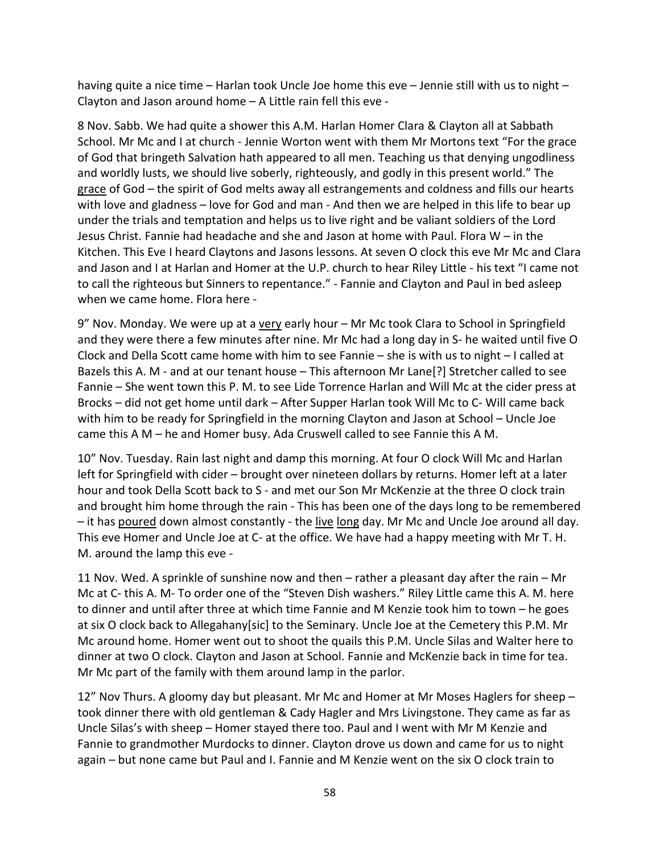having quite a nice time – Harlan took Uncle Joe home this eve – Jennie still with us to night – Clayton and Jason around home – A Little rain fell this eve -

8 Nov. Sabb. We had quite a shower this A.M. Harlan Homer Clara & Clayton all at Sabbath School. Mr Mc and I at church - Jennie Worton went with them Mr Mortons text "For the grace of God that bringeth Salvation hath appeared to all men. Teaching us that denying ungodliness and worldly lusts, we should live soberly, righteously, and godly in this present world." The grace of God – the spirit of God melts away all estrangements and coldness and fills our hearts with love and gladness – love for God and man - And then we are helped in this life to bear up under the trials and temptation and helps us to live right and be valiant soldiers of the Lord Jesus Christ. Fannie had headache and she and Jason at home with Paul. Flora W – in the Kitchen. This Eve I heard Claytons and Jasons lessons. At seven O clock this eve Mr Mc and Clara and Jason and I at Harlan and Homer at the U.P. church to hear Riley Little - his text "I came not to call the righteous but Sinners to repentance." - Fannie and Clayton and Paul in bed asleep when we came home. Flora here -

9" Nov. Monday. We were up at a very early hour – Mr Mc took Clara to School in Springfield and they were there a few minutes after nine. Mr Mc had a long day in S- he waited until five O Clock and Della Scott came home with him to see Fannie – she is with us to night – I called at Bazels this A. M - and at our tenant house – This afternoon Mr Lane[?] Stretcher called to see Fannie – She went town this P. M. to see Lide Torrence Harlan and Will Mc at the cider press at Brocks – did not get home until dark – After Supper Harlan took Will Mc to C- Will came back with him to be ready for Springfield in the morning Clayton and Jason at School – Uncle Joe came this A M – he and Homer busy. Ada Cruswell called to see Fannie this A M.

10" Nov. Tuesday. Rain last night and damp this morning. At four O clock Will Mc and Harlan left for Springfield with cider – brought over nineteen dollars by returns. Homer left at a later hour and took Della Scott back to S - and met our Son Mr McKenzie at the three O clock train and brought him home through the rain - This has been one of the days long to be remembered – it has poured down almost constantly - the live long day. Mr Mc and Uncle Joe around all day. This eve Homer and Uncle Joe at C- at the office. We have had a happy meeting with Mr T. H. M. around the lamp this eve -

11 Nov. Wed. A sprinkle of sunshine now and then – rather a pleasant day after the rain – Mr Mc at C- this A. M- To order one of the "Steven Dish washers." Riley Little came this A. M. here to dinner and until after three at which time Fannie and M Kenzie took him to town – he goes at six O clock back to Allegahany[sic] to the Seminary. Uncle Joe at the Cemetery this P.M. Mr Mc around home. Homer went out to shoot the quails this P.M. Uncle Silas and Walter here to dinner at two O clock. Clayton and Jason at School. Fannie and McKenzie back in time for tea. Mr Mc part of the family with them around lamp in the parlor.

12" Nov Thurs. A gloomy day but pleasant. Mr Mc and Homer at Mr Moses Haglers for sheep – took dinner there with old gentleman & Cady Hagler and Mrs Livingstone. They came as far as Uncle Silas's with sheep – Homer stayed there too. Paul and I went with Mr M Kenzie and Fannie to grandmother Murdocks to dinner. Clayton drove us down and came for us to night again – but none came but Paul and I. Fannie and M Kenzie went on the six O clock train to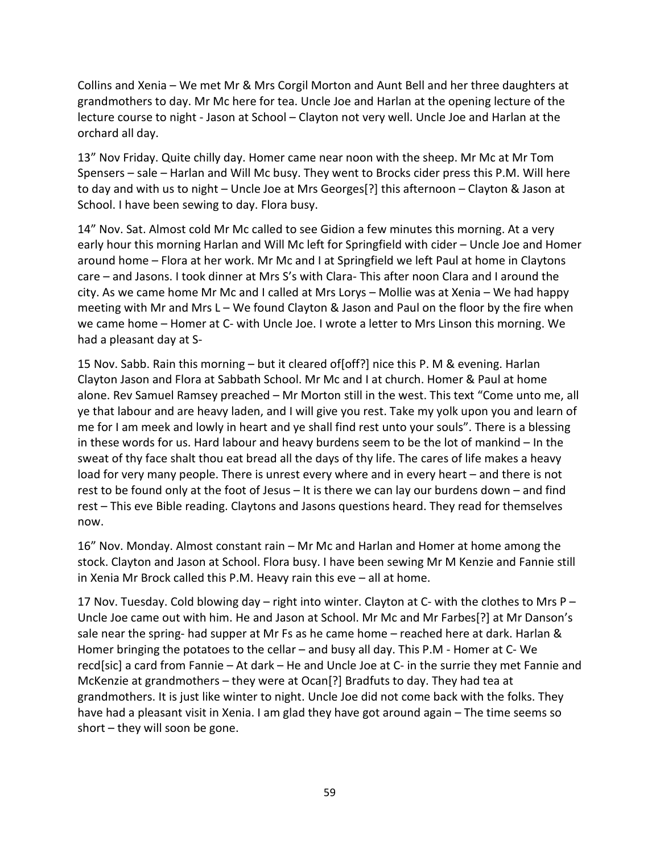Collins and Xenia – We met Mr & Mrs Corgil Morton and Aunt Bell and her three daughters at grandmothers to day. Mr Mc here for tea. Uncle Joe and Harlan at the opening lecture of the lecture course to night - Jason at School – Clayton not very well. Uncle Joe and Harlan at the orchard all day.

13" Nov Friday. Quite chilly day. Homer came near noon with the sheep. Mr Mc at Mr Tom Spensers – sale – Harlan and Will Mc busy. They went to Brocks cider press this P.M. Will here to day and with us to night – Uncle Joe at Mrs Georges[?] this afternoon – Clayton & Jason at School. I have been sewing to day. Flora busy.

14" Nov. Sat. Almost cold Mr Mc called to see Gidion a few minutes this morning. At a very early hour this morning Harlan and Will Mc left for Springfield with cider – Uncle Joe and Homer around home – Flora at her work. Mr Mc and I at Springfield we left Paul at home in Claytons care – and Jasons. I took dinner at Mrs S's with Clara- This after noon Clara and I around the city. As we came home Mr Mc and I called at Mrs Lorys – Mollie was at Xenia – We had happy meeting with Mr and Mrs L – We found Clayton & Jason and Paul on the floor by the fire when we came home – Homer at C- with Uncle Joe. I wrote a letter to Mrs Linson this morning. We had a pleasant day at S-

15 Nov. Sabb. Rain this morning – but it cleared of[off?] nice this P. M & evening. Harlan Clayton Jason and Flora at Sabbath School. Mr Mc and I at church. Homer & Paul at home alone. Rev Samuel Ramsey preached – Mr Morton still in the west. This text "Come unto me, all ye that labour and are heavy laden, and I will give you rest. Take my yolk upon you and learn of me for I am meek and lowly in heart and ye shall find rest unto your souls". There is a blessing in these words for us. Hard labour and heavy burdens seem to be the lot of mankind – In the sweat of thy face shalt thou eat bread all the days of thy life. The cares of life makes a heavy load for very many people. There is unrest every where and in every heart – and there is not rest to be found only at the foot of Jesus – It is there we can lay our burdens down – and find rest – This eve Bible reading. Claytons and Jasons questions heard. They read for themselves now.

16" Nov. Monday. Almost constant rain – Mr Mc and Harlan and Homer at home among the stock. Clayton and Jason at School. Flora busy. I have been sewing Mr M Kenzie and Fannie still in Xenia Mr Brock called this P.M. Heavy rain this eve – all at home.

17 Nov. Tuesday. Cold blowing day – right into winter. Clayton at C- with the clothes to Mrs P – Uncle Joe came out with him. He and Jason at School. Mr Mc and Mr Farbes[?] at Mr Danson's sale near the spring- had supper at Mr Fs as he came home – reached here at dark. Harlan & Homer bringing the potatoes to the cellar – and busy all day. This P.M - Homer at C- We recd[sic] a card from Fannie – At dark – He and Uncle Joe at C- in the surrie they met Fannie and McKenzie at grandmothers – they were at Ocan[?] Bradfuts to day. They had tea at grandmothers. It is just like winter to night. Uncle Joe did not come back with the folks. They have had a pleasant visit in Xenia. I am glad they have got around again – The time seems so short – they will soon be gone.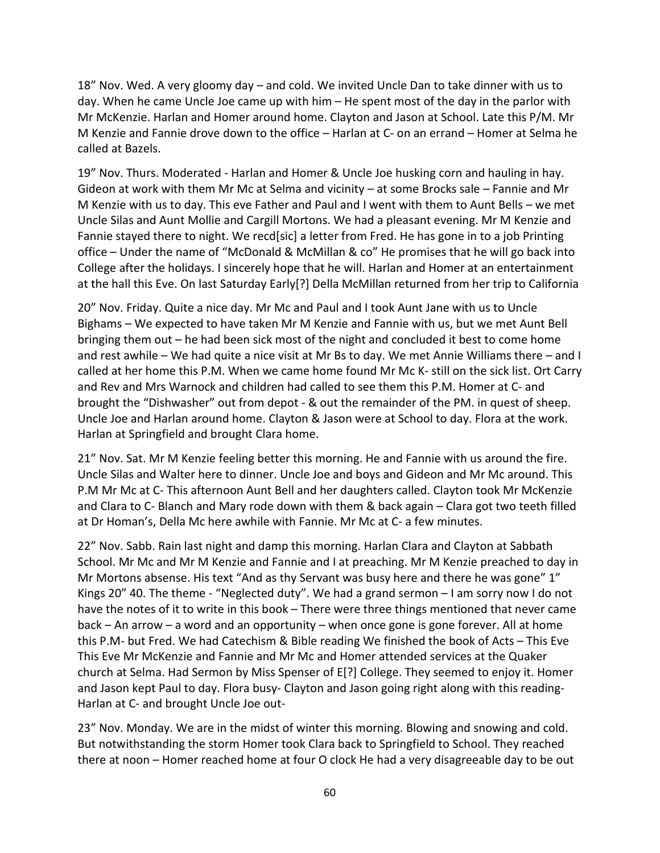18" Nov. Wed. A very gloomy day – and cold. We invited Uncle Dan to take dinner with us to day. When he came Uncle Joe came up with him – He spent most of the day in the parlor with Mr McKenzie. Harlan and Homer around home. Clayton and Jason at School. Late this P/M. Mr M Kenzie and Fannie drove down to the office – Harlan at C- on an errand – Homer at Selma he called at Bazels.

19" Nov. Thurs. Moderated - Harlan and Homer & Uncle Joe husking corn and hauling in hay. Gideon at work with them Mr Mc at Selma and vicinity – at some Brocks sale – Fannie and Mr M Kenzie with us to day. This eve Father and Paul and I went with them to Aunt Bells – we met Uncle Silas and Aunt Mollie and Cargill Mortons. We had a pleasant evening. Mr M Kenzie and Fannie stayed there to night. We recd[sic] a letter from Fred. He has gone in to a job Printing office – Under the name of "McDonald & McMillan & co" He promises that he will go back into College after the holidays. I sincerely hope that he will. Harlan and Homer at an entertainment at the hall this Eve. On last Saturday Early[?] Della McMillan returned from her trip to California

20" Nov. Friday. Quite a nice day. Mr Mc and Paul and I took Aunt Jane with us to Uncle Bighams – We expected to have taken Mr M Kenzie and Fannie with us, but we met Aunt Bell bringing them out – he had been sick most of the night and concluded it best to come home and rest awhile – We had quite a nice visit at Mr Bs to day. We met Annie Williams there – and I called at her home this P.M. When we came home found Mr Mc K- still on the sick list. Ort Carry and Rev and Mrs Warnock and children had called to see them this P.M. Homer at C- and brought the "Dishwasher" out from depot - & out the remainder of the PM. in quest of sheep. Uncle Joe and Harlan around home. Clayton & Jason were at School to day. Flora at the work. Harlan at Springfield and brought Clara home.

21" Nov. Sat. Mr M Kenzie feeling better this morning. He and Fannie with us around the fire. Uncle Silas and Walter here to dinner. Uncle Joe and boys and Gideon and Mr Mc around. This P.M Mr Mc at C- This afternoon Aunt Bell and her daughters called. Clayton took Mr McKenzie and Clara to C- Blanch and Mary rode down with them & back again – Clara got two teeth filled at Dr Homan's, Della Mc here awhile with Fannie. Mr Mc at C- a few minutes.

22" Nov. Sabb. Rain last night and damp this morning. Harlan Clara and Clayton at Sabbath School. Mr Mc and Mr M Kenzie and Fannie and I at preaching. Mr M Kenzie preached to day in Mr Mortons absense. His text "And as thy Servant was busy here and there he was gone" 1" Kings 20" 40. The theme - "Neglected duty". We had a grand sermon – I am sorry now I do not have the notes of it to write in this book – There were three things mentioned that never came back – An arrow – a word and an opportunity – when once gone is gone forever. All at home this P.M- but Fred. We had Catechism & Bible reading We finished the book of Acts – This Eve This Eve Mr McKenzie and Fannie and Mr Mc and Homer attended services at the Quaker church at Selma. Had Sermon by Miss Spenser of E[?] College. They seemed to enjoy it. Homer and Jason kept Paul to day. Flora busy- Clayton and Jason going right along with this reading-Harlan at C- and brought Uncle Joe out-

23" Nov. Monday. We are in the midst of winter this morning. Blowing and snowing and cold. But notwithstanding the storm Homer took Clara back to Springfield to School. They reached there at noon – Homer reached home at four O clock He had a very disagreeable day to be out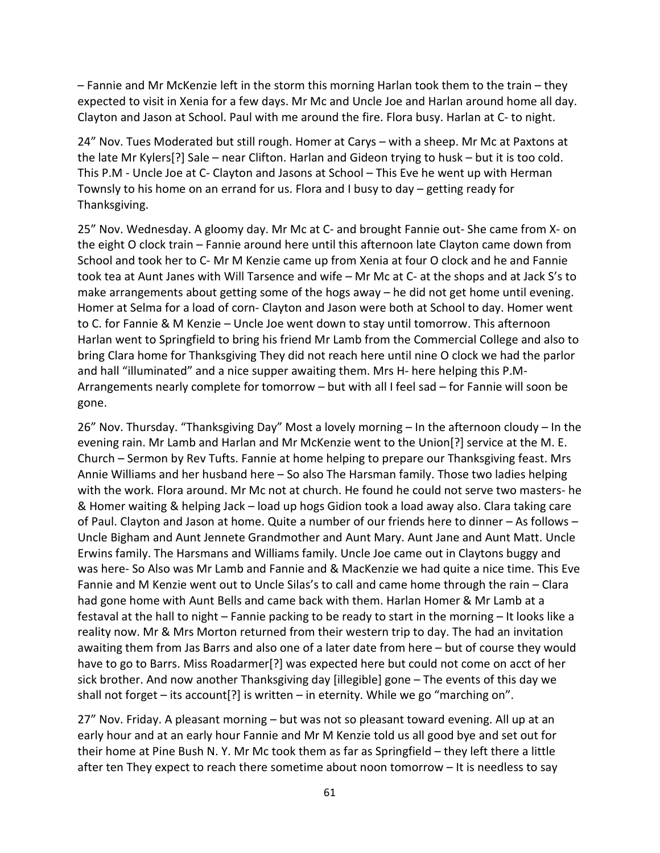– Fannie and Mr McKenzie left in the storm this morning Harlan took them to the train – they expected to visit in Xenia for a few days. Mr Mc and Uncle Joe and Harlan around home all day. Clayton and Jason at School. Paul with me around the fire. Flora busy. Harlan at C- to night.

24" Nov. Tues Moderated but still rough. Homer at Carys – with a sheep. Mr Mc at Paxtons at the late Mr Kylers[?] Sale – near Clifton. Harlan and Gideon trying to husk – but it is too cold. This P.M - Uncle Joe at C- Clayton and Jasons at School – This Eve he went up with Herman Townsly to his home on an errand for us. Flora and I busy to day – getting ready for Thanksgiving.

25" Nov. Wednesday. A gloomy day. Mr Mc at C- and brought Fannie out- She came from X- on the eight O clock train – Fannie around here until this afternoon late Clayton came down from School and took her to C- Mr M Kenzie came up from Xenia at four O clock and he and Fannie took tea at Aunt Janes with Will Tarsence and wife – Mr Mc at C- at the shops and at Jack S's to make arrangements about getting some of the hogs away – he did not get home until evening. Homer at Selma for a load of corn- Clayton and Jason were both at School to day. Homer went to C. for Fannie & M Kenzie – Uncle Joe went down to stay until tomorrow. This afternoon Harlan went to Springfield to bring his friend Mr Lamb from the Commercial College and also to bring Clara home for Thanksgiving They did not reach here until nine O clock we had the parlor and hall "illuminated" and a nice supper awaiting them. Mrs H- here helping this P.M-Arrangements nearly complete for tomorrow – but with all I feel sad – for Fannie will soon be gone.

26" Nov. Thursday. "Thanksgiving Day" Most a lovely morning – In the afternoon cloudy – In the evening rain. Mr Lamb and Harlan and Mr McKenzie went to the Union[?] service at the M. E. Church – Sermon by Rev Tufts. Fannie at home helping to prepare our Thanksgiving feast. Mrs Annie Williams and her husband here – So also The Harsman family. Those two ladies helping with the work. Flora around. Mr Mc not at church. He found he could not serve two masters- he & Homer waiting & helping Jack – load up hogs Gidion took a load away also. Clara taking care of Paul. Clayton and Jason at home. Quite a number of our friends here to dinner – As follows – Uncle Bigham and Aunt Jennete Grandmother and Aunt Mary. Aunt Jane and Aunt Matt. Uncle Erwins family. The Harsmans and Williams family. Uncle Joe came out in Claytons buggy and was here- So Also was Mr Lamb and Fannie and & MacKenzie we had quite a nice time. This Eve Fannie and M Kenzie went out to Uncle Silas's to call and came home through the rain – Clara had gone home with Aunt Bells and came back with them. Harlan Homer & Mr Lamb at a festaval at the hall to night – Fannie packing to be ready to start in the morning – It looks like a reality now. Mr & Mrs Morton returned from their western trip to day. The had an invitation awaiting them from Jas Barrs and also one of a later date from here – but of course they would have to go to Barrs. Miss Roadarmer[?] was expected here but could not come on acct of her sick brother. And now another Thanksgiving day [illegible] gone – The events of this day we shall not forget – its account[?] is written – in eternity. While we go "marching on".

27" Nov. Friday. A pleasant morning – but was not so pleasant toward evening. All up at an early hour and at an early hour Fannie and Mr M Kenzie told us all good bye and set out for their home at Pine Bush N. Y. Mr Mc took them as far as Springfield – they left there a little after ten They expect to reach there sometime about noon tomorrow – It is needless to say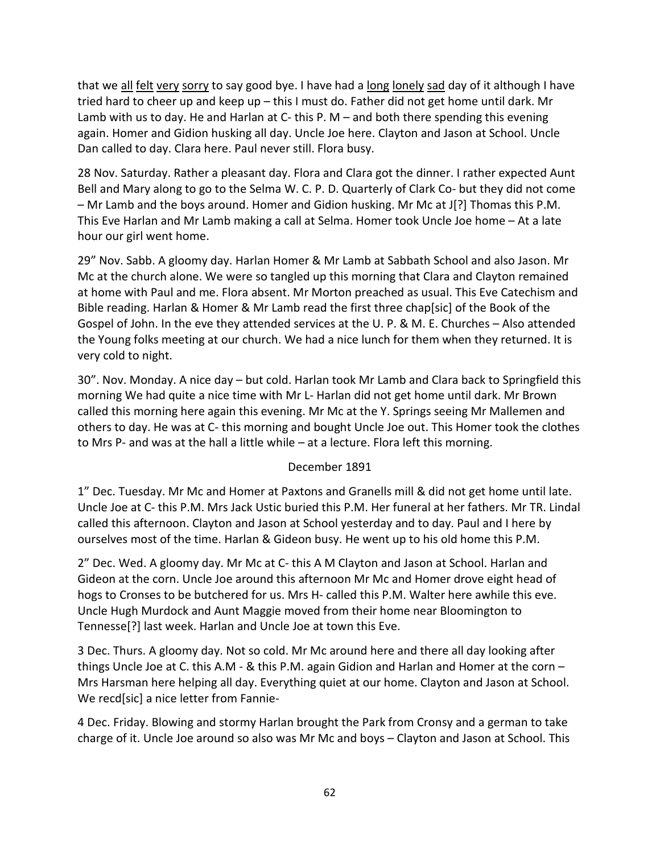that we all felt very sorry to say good bye. I have had a long lonely sad day of it although I have tried hard to cheer up and keep up – this I must do. Father did not get home until dark. Mr Lamb with us to day. He and Harlan at C- this P.  $M -$  and both there spending this evening again. Homer and Gidion husking all day. Uncle Joe here. Clayton and Jason at School. Uncle Dan called to day. Clara here. Paul never still. Flora busy.

28 Nov. Saturday. Rather a pleasant day. Flora and Clara got the dinner. I rather expected Aunt Bell and Mary along to go to the Selma W. C. P. D. Quarterly of Clark Co- but they did not come – Mr Lamb and the boys around. Homer and Gidion husking. Mr Mc at J[?] Thomas this P.M. This Eve Harlan and Mr Lamb making a call at Selma. Homer took Uncle Joe home – At a late hour our girl went home.

29" Nov. Sabb. A gloomy day. Harlan Homer & Mr Lamb at Sabbath School and also Jason. Mr Mc at the church alone. We were so tangled up this morning that Clara and Clayton remained at home with Paul and me. Flora absent. Mr Morton preached as usual. This Eve Catechism and Bible reading. Harlan & Homer & Mr Lamb read the first three chap[sic] of the Book of the Gospel of John. In the eve they attended services at the U. P. & M. E. Churches – Also attended the Young folks meeting at our church. We had a nice lunch for them when they returned. It is very cold to night.

30". Nov. Monday. A nice day – but cold. Harlan took Mr Lamb and Clara back to Springfield this morning We had quite a nice time with Mr L- Harlan did not get home until dark. Mr Brown called this morning here again this evening. Mr Mc at the Y. Springs seeing Mr Mallemen and others to day. He was at C- this morning and bought Uncle Joe out. This Homer took the clothes to Mrs P- and was at the hall a little while – at a lecture. Flora left this morning.

# December 1891

1" Dec. Tuesday. Mr Mc and Homer at Paxtons and Granells mill & did not get home until late. Uncle Joe at C- this P.M. Mrs Jack Ustic buried this P.M. Her funeral at her fathers. Mr TR. Lindal called this afternoon. Clayton and Jason at School yesterday and to day. Paul and I here by ourselves most of the time. Harlan & Gideon busy. He went up to his old home this P.M.

2" Dec. Wed. A gloomy day. Mr Mc at C- this A M Clayton and Jason at School. Harlan and Gideon at the corn. Uncle Joe around this afternoon Mr Mc and Homer drove eight head of hogs to Cronses to be butchered for us. Mrs H- called this P.M. Walter here awhile this eve. Uncle Hugh Murdock and Aunt Maggie moved from their home near Bloomington to Tennesse[?] last week. Harlan and Uncle Joe at town this Eve.

3 Dec. Thurs. A gloomy day. Not so cold. Mr Mc around here and there all day looking after things Uncle Joe at C. this A.M - & this P.M. again Gidion and Harlan and Homer at the corn – Mrs Harsman here helping all day. Everything quiet at our home. Clayton and Jason at School. We recd[sic] a nice letter from Fannie-

4 Dec. Friday. Blowing and stormy Harlan brought the Park from Cronsy and a german to take charge of it. Uncle Joe around so also was Mr Mc and boys – Clayton and Jason at School. This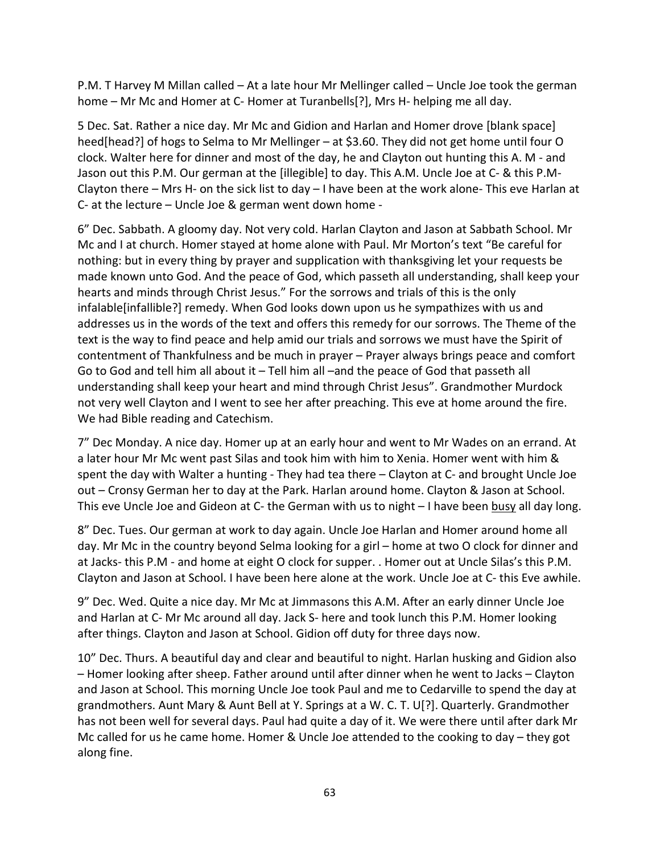P.M. T Harvey M Millan called – At a late hour Mr Mellinger called – Uncle Joe took the german home – Mr Mc and Homer at C- Homer at Turanbells[?], Mrs H- helping me all day.

5 Dec. Sat. Rather a nice day. Mr Mc and Gidion and Harlan and Homer drove [blank space] heed[head?] of hogs to Selma to Mr Mellinger – at \$3.60. They did not get home until four O clock. Walter here for dinner and most of the day, he and Clayton out hunting this A. M - and Jason out this P.M. Our german at the [illegible] to day. This A.M. Uncle Joe at C- & this P.M-Clayton there – Mrs H- on the sick list to day – I have been at the work alone- This eve Harlan at C- at the lecture – Uncle Joe & german went down home -

6" Dec. Sabbath. A gloomy day. Not very cold. Harlan Clayton and Jason at Sabbath School. Mr Mc and I at church. Homer stayed at home alone with Paul. Mr Morton's text "Be careful for nothing: but in every thing by prayer and supplication with thanksgiving let your requests be made known unto God. And the peace of God, which passeth all understanding, shall keep your hearts and minds through Christ Jesus." For the sorrows and trials of this is the only infalable[infallible?] remedy. When God looks down upon us he sympathizes with us and addresses us in the words of the text and offers this remedy for our sorrows. The Theme of the text is the way to find peace and help amid our trials and sorrows we must have the Spirit of contentment of Thankfulness and be much in prayer – Prayer always brings peace and comfort Go to God and tell him all about it – Tell him all –and the peace of God that passeth all understanding shall keep your heart and mind through Christ Jesus". Grandmother Murdock not very well Clayton and I went to see her after preaching. This eve at home around the fire. We had Bible reading and Catechism.

7" Dec Monday. A nice day. Homer up at an early hour and went to Mr Wades on an errand. At a later hour Mr Mc went past Silas and took him with him to Xenia. Homer went with him & spent the day with Walter a hunting - They had tea there – Clayton at C- and brought Uncle Joe out – Cronsy German her to day at the Park. Harlan around home. Clayton & Jason at School. This eve Uncle Joe and Gideon at C- the German with us to night  $-1$  have been busy all day long.

8" Dec. Tues. Our german at work to day again. Uncle Joe Harlan and Homer around home all day. Mr Mc in the country beyond Selma looking for a girl – home at two O clock for dinner and at Jacks- this P.M - and home at eight O clock for supper. . Homer out at Uncle Silas's this P.M. Clayton and Jason at School. I have been here alone at the work. Uncle Joe at C- this Eve awhile.

9" Dec. Wed. Quite a nice day. Mr Mc at Jimmasons this A.M. After an early dinner Uncle Joe and Harlan at C- Mr Mc around all day. Jack S- here and took lunch this P.M. Homer looking after things. Clayton and Jason at School. Gidion off duty for three days now.

10" Dec. Thurs. A beautiful day and clear and beautiful to night. Harlan husking and Gidion also – Homer looking after sheep. Father around until after dinner when he went to Jacks – Clayton and Jason at School. This morning Uncle Joe took Paul and me to Cedarville to spend the day at grandmothers. Aunt Mary & Aunt Bell at Y. Springs at a W. C. T. U[?]. Quarterly. Grandmother has not been well for several days. Paul had quite a day of it. We were there until after dark Mr Mc called for us he came home. Homer & Uncle Joe attended to the cooking to day – they got along fine.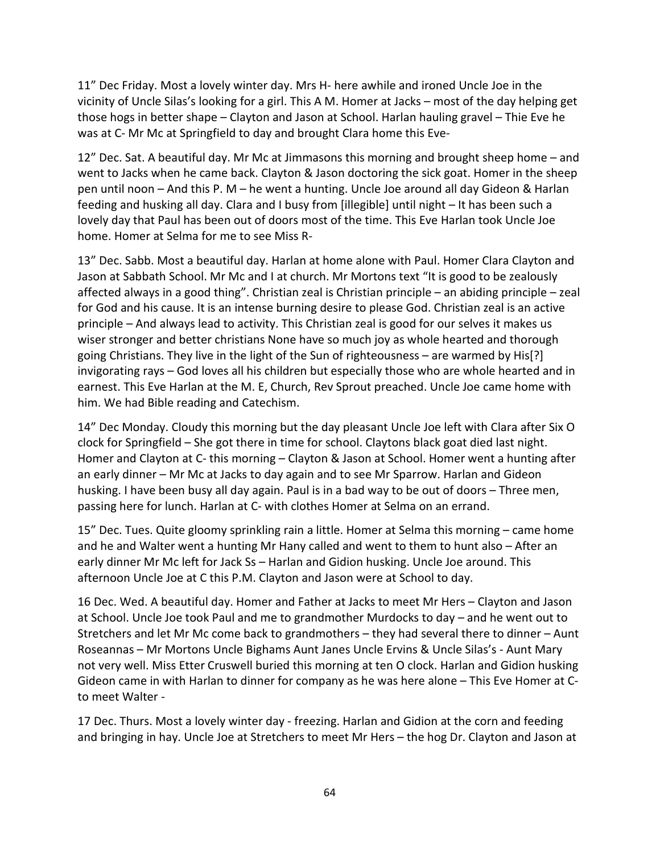11" Dec Friday. Most a lovely winter day. Mrs H- here awhile and ironed Uncle Joe in the vicinity of Uncle Silas's looking for a girl. This A M. Homer at Jacks – most of the day helping get those hogs in better shape – Clayton and Jason at School. Harlan hauling gravel – Thie Eve he was at C- Mr Mc at Springfield to day and brought Clara home this Eve-

12" Dec. Sat. A beautiful day. Mr Mc at Jimmasons this morning and brought sheep home – and went to Jacks when he came back. Clayton & Jason doctoring the sick goat. Homer in the sheep pen until noon – And this P. M – he went a hunting. Uncle Joe around all day Gideon & Harlan feeding and husking all day. Clara and I busy from [illegible] until night – It has been such a lovely day that Paul has been out of doors most of the time. This Eve Harlan took Uncle Joe home. Homer at Selma for me to see Miss R-

13" Dec. Sabb. Most a beautiful day. Harlan at home alone with Paul. Homer Clara Clayton and Jason at Sabbath School. Mr Mc and I at church. Mr Mortons text "It is good to be zealously affected always in a good thing". Christian zeal is Christian principle – an abiding principle – zeal for God and his cause. It is an intense burning desire to please God. Christian zeal is an active principle – And always lead to activity. This Christian zeal is good for our selves it makes us wiser stronger and better christians None have so much joy as whole hearted and thorough going Christians. They live in the light of the Sun of righteousness – are warmed by His[?] invigorating rays – God loves all his children but especially those who are whole hearted and in earnest. This Eve Harlan at the M. E, Church, Rev Sprout preached. Uncle Joe came home with him. We had Bible reading and Catechism.

14" Dec Monday. Cloudy this morning but the day pleasant Uncle Joe left with Clara after Six O clock for Springfield – She got there in time for school. Claytons black goat died last night. Homer and Clayton at C- this morning – Clayton & Jason at School. Homer went a hunting after an early dinner – Mr Mc at Jacks to day again and to see Mr Sparrow. Harlan and Gideon husking. I have been busy all day again. Paul is in a bad way to be out of doors – Three men, passing here for lunch. Harlan at C- with clothes Homer at Selma on an errand.

15" Dec. Tues. Quite gloomy sprinkling rain a little. Homer at Selma this morning – came home and he and Walter went a hunting Mr Hany called and went to them to hunt also – After an early dinner Mr Mc left for Jack Ss – Harlan and Gidion husking. Uncle Joe around. This afternoon Uncle Joe at C this P.M. Clayton and Jason were at School to day.

16 Dec. Wed. A beautiful day. Homer and Father at Jacks to meet Mr Hers – Clayton and Jason at School. Uncle Joe took Paul and me to grandmother Murdocks to day – and he went out to Stretchers and let Mr Mc come back to grandmothers – they had several there to dinner – Aunt Roseannas – Mr Mortons Uncle Bighams Aunt Janes Uncle Ervins & Uncle Silas's - Aunt Mary not very well. Miss Etter Cruswell buried this morning at ten O clock. Harlan and Gidion husking Gideon came in with Harlan to dinner for company as he was here alone – This Eve Homer at Cto meet Walter -

17 Dec. Thurs. Most a lovely winter day - freezing. Harlan and Gidion at the corn and feeding and bringing in hay. Uncle Joe at Stretchers to meet Mr Hers – the hog Dr. Clayton and Jason at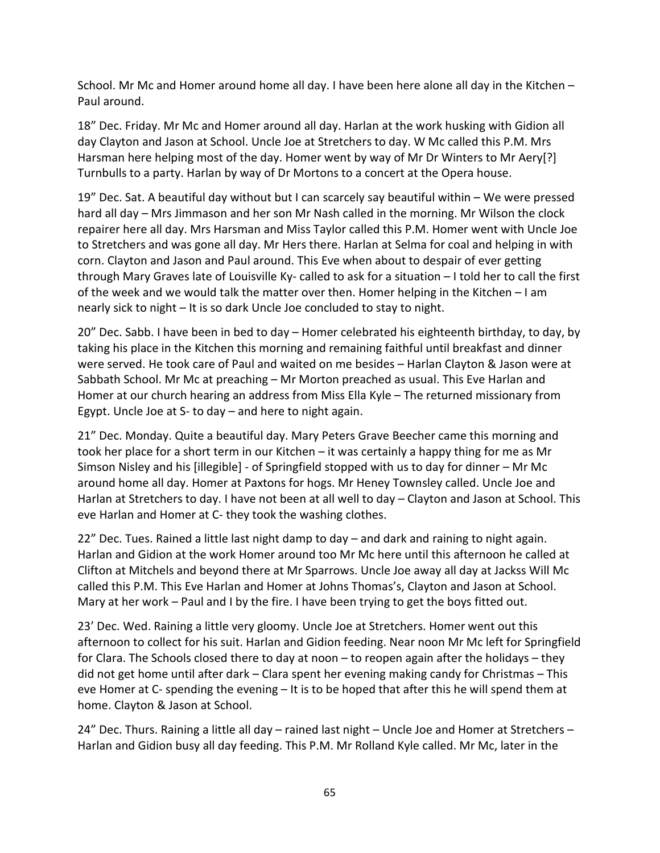School. Mr Mc and Homer around home all day. I have been here alone all day in the Kitchen – Paul around.

18" Dec. Friday. Mr Mc and Homer around all day. Harlan at the work husking with Gidion all day Clayton and Jason at School. Uncle Joe at Stretchers to day. W Mc called this P.M. Mrs Harsman here helping most of the day. Homer went by way of Mr Dr Winters to Mr Aery[?] Turnbulls to a party. Harlan by way of Dr Mortons to a concert at the Opera house.

19" Dec. Sat. A beautiful day without but I can scarcely say beautiful within – We were pressed hard all day – Mrs Jimmason and her son Mr Nash called in the morning. Mr Wilson the clock repairer here all day. Mrs Harsman and Miss Taylor called this P.M. Homer went with Uncle Joe to Stretchers and was gone all day. Mr Hers there. Harlan at Selma for coal and helping in with corn. Clayton and Jason and Paul around. This Eve when about to despair of ever getting through Mary Graves late of Louisville Ky- called to ask for a situation – I told her to call the first of the week and we would talk the matter over then. Homer helping in the Kitchen – I am nearly sick to night – It is so dark Uncle Joe concluded to stay to night.

20" Dec. Sabb. I have been in bed to day – Homer celebrated his eighteenth birthday, to day, by taking his place in the Kitchen this morning and remaining faithful until breakfast and dinner were served. He took care of Paul and waited on me besides – Harlan Clayton & Jason were at Sabbath School. Mr Mc at preaching – Mr Morton preached as usual. This Eve Harlan and Homer at our church hearing an address from Miss Ella Kyle – The returned missionary from Egypt. Uncle Joe at S- to day – and here to night again.

21" Dec. Monday. Quite a beautiful day. Mary Peters Grave Beecher came this morning and took her place for a short term in our Kitchen – it was certainly a happy thing for me as Mr Simson Nisley and his [illegible] - of Springfield stopped with us to day for dinner – Mr Mc around home all day. Homer at Paxtons for hogs. Mr Heney Townsley called. Uncle Joe and Harlan at Stretchers to day. I have not been at all well to day – Clayton and Jason at School. This eve Harlan and Homer at C- they took the washing clothes.

22" Dec. Tues. Rained a little last night damp to day – and dark and raining to night again. Harlan and Gidion at the work Homer around too Mr Mc here until this afternoon he called at Clifton at Mitchels and beyond there at Mr Sparrows. Uncle Joe away all day at Jackss Will Mc called this P.M. This Eve Harlan and Homer at Johns Thomas's, Clayton and Jason at School. Mary at her work – Paul and I by the fire. I have been trying to get the boys fitted out.

23' Dec. Wed. Raining a little very gloomy. Uncle Joe at Stretchers. Homer went out this afternoon to collect for his suit. Harlan and Gidion feeding. Near noon Mr Mc left for Springfield for Clara. The Schools closed there to day at noon – to reopen again after the holidays – they did not get home until after dark – Clara spent her evening making candy for Christmas – This eve Homer at C- spending the evening – It is to be hoped that after this he will spend them at home. Clayton & Jason at School.

24" Dec. Thurs. Raining a little all day – rained last night – Uncle Joe and Homer at Stretchers – Harlan and Gidion busy all day feeding. This P.M. Mr Rolland Kyle called. Mr Mc, later in the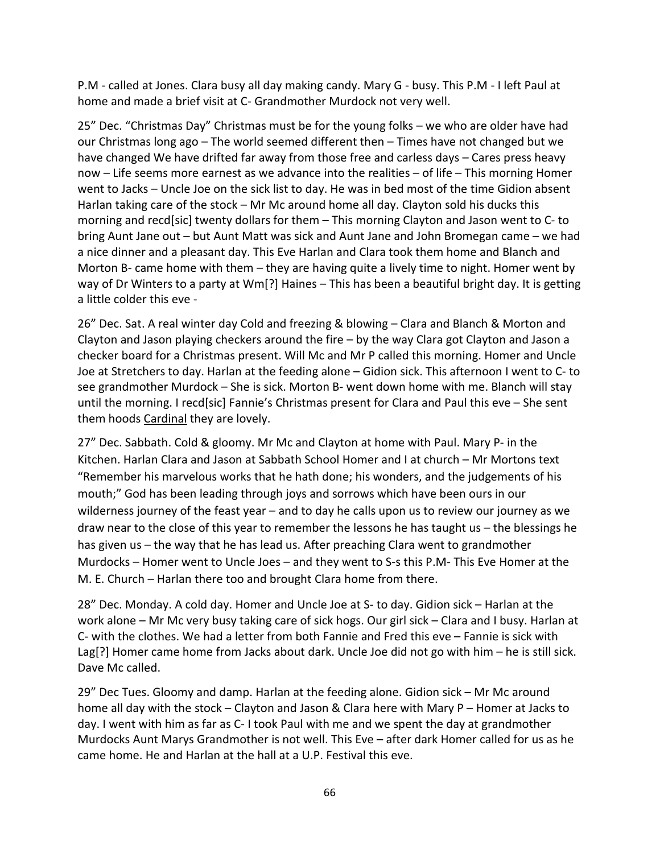P.M - called at Jones. Clara busy all day making candy. Mary G - busy. This P.M - I left Paul at home and made a brief visit at C- Grandmother Murdock not very well.

25" Dec. "Christmas Day" Christmas must be for the young folks – we who are older have had our Christmas long ago – The world seemed different then – Times have not changed but we have changed We have drifted far away from those free and carless days – Cares press heavy now – Life seems more earnest as we advance into the realities – of life – This morning Homer went to Jacks – Uncle Joe on the sick list to day. He was in bed most of the time Gidion absent Harlan taking care of the stock – Mr Mc around home all day. Clayton sold his ducks this morning and recd[sic] twenty dollars for them – This morning Clayton and Jason went to C- to bring Aunt Jane out – but Aunt Matt was sick and Aunt Jane and John Bromegan came – we had a nice dinner and a pleasant day. This Eve Harlan and Clara took them home and Blanch and Morton B- came home with them – they are having quite a lively time to night. Homer went by way of Dr Winters to a party at Wm[?] Haines - This has been a beautiful bright day. It is getting a little colder this eve -

26" Dec. Sat. A real winter day Cold and freezing & blowing – Clara and Blanch & Morton and Clayton and Jason playing checkers around the fire – by the way Clara got Clayton and Jason a checker board for a Christmas present. Will Mc and Mr P called this morning. Homer and Uncle Joe at Stretchers to day. Harlan at the feeding alone – Gidion sick. This afternoon I went to C- to see grandmother Murdock – She is sick. Morton B- went down home with me. Blanch will stay until the morning. I recd[sic] Fannie's Christmas present for Clara and Paul this eve – She sent them hoods Cardinal they are lovely.

27" Dec. Sabbath. Cold & gloomy. Mr Mc and Clayton at home with Paul. Mary P- in the Kitchen. Harlan Clara and Jason at Sabbath School Homer and I at church – Mr Mortons text "Remember his marvelous works that he hath done; his wonders, and the judgements of his mouth;" God has been leading through joys and sorrows which have been ours in our wilderness journey of the feast year – and to day he calls upon us to review our journey as we draw near to the close of this year to remember the lessons he has taught  $us$  – the blessings he has given us – the way that he has lead us. After preaching Clara went to grandmother Murdocks – Homer went to Uncle Joes – and they went to S-s this P.M- This Eve Homer at the M. E. Church – Harlan there too and brought Clara home from there.

28" Dec. Monday. A cold day. Homer and Uncle Joe at S- to day. Gidion sick – Harlan at the work alone – Mr Mc very busy taking care of sick hogs. Our girl sick – Clara and I busy. Harlan at C- with the clothes. We had a letter from both Fannie and Fred this eve – Fannie is sick with Lag[?] Homer came home from Jacks about dark. Uncle Joe did not go with him – he is still sick. Dave Mc called.

29" Dec Tues. Gloomy and damp. Harlan at the feeding alone. Gidion sick – Mr Mc around home all day with the stock – Clayton and Jason & Clara here with Mary P – Homer at Jacks to day. I went with him as far as C- I took Paul with me and we spent the day at grandmother Murdocks Aunt Marys Grandmother is not well. This Eve – after dark Homer called for us as he came home. He and Harlan at the hall at a U.P. Festival this eve.